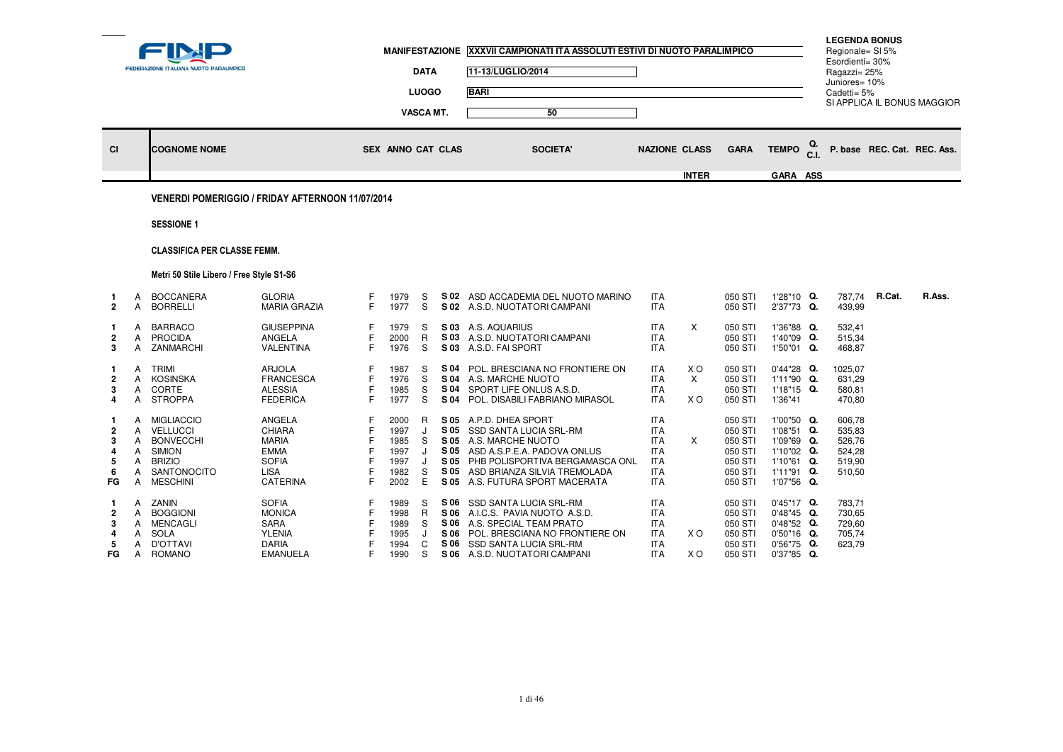|                                                          |                                       | FEDERAZIONE ITALIANA NUOTO PARALIMPICO                                                                                       |                                                                                                  |                       | <b>MANIFESTAZIONE</b>                                | <b>DATA</b><br><b>LUOGO</b><br><b>VASCA MT.</b> |                              | <b>XXXVII CAMPIONATI ITA ASSOLUTI ESTIVI DI NUOTO PARALIMPICO</b><br>11-13/LUGLIO/2014<br><b>BARI</b><br>50                                                                                                     |                                                                                                |                        |                                                                           |                                                                                                |            | <b>LEGENDA BONUS</b><br>Regionale= SI 5%<br>Esordienti= 30%<br>Ragazzi= 25%<br>Juniores= 10%<br>Cadetti= 5% |        | SI APPLICA IL BONUS MAGGIOR |
|----------------------------------------------------------|---------------------------------------|------------------------------------------------------------------------------------------------------------------------------|--------------------------------------------------------------------------------------------------|-----------------------|------------------------------------------------------|-------------------------------------------------|------------------------------|-----------------------------------------------------------------------------------------------------------------------------------------------------------------------------------------------------------------|------------------------------------------------------------------------------------------------|------------------------|---------------------------------------------------------------------------|------------------------------------------------------------------------------------------------|------------|-------------------------------------------------------------------------------------------------------------|--------|-----------------------------|
| <b>CI</b>                                                |                                       | <b>COGNOME NOME</b>                                                                                                          |                                                                                                  |                       | <b>SEX ANNO CAT CLAS</b>                             |                                                 |                              | <b>SOCIETA'</b>                                                                                                                                                                                                 | <b>NAZIONE CLASS</b>                                                                           |                        | <b>GARA</b>                                                               | <b>TEMPO</b>                                                                                   | Q.<br>C.I. |                                                                                                             |        | P. base REC. Cat. REC. Ass. |
|                                                          |                                       |                                                                                                                              |                                                                                                  |                       |                                                      |                                                 |                              |                                                                                                                                                                                                                 |                                                                                                | <b>INTER</b>           |                                                                           | GARA ASS                                                                                       |            |                                                                                                             |        |                             |
|                                                          |                                       | VENERDI POMERIGGIO / FRIDAY AFTERNOON 11/07/2014                                                                             |                                                                                                  |                       |                                                      |                                                 |                              |                                                                                                                                                                                                                 |                                                                                                |                        |                                                                           |                                                                                                |            |                                                                                                             |        |                             |
|                                                          |                                       | <b>SESSIONE 1</b>                                                                                                            |                                                                                                  |                       |                                                      |                                                 |                              |                                                                                                                                                                                                                 |                                                                                                |                        |                                                                           |                                                                                                |            |                                                                                                             |        |                             |
|                                                          |                                       | <b>CLASSIFICA PER CLASSE FEMM.</b>                                                                                           |                                                                                                  |                       |                                                      |                                                 |                              |                                                                                                                                                                                                                 |                                                                                                |                        |                                                                           |                                                                                                |            |                                                                                                             |        |                             |
|                                                          |                                       | Metri 50 Stile Libero / Free Style S1-S6                                                                                     |                                                                                                  |                       |                                                      |                                                 |                              |                                                                                                                                                                                                                 |                                                                                                |                        |                                                                           |                                                                                                |            |                                                                                                             |        |                             |
| $\mathbf 1$<br>$\overline{2}$                            | A<br>A                                | <b>BOCCANERA</b><br><b>BORRELLI</b>                                                                                          | <b>GLORIA</b><br><b>MARIA GRAZIA</b>                                                             | F<br>F.               | 1979<br>1977                                         | S<br>S                                          | S 02                         | ASD ACCADEMIA DEL NUOTO MARINO<br>S 02 A.S.D. NUOTATORI CAMPANI                                                                                                                                                 | <b>ITA</b><br><b>ITA</b>                                                                       |                        | 050 STI<br>050 STI                                                        | 1'28"10 Q.<br>2'37"73 Q.                                                                       |            | 787.74<br>439,99                                                                                            | R.Cat. | R.Ass.                      |
| -1<br>$\overline{2}$<br>3                                | A<br>Α<br>A                           | <b>BARRACO</b><br><b>PROCIDA</b><br>ZANMARCHI                                                                                | <b>GIUSEPPINA</b><br><b>ANGELA</b><br><b>VALENTINA</b>                                           | F<br>F<br>F.          | 1979<br>2000<br>1976                                 | S<br>$\mathsf{R}$<br>S                          | S 03                         | S 03 A.S. AQUARIUS<br>A.S.D. NUOTATORI CAMPANI<br>S 03 A.S.D. FAI SPORT                                                                                                                                         | <b>ITA</b><br><b>ITA</b><br><b>ITA</b>                                                         | $\times$               | 050 STI<br>050 STI<br>050 STI                                             | 1'36"88 Q.<br>1'40"09 Q.<br>1'50"01 Q.                                                         |            | 532.41<br>515,34<br>468,87                                                                                  |        |                             |
| -1<br>$\overline{2}$<br>3<br>4                           | A<br>A<br>A<br>A                      | <b>TRIMI</b><br><b>KOSINSKA</b><br>CORTE<br><b>STROPPA</b>                                                                   | <b>ARJOLA</b><br><b>FRANCESCA</b><br><b>ALESSIA</b><br><b>FEDERICA</b>                           | F<br>F<br>F.          | 1987<br>1976<br>1985<br>1977                         | S<br>S<br>S<br>S                                |                              | S 04 POL. BRESCIANA NO FRONTIERE ON<br><b>S 04 A.S. MARCHE NUOTO</b><br>S 04 SPORT LIFE ONLUS A.S.D.<br>S 04 POL. DISABILI FABRIANO MIRASOL                                                                     | <b>ITA</b><br><b>ITA</b><br><b>ITA</b><br><b>ITA</b>                                           | X O<br>$\times$<br>X O | 050 STI<br>050 STI<br>050 STI<br>050 STI                                  | $0'44''28$ Q.<br>1'11"90 Q.<br>1'18"15 Q.<br>1'36"41                                           |            | 1025,07<br>631.29<br>580,81<br>470,80                                                                       |        |                             |
| -1<br>$\overline{\mathbf{2}}$<br>-3<br>4<br>5<br>6<br>FG | A<br>A<br>A<br>Α<br>A<br>Α<br>Α       | <b>MIGLIACCIO</b><br><b>VELLUCCI</b><br><b>BONVECCHI</b><br><b>SIMION</b><br><b>BRIZIO</b><br>SANTONOCITO<br><b>MESCHINI</b> | ANGELA<br>CHIARA<br><b>MARIA</b><br><b>EMMA</b><br><b>SOFIA</b><br><b>LISA</b><br>CATERINA       | F<br>F<br>F           | 2000<br>1997<br>1985<br>1997<br>1997<br>1982<br>2002 | R<br>J<br>S<br>J<br>S<br>E.                     | S 05<br>S 05<br>S 05<br>S 05 | S 05 A.P.D. DHEA SPORT<br>SSD SANTA LUCIA SRL-RM<br>S 05 A.S. MARCHE NUOTO<br>ASD A.S.P.E.A. PADOVA ONLUS<br>S 05 PHB POLISPORTIVA BERGAMASCA ONL<br>ASD BRIANZA SILVIA TREMOLADA<br>A.S. FUTURA SPORT MACERATA | <b>ITA</b><br><b>ITA</b><br><b>ITA</b><br><b>ITA</b><br><b>ITA</b><br><b>ITA</b><br><b>ITA</b> | X                      | 050 STI<br>050 STI<br>050 STI<br>050 STI<br>050 STI<br>050 STI<br>050 STI | 1'00"50 Q.<br>1'08"51 Q.<br>1'09"69 Q.<br>1'10"02 Q.<br>1'10"61 Q.<br>1'11"91 Q.<br>1'07"56 Q. |            | 606,78<br>535,83<br>526,76<br>524,28<br>519,90<br>510,50                                                    |        |                             |
| -1<br>2<br>3<br>5<br>FG                                  | A<br>Α<br>A<br>A<br>A<br>$\mathsf{A}$ | ZANIN<br><b>BOGGIONI</b><br>MENCAGLI<br><b>SOLA</b><br><b>D'OTTAVI</b><br><b>ROMANO</b>                                      | <b>SOFIA</b><br><b>MONICA</b><br><b>SARA</b><br><b>YLENIA</b><br><b>DARIA</b><br><b>EMANUELA</b> | F<br>F<br>F<br>F<br>F | 1989<br>1998<br>1989<br>1995<br>1994<br>1990         | S<br>R<br>S<br>C<br>S                           | S 06<br>S 06                 | SSD SANTA LUCIA SRL-RM<br>S 06 A.I.C.S. PAVIA NUOTO A.S.D.<br>S 06 A.S. SPECIAL TEAM PRATO<br>S 06 POL. BRESCIANA NO FRONTIERE ON<br>SSD SANTA LUCIA SRL-RM<br>S 06 A.S.D. NUOTATORI CAMPANI                    | <b>ITA</b><br><b>ITA</b><br><b>ITA</b><br><b>ITA</b><br><b>ITA</b><br><b>ITA</b>               | X O<br>X O             | 050 STI<br>050 STI<br>050 STI<br>050 STI<br>050 STI<br>050 STI            | 0'45"17 Q.<br>0'48"45 Q.<br>0'48"52 Q.<br>0'50"16 Q.<br>0'56"75 Q.<br>0'37"85 Q.               |            | 783,71<br>730,65<br>729,60<br>705,74<br>623,79                                                              |        |                             |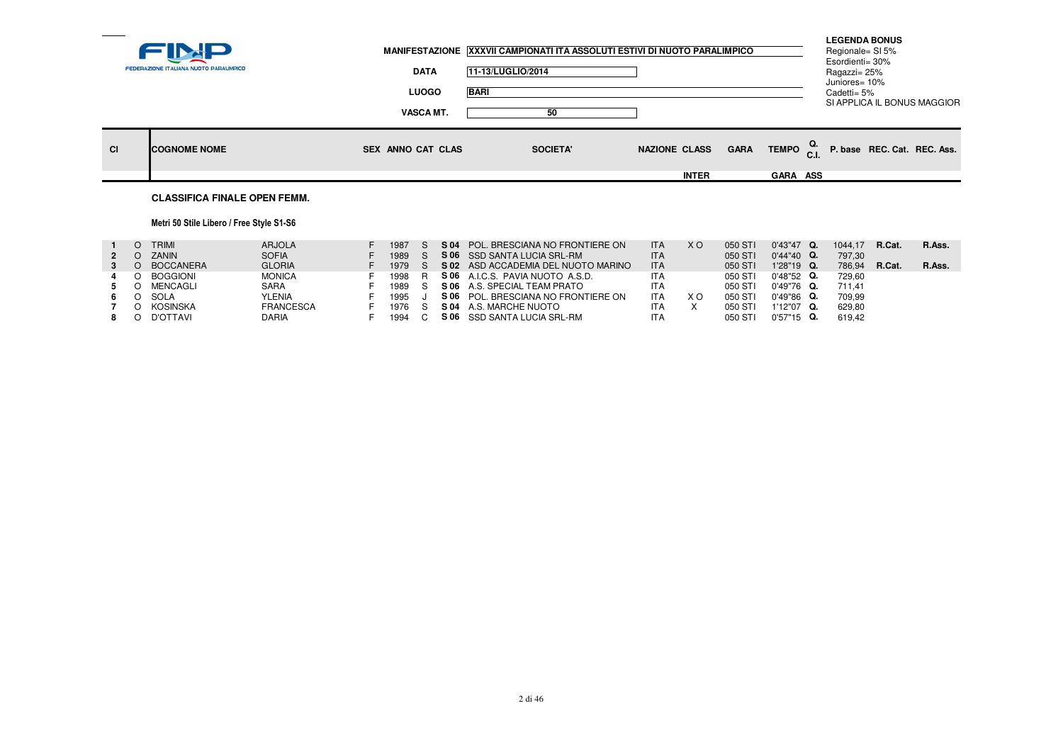|           |                                        |                          | MANIFESTAZIONE XXXVII CAMPIONATI ITA ASSOLUTI ESTIVI DI NUOTO PARALIMPICO |                      |             |                     | Regionale= SI 5%<br>Esordienti= 30% | <b>LEGENDA BONUS</b> |                             |
|-----------|----------------------------------------|--------------------------|---------------------------------------------------------------------------|----------------------|-------------|---------------------|-------------------------------------|----------------------|-----------------------------|
|           | FEDERAZIONE ITALIANA NUOTO PARALIMPICO | <b>DATA</b>              | 11-13/LUGLIO/2014                                                         |                      |             |                     | Ragazzi= 25%                        |                      |                             |
|           |                                        | <b>LUOGO</b>             | <b>BARI</b>                                                               |                      |             |                     | Juniores= 10%<br>Cadetti= 5%        |                      |                             |
|           |                                        | <b>VASCA MT.</b>         | 50                                                                        |                      |             |                     |                                     |                      | SI APPLICA IL BONUS MAGGIOR |
| <b>CI</b> | <b>COGNOME NOME</b>                    | <b>SEX ANNO CAT CLAS</b> | <b>SOCIETA'</b>                                                           | <b>NAZIONE CLASS</b> | <b>GARA</b> | TEMPO <sup>Q.</sup> |                                     |                      | P. base REC. Cat. REC. Ass. |
|           |                                        |                          |                                                                           | <b>INTER</b>         |             | <b>GARA ASS</b>     |                                     |                      |                             |
|           | <b>CLASSIFICA FINALE OPEN FEMM.</b>    |                          |                                                                           |                      |             |                     |                                     |                      |                             |

## Metri 50 Stile Libero / Free Style S1-S6

|  | TRIMI        | <b>ARJOLA</b>    | 1987   | S 04 | POL. BRESCIANA NO FRONTIERE ON      | <b>ITA</b> | X O | 050 STI | $0'43''47$ Q. | 1044.17 | R.Cat. | R.Ass. |
|--|--------------|------------------|--------|------|-------------------------------------|------------|-----|---------|---------------|---------|--------|--------|
|  | <b>ZANIN</b> | <b>SOFIA</b>     | 1989   |      | S 06 SSD SANTA LUCIA SRL-RM         | <b>ITA</b> |     | 050 STI | $0'44''40$ Q. | 797.30  |        |        |
|  | O BOCCANERA  | <b>GLORIA</b>    | 1979   |      | S 02 ASD ACCADEMIA DEL NUOTO MARINO | <b>ITA</b> |     | 050 STI | $1'28"19$ Q.  | 786.94  | R.Cat. | R.Ass. |
|  | O BOGGIONI   | <b>MONICA</b>    | 1998   |      | S 06 A.I.C.S. PAVIA NUOTO A.S.D.    | <b>ITA</b> |     | 050 STI | $0'48"52$ Q.  | 729.60  |        |        |
|  | MENCAGLI     | <b>SARA</b>      | 1989 S |      | <b>S 06</b> A.S. SPECIAL TEAM PRATO | <b>ITA</b> |     | 050 STI | 0'49"76 Q.    | 711.41  |        |        |
|  | SOLA         | <b>YLENIA</b>    | 1995   |      | S 06 POL. BRESCIANA NO FRONTIERE ON | <b>ITA</b> | xо  | 050 STI | $0'49''86$ Q. | 709.99  |        |        |
|  | O KOSINSKA   | <b>FRANCESCA</b> | 1976 S |      | <b>S 04 A.S. MARCHE NUOTO</b>       | ITA        |     | 050 STI | 1'12"07 Q.    | 629.80  |        |        |
|  | O D'OTTAVI   | DARIA            | 1994   |      | S 06 SSD SANTA LUCIA SRL-RM         | <b>ITA</b> |     | 050 STI | $0'57"15$ Q.  | 619.42  |        |        |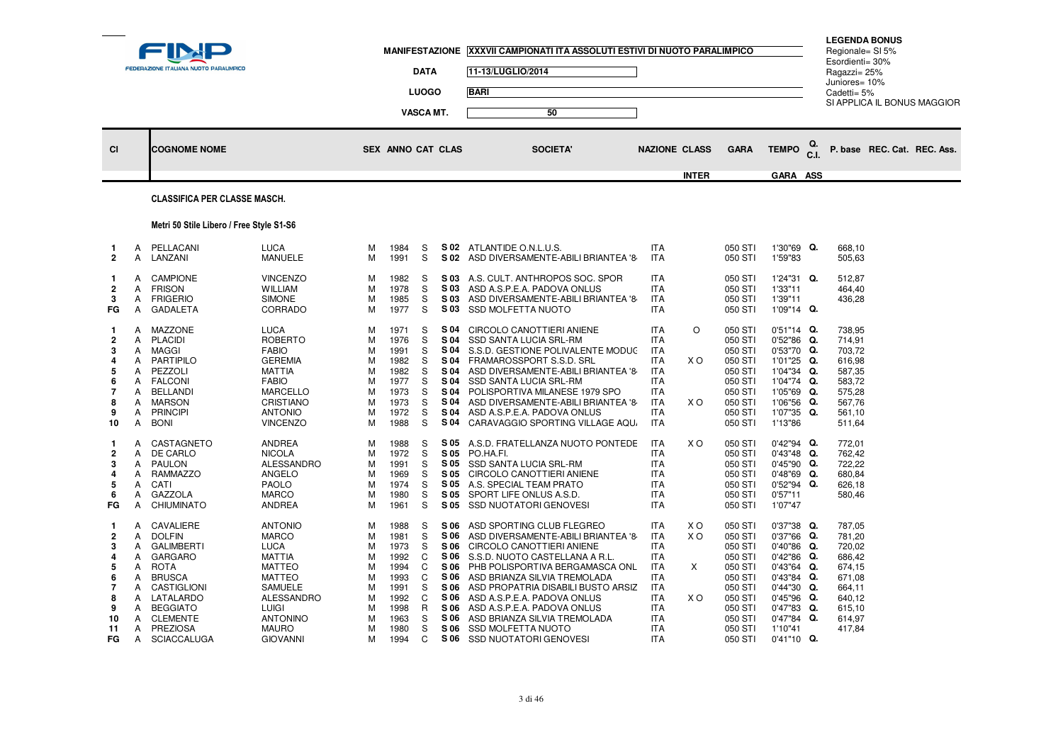|                                                                                                        |                                                          | <b>FEDERAZIONE ITALIANA NUOTO PARALIMPICO</b>                                                                                                                                                                |                                                                                                                                                                                                        |                                                          |                                                                                              | <b>DATA</b><br><b>LUOGO</b><br>VASCA MT.                   |                                                                                              | MANIFESTAZIONE XXXVII CAMPIONATI ITA ASSOLUTI ESTIVI DI NUOTO PARALIMPICO<br>11-13/LUGLIO/2014<br><b>BARI</b><br>50                                                                                                                                                                                                                                                                        |                                                                                                                                                                      |                                             |                                                                                                                                  |                                                                                                                                                                                          |      | <b>LEGENDA BONUS</b><br>Regionale= SI 5%<br>Esordienti= 30%<br>Ragazzi= 25%<br>Juniores= 10%<br>Cadetti= $5%$ | SI APPLICA IL BONUS MAGGIOR |  |
|--------------------------------------------------------------------------------------------------------|----------------------------------------------------------|--------------------------------------------------------------------------------------------------------------------------------------------------------------------------------------------------------------|--------------------------------------------------------------------------------------------------------------------------------------------------------------------------------------------------------|----------------------------------------------------------|----------------------------------------------------------------------------------------------|------------------------------------------------------------|----------------------------------------------------------------------------------------------|--------------------------------------------------------------------------------------------------------------------------------------------------------------------------------------------------------------------------------------------------------------------------------------------------------------------------------------------------------------------------------------------|----------------------------------------------------------------------------------------------------------------------------------------------------------------------|---------------------------------------------|----------------------------------------------------------------------------------------------------------------------------------|------------------------------------------------------------------------------------------------------------------------------------------------------------------------------------------|------|---------------------------------------------------------------------------------------------------------------|-----------------------------|--|
| <b>CI</b>                                                                                              |                                                          | <b>COGNOME NOME</b>                                                                                                                                                                                          |                                                                                                                                                                                                        |                                                          | <b>SEX ANNO CAT CLAS</b>                                                                     |                                                            |                                                                                              | <b>SOCIETA'</b>                                                                                                                                                                                                                                                                                                                                                                            | <b>NAZIONE CLASS</b>                                                                                                                                                 |                                             | <b>GARA</b>                                                                                                                      | <b>TEMPO</b>                                                                                                                                                                             | C.I. |                                                                                                               | P. base REC. Cat. REC. Ass. |  |
|                                                                                                        |                                                          | <b>CLASSIFICA PER CLASSE MASCH.</b>                                                                                                                                                                          |                                                                                                                                                                                                        |                                                          |                                                                                              |                                                            |                                                                                              |                                                                                                                                                                                                                                                                                                                                                                                            |                                                                                                                                                                      | <b>INTER</b>                                |                                                                                                                                  | GARA ASS                                                                                                                                                                                 |      |                                                                                                               |                             |  |
|                                                                                                        |                                                          | Metri 50 Stile Libero / Free Style S1-S6                                                                                                                                                                     |                                                                                                                                                                                                        |                                                          |                                                                                              |                                                            |                                                                                              |                                                                                                                                                                                                                                                                                                                                                                                            |                                                                                                                                                                      |                                             |                                                                                                                                  |                                                                                                                                                                                          |      |                                                                                                               |                             |  |
| -1<br>$\overline{2}$                                                                                   | Α<br>Α                                                   | PELLACANI<br>LANZANI                                                                                                                                                                                         | <b>LUCA</b><br><b>MANUELE</b>                                                                                                                                                                          | м<br>м                                                   | 1984<br>1991                                                                                 | S<br>S                                                     |                                                                                              | S 02 ATLANTIDE O.N.L.U.S.<br>S 02 ASD DIVERSAMENTE-ABILI BRIANTEA '8                                                                                                                                                                                                                                                                                                                       | <b>ITA</b><br><b>ITA</b>                                                                                                                                             |                                             | 050 STI<br>050 STI                                                                                                               | 1'30"69 Q.<br>1'59"83                                                                                                                                                                    |      | 668,10<br>505,63                                                                                              |                             |  |
| -1<br>$\overline{\mathbf{2}}$<br>-3<br>FG                                                              | A<br>Α<br>A<br>Α                                         | <b>CAMPIONE</b><br><b>FRISON</b><br><b>FRIGERIO</b><br><b>GADALETA</b>                                                                                                                                       | <b>VINCENZO</b><br><b>WILLIAM</b><br><b>SIMONE</b><br>CORRADO                                                                                                                                          | М<br>М<br>M<br>М                                         | 1982<br>1978<br>1985<br>1977                                                                 | S<br>S<br>S<br>S                                           | S 03<br>S 03<br>S 03                                                                         | S 03 A.S. CULT. ANTHROPOS SOC. SPOR<br>ASD A.S.P.E.A. PADOVA ONLUS<br>ASD DIVERSAMENTE-ABILI BRIANTEA '8<br><b>SSD MOLFETTA NUOTO</b>                                                                                                                                                                                                                                                      | <b>ITA</b><br><b>ITA</b><br><b>ITA</b><br><b>ITA</b>                                                                                                                 |                                             | 050 STI<br>050 STI<br>050 STI<br>050 STI                                                                                         | 1'24"31 Q.<br>1'33"11<br>1'39"11<br>1'09"14 Q.                                                                                                                                           |      | 512,87<br>464,40<br>436,28                                                                                    |                             |  |
| $\mathbf{1}$<br>$\overline{2}$<br>3<br>4<br>-5<br>-6<br>-7<br>-8<br>9<br>10                            | A<br>Α<br>A<br>А<br>A<br>A<br>А<br>A<br>A<br>A           | MAZZONE<br><b>PLACIDI</b><br><b>MAGGI</b><br><b>PARTIPILO</b><br>PEZZOLI<br><b>FALCONI</b><br><b>BELLANDI</b><br><b>MARSON</b><br><b>PRINCIPI</b><br><b>BONI</b>                                             | <b>LUCA</b><br><b>ROBERTO</b><br><b>FABIO</b><br><b>GEREMIA</b><br><b>MATTIA</b><br><b>FABIO</b><br><b>MARCELLO</b><br><b>CRISTIANO</b><br><b>ANTONIO</b><br><b>VINCENZO</b>                           | м<br>М<br>м<br>M<br>М<br>M<br>М<br>М<br>м<br>М           | 1971<br>1976<br>1991<br>1982<br>1982<br>1977<br>1973<br>1973<br>1972<br>1988                 | S<br>S<br>S<br>S<br>S<br>S<br>S<br>S<br>S<br>S             | S 04<br>S 04<br>S 04<br>S 04<br>S 04<br>S 04<br>S 04<br>S 04<br>S 04<br>S 04                 | CIRCOLO CANOTTIERI ANIENE<br><b>SSD SANTA LUCIA SRL-RM</b><br>S.S.D. GESTIONE POLIVALENTE MODUC<br>FRAMAROSSPORT S.S.D. SRL<br>ASD DIVERSAMENTE-ABILI BRIANTEA '8<br><b>SSD SANTA LUCIA SRL-RM</b><br>POLISPORTIVA MILANESE 1979 SPO<br>ASD DIVERSAMENTE-ABILI BRIANTEA '8<br>ASD A.S.P.E.A. PADOVA ONLUS<br>CARAVAGGIO SPORTING VILLAGE AQU.                                              | <b>ITA</b><br><b>ITA</b><br><b>ITA</b><br><b>ITA</b><br><b>ITA</b><br><b>ITA</b><br><b>ITA</b><br><b>ITA</b><br><b>ITA</b><br>ITA                                    | $\circ$<br>X <sub>O</sub><br>X <sub>O</sub> | 050 STI<br>050 STI<br>050 STI<br>050 STI<br>050 STI<br>050 STI<br>050 STI<br>050 STI<br>050 STI<br>050 STI                       | $0'51''14$ Q.<br>$0'52''86$ Q.<br>0'53"70 Q.<br>1'01"25 Q.<br>1'04"34 Q.<br>1'04"74 Q.<br>1'05"69 Q.<br>1'06"56 Q.<br>1'07"35 Q.<br>1'13"86                                              |      | 738,95<br>714,91<br>703,72<br>616,98<br>587,35<br>583,72<br>575,28<br>567,76<br>561,10<br>511,64              |                             |  |
| -1<br>$\overline{2}$<br>-3<br>4<br>-5<br>-6<br>FG                                                      | Α<br>A<br>A<br>Α<br>A<br>Α<br>A                          | CASTAGNETO<br>DE CARLO<br>PAULON<br>RAMMAZZO<br>CATI<br>GAZZOLA<br>CHIUMINATO                                                                                                                                | ANDREA<br><b>NICOLA</b><br>ALESSANDRO<br>ANGELO<br><b>PAOLO</b><br><b>MARCO</b><br><b>ANDREA</b>                                                                                                       | М<br>M<br>М<br>м<br>М<br>М<br>м                          | 1988<br>1972<br>1991<br>1969<br>1974<br>1980<br>1961                                         | S<br>S<br>S<br>S<br>S<br>S<br>S                            | S 05<br>S 05<br>S 05<br>S 05<br>S 05<br>S 05<br>S 05                                         | A.S.D. FRATELLANZA NUOTO PONTEDE<br>PO.HA.FI.<br>SSD SANTA LUCIA SRL-RM<br>CIRCOLO CANOTTIERI ANIENE<br>A.S. SPECIAL TEAM PRATO<br>SPORT LIFE ONLUS A.S.D.<br><b>SSD NUOTATORI GENOVESI</b>                                                                                                                                                                                                | <b>ITA</b><br><b>ITA</b><br><b>ITA</b><br><b>ITA</b><br><b>ITA</b><br><b>ITA</b><br><b>ITA</b>                                                                       | X O                                         | 050 STI<br>050 STI<br>050 STI<br>050 STI<br>050 STI<br>050 STI<br>050 STI                                                        | $0'42''94$ Q.<br>$0'43''48$ Q.<br>$0'45''90$ Q.<br>$0'48''69$ Q.<br>0'52"94 Q.<br>0'57"11<br>1'07"47                                                                                     |      | 772,01<br>762,42<br>722,22<br>680,84<br>626,18<br>580,46                                                      |                             |  |
| -1<br>$\overline{2}$<br>-3<br>$\overline{4}$<br>-5<br>-6<br>$\overline{7}$<br>8<br>9<br>10<br>11<br>FG | A<br>A<br>A<br>A<br>Α<br>A<br>А<br>Α<br>A<br>A<br>A<br>A | CAVALIERE<br><b>DOLFIN</b><br><b>GALIMBERTI</b><br><b>GARGARO</b><br><b>ROTA</b><br><b>BRUSCA</b><br>CASTIGLIONI<br>LATALARDO<br><b>BEGGIATO</b><br><b>CLEMENTE</b><br><b>PREZIOSA</b><br><b>SCIACCALUGA</b> | <b>ANTONIO</b><br><b>MARCO</b><br><b>LUCA</b><br><b>MATTIA</b><br><b>MATTEO</b><br><b>MATTEO</b><br><b>SAMUELE</b><br>ALESSANDRO<br><b>LUIGI</b><br><b>ANTONINO</b><br><b>MAURO</b><br><b>GIOVANNI</b> | М<br>M<br>М<br>M<br>М<br>М<br>м<br>М<br>M<br>м<br>м<br>м | 1988<br>1981<br>1973<br>1992<br>1994<br>1993<br>1991<br>1992<br>1998<br>1963<br>1980<br>1994 | S<br>S<br>S<br>C<br>C<br>C<br>S<br>C<br>R.<br>S<br>S.<br>C | S 06<br>S 06<br>S 06<br>S 06<br>S 06<br>S 06<br>S 06<br>S 06<br>S 06<br>S 06<br>S 06<br>S 06 | ASD SPORTING CLUB FLEGREO<br>ASD DIVERSAMENTE-ABILI BRIANTEA '8<br>CIRCOLO CANOTTIERI ANIENE<br>S.S.D. NUOTO CASTELLANA A R.L<br>PHB POLISPORTIVA BERGAMASCA ONL<br>ASD BRIANZA SILVIA TREMOLADA<br>ASD PROPATRIA DISABILI BUSTO ARSIZ<br>ASD A.S.P.E.A. PADOVA ONLUS<br>ASD A.S.P.E.A. PADOVA ONLUS<br>ASD BRIANZA SILVIA TREMOLADA<br>SSD MOLFETTA NUOTO<br><b>SSD NUOTATORI GENOVES</b> | <b>ITA</b><br><b>ITA</b><br><b>ITA</b><br><b>ITA</b><br><b>ITA</b><br><b>ITA</b><br><b>ITA</b><br><b>ITA</b><br><b>ITA</b><br><b>ITA</b><br><b>ITA</b><br><b>ITA</b> | X O<br>X <sub>O</sub><br>Χ<br>X O           | 050 STI<br>050 STI<br>050 STI<br>050 STI<br>050 STI<br>050 STI<br>050 STI<br>050 STI<br>050 STI<br>050 STI<br>050 STI<br>050 STI | 0'37"38 Q.<br>0'37"66 Q.<br>$0'40''86$ Q.<br>$0'42''86$ Q.<br>$0'43''64$ Q.<br>0'43"84 Q.<br>$0'44''30$ Q.<br>$0'45''96$ Q.<br>$0'47''83$ Q.<br>$0'47''84$ Q.<br>1'10"41<br>$0'41"10$ Q. |      | 787,05<br>781,20<br>720,02<br>686,42<br>674,15<br>671,08<br>664,11<br>640,12<br>615,10<br>614,97<br>417,84    |                             |  |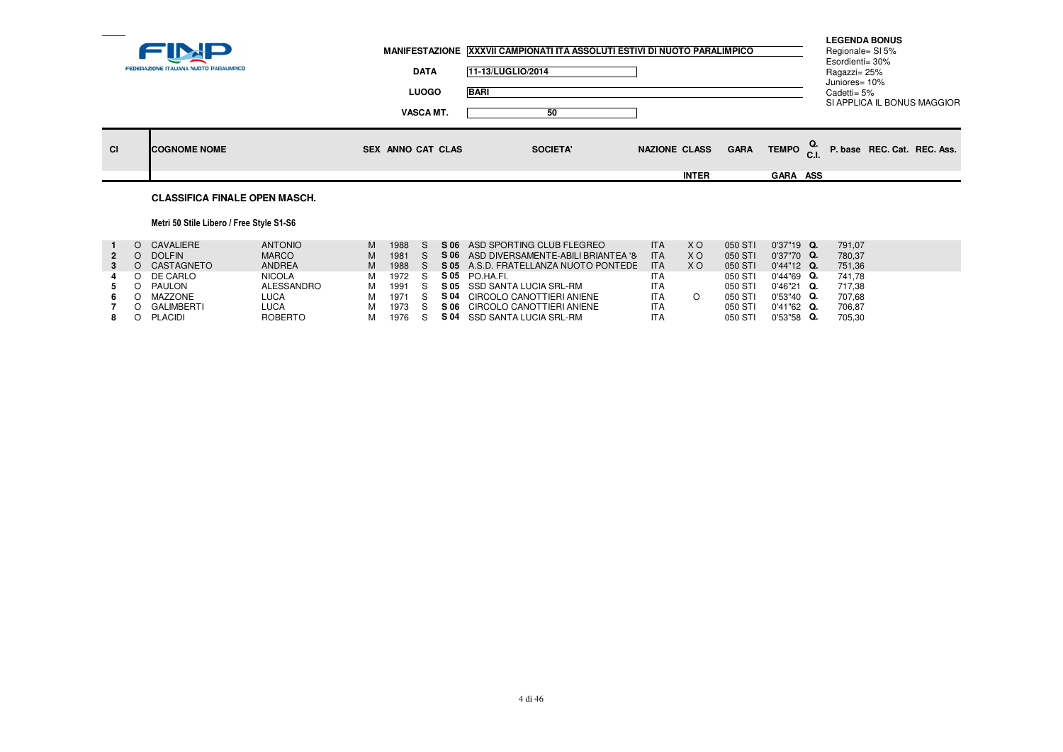|           | FEDERAZIONE ITALIANA NUOTO PARALIMPICO | <b>DATA</b><br><b>LUOGO</b><br><b>VASCA MT.</b> | MANIFESTAZIONE XXXVII CAMPIONATI ITA ASSOLUTI ESTIVI DI NUOTO PARALIMPICO<br>11-13/LUGLIO/2014<br><b>BARI</b><br>50 |                                      |                                                               | <b>LEGENDA BONUS</b><br>Regionale= SI 5%<br>Esordienti= 30%<br>Ragazzi= 25%<br>Juniores= 10%<br>Cadetti= 5%<br>SI APPLICA IL BONUS MAGGIOR |  |
|-----------|----------------------------------------|-------------------------------------------------|---------------------------------------------------------------------------------------------------------------------|--------------------------------------|---------------------------------------------------------------|--------------------------------------------------------------------------------------------------------------------------------------------|--|
| <b>CI</b> | <b>ICOGNOME NOME</b>                   | <b>SEX ANNO CAT CLAS</b>                        | <b>SOCIETA'</b>                                                                                                     | <b>NAZIONE CLASS</b><br><b>INTER</b> | TEMPO $_{\text{C.I.}}^{\text{Q.}}$<br><b>GARA</b><br>GARA ASS | P. base REC. Cat. REC. Ass.                                                                                                                |  |
|           | <b>CLASSIFICA FINALE OPEN MASCH.</b>   |                                                 |                                                                                                                     |                                      |                                                               |                                                                                                                                            |  |

# Metri 50 Stile Libero / Free Style S1-S6

|             | O CAVALIERE   | <b>ANTONIO</b> | м | 1988 |      | S 06 ASD SPORTING CLUB FLEGREO          | <b>ITA</b> | X O            | 050 STI | $0'37"19$ Q.  | 791.07 |
|-------------|---------------|----------------|---|------|------|-----------------------------------------|------------|----------------|---------|---------------|--------|
| $2^{\circ}$ | <b>DOLFIN</b> | <b>MARCO</b>   | м | 1981 |      | S 06 ASD DIVERSAMENTE-ABILI BRIANTEA '8 | <b>ITA</b> | X <sub>O</sub> | 050 STI | $0'37"70$ Q.  | 780.37 |
|             | O CASTAGNETO  | <b>ANDREA</b>  | м | 1988 |      | S 05 A.S.D. FRATELLANZA NUOTO PONTEDE   | <b>ITA</b> | <b>XO</b>      | 050 STI | $0'44"12$ Q.  | 751.36 |
| 4           | O DE CARLO    | <b>NICOLA</b>  | м | 1972 |      | S05 PO.HA.FI.                           | <b>ITA</b> |                | 050 STI | $0'44''69$ Q. | 741.78 |
|             | PAULON        | ALESSANDRO     | м | 1991 |      | S 05 SSD SANTA LUCIA SRL-RM             | <b>ITA</b> |                | 050 STI | $0'46''21$ Q. | 717.38 |
|             | MAZZONE       | LUCA           |   | 1971 | S 04 | CIRCOLO CANOTTIERI ANIENE               | <b>ITA</b> |                | 050 STI | $0'53''40$ Q. | 707.68 |
|             | GALIMBERTI    | LUCA           |   | 1973 | S 06 | CIRCOLO CANOTTIERI ANIENE               | <b>ITA</b> |                | 050 STI | $0'41''62$ Q. | 706.87 |
|             | PLACIDI       | <b>ROBERTO</b> |   | 1976 |      | S 04 SSD SANTA LUCIA SRL-RM             | <b>ITA</b> |                | 050 STI | $0'53''58$ Q. | 705,30 |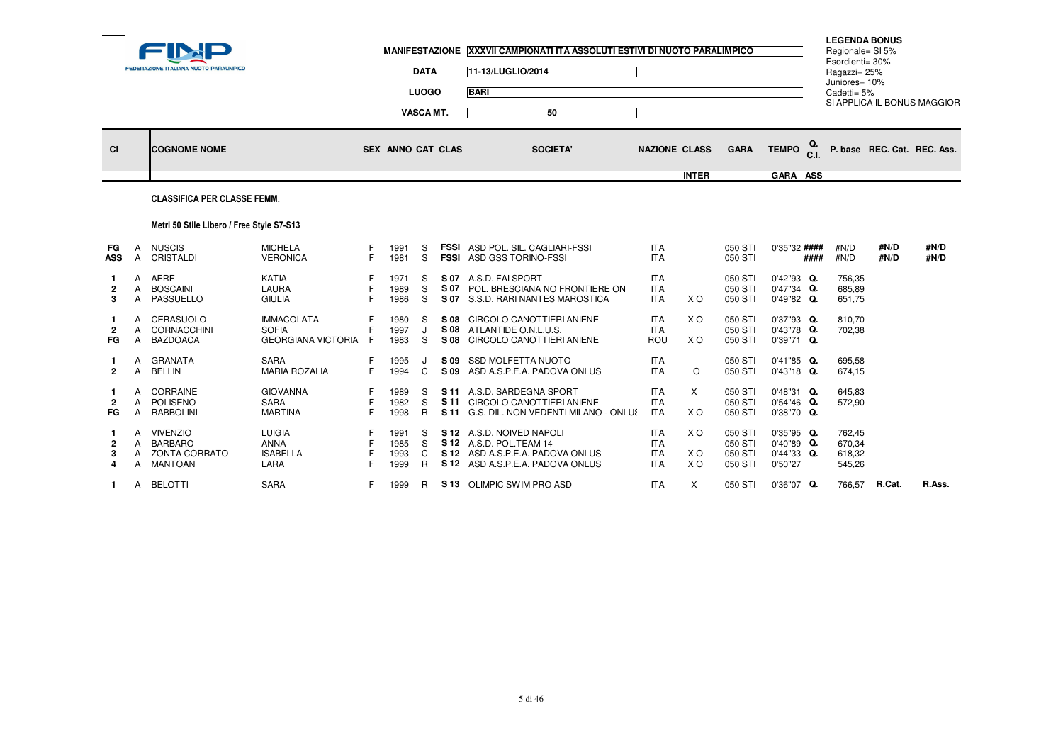| $\sim$                       |             | FEDERAZIONE ITALIANA NUOTO PARALIMPICO                       |                                                                |                  | <b>MANIFESTAZIONE</b>        | <b>DATA</b><br><b>LUOGO</b><br><b>VASCA MT.</b> |              | XXXVII CAMPIONATI ITA ASSOLUTI ESTIVI DI NUOTO PARALIMPICO<br>11-13/LUGLIO/2014<br><b>BARI</b><br>50                         |                                                      |                     |                                          |                                                         | <b>LEGENDA BONUS</b><br>Regionale= SI 5%<br>Esordienti= 30%<br>Ragazzi= 25%<br>Juniores= 10%<br>Cadetti= $5%$ |              | SI APPLICA IL BONUS MAGGIOR |  |
|------------------------------|-------------|--------------------------------------------------------------|----------------------------------------------------------------|------------------|------------------------------|-------------------------------------------------|--------------|------------------------------------------------------------------------------------------------------------------------------|------------------------------------------------------|---------------------|------------------------------------------|---------------------------------------------------------|---------------------------------------------------------------------------------------------------------------|--------------|-----------------------------|--|
| <b>CI</b>                    |             | <b>COGNOME NOME</b>                                          |                                                                |                  | SEX ANNO CAT CLAS            |                                                 |              | <b>SOCIETA'</b>                                                                                                              | <b>NAZIONE CLASS</b>                                 |                     | <b>GARA</b>                              | Q.<br><b>TEMPO</b>                                      |                                                                                                               |              | P. base REC. Cat. REC. Ass. |  |
|                              |             |                                                              |                                                                |                  |                              |                                                 |              |                                                                                                                              |                                                      | <b>INTER</b>        |                                          | GARA ASS                                                |                                                                                                               |              |                             |  |
|                              |             | <b>CLASSIFICA PER CLASSE FEMM.</b>                           |                                                                |                  |                              |                                                 |              |                                                                                                                              |                                                      |                     |                                          |                                                         |                                                                                                               |              |                             |  |
|                              |             | Metri 50 Stile Libero / Free Style S7-S13                    |                                                                |                  |                              |                                                 |              |                                                                                                                              |                                                      |                     |                                          |                                                         |                                                                                                               |              |                             |  |
| FG<br><b>ASS</b>             | A           | <b>NUSCIS</b><br>A CRISTALDI                                 | <b>MICHELA</b><br><b>VERONICA</b>                              | F<br>E           | 1991<br>1981                 | S<br>S.                                         |              | <b>FSSI</b> ASD POL. SIL. CAGLIARI-FSSI<br><b>FSSI ASD GSS TORINO-FSSI</b>                                                   | <b>ITA</b><br><b>ITA</b>                             |                     | 050 STI<br>050 STI                       | 0'35"32 ####<br>####                                    | #N/D<br>#N/D                                                                                                  | #N/D<br>#N/D | #N/D<br>#N/D                |  |
| $\overline{2}$<br>3          | A           | A AERE<br>A BOSCAINI<br>PASSUELLO                            | KATIA<br>LAURA<br><b>GIULIA</b>                                | F<br>F           | 1971<br>1989<br>1986         | S<br>S<br>S.                                    | S 07<br>S 07 | A.S.D. FAI SPORT<br>POL. BRESCIANA NO FRONTIERE ON<br>S 07 S.S.D. RARI NANTES MAROSTICA                                      | <b>ITA</b><br><b>ITA</b><br><b>ITA</b>               | X O                 | 050 STI<br>050 STI<br>050 STI            | $0'42''93$ Q.<br>$0'47''34$ Q.<br>0'49"82 Q.            | 756,35<br>685,89<br>651,75                                                                                    |              |                             |  |
| -1<br>FG.                    | A<br>A<br>A | CERASUOLO<br>CORNACCHINI<br><b>BAZDOACA</b>                  | <b>IMMACOLATA</b><br><b>SOFIA</b><br><b>GEORGIANA VICTORIA</b> | F<br>F<br>E      | 1980<br>1997<br>1983         | S<br>J<br>S                                     | S 08         | S 08 CIRCOLO CANOTTIERI ANIENE<br>S 08 ATLANTIDE O.N.L.U.S.<br>CIRCOLO CANOTTIERI ANIENE                                     | <b>ITA</b><br><b>ITA</b><br>ROU                      | X O<br>X O          | 050 STI<br>050 STI<br>050 STI            | 0'37"93 Q.<br>0'43"78 Q.<br>0'39"71 Q.                  | 810,70<br>702,38                                                                                              |              |                             |  |
| $\overline{2}$               | A           | A GRANATA<br><b>BELLIN</b>                                   | <b>SARA</b><br><b>MARIA ROZALIA</b>                            | F<br>F.          | 1995<br>1994                 | $\mathsf{C}$                                    | S 09<br>S 09 | SSD MOLFETTA NUOTO<br>ASD A.S.P.E.A. PADOVA ONLUS                                                                            | <b>ITA</b><br><b>ITA</b>                             | $\circ$             | 050 STI<br>050 STI                       | 0'41"85 Q.<br>0'43"18 Q.                                | 695,58<br>674,15                                                                                              |              |                             |  |
| $\overline{2}$<br>FG         | A<br>A      | A CORRAINE<br>POLISENO<br><b>RABBOLINI</b>                   | <b>GIOVANNA</b><br><b>SARA</b><br><b>MARTINA</b>               | F<br>F<br>F.     | 1989<br>1982<br>1998         | S<br>S<br>$\mathsf{R}$                          | S 11         | S 11 A.S.D. SARDEGNA SPORT<br>CIRCOLO CANOTTIERI ANIENE<br>S 11 G.S. DIL. NON VEDENTI MILANO - ONLUS                         | <b>ITA</b><br><b>ITA</b><br><b>ITA</b>               | X<br>X <sub>O</sub> | 050 STI<br>050 STI<br>050 STI            | 0'48"31 Q.<br>0'54"46 Q.<br>0'38"70 Q.                  | 645,83<br>572,90                                                                                              |              |                             |  |
| -1<br>$\mathbf{2}$<br>3<br>4 | A           | A VIVENZIO<br><b>BARBARO</b><br>A ZONTA CORRATO<br>A MANTOAN | <b>LUIGIA</b><br><b>ANNA</b><br><b>ISABELLA</b><br>LARA        | F<br>E<br>F<br>F | 1991<br>1985<br>1993<br>1999 | S<br>S.<br>C<br>R                               |              | S 12 A.S.D. NOIVED NAPOLI<br>S 12 A.S.D. POL.TEAM 14<br>S 12 ASD A.S.P.E.A. PADOVA ONLUS<br>S 12 ASD A.S.P.E.A. PADOVA ONLUS | <b>ITA</b><br><b>ITA</b><br><b>ITA</b><br><b>ITA</b> | X O<br>X O<br>X O   | 050 STI<br>050 STI<br>050 STI<br>050 STI | 0'35"95 Q.<br>$0'40''89$ Q.<br>$0'44''33$ Q.<br>0'50"27 | 762.45<br>670,34<br>618,32<br>545,26                                                                          |              |                             |  |
| 1.                           |             | A BELOTTI                                                    | <b>SARA</b>                                                    | F.               | 1999                         | R.                                              |              | S 13 OLIMPIC SWIM PRO ASD                                                                                                    | <b>ITA</b>                                           | X                   | 050 STI                                  | 0'36"07 Q.                                              | 766,57                                                                                                        | R.Cat.       | R.Ass.                      |  |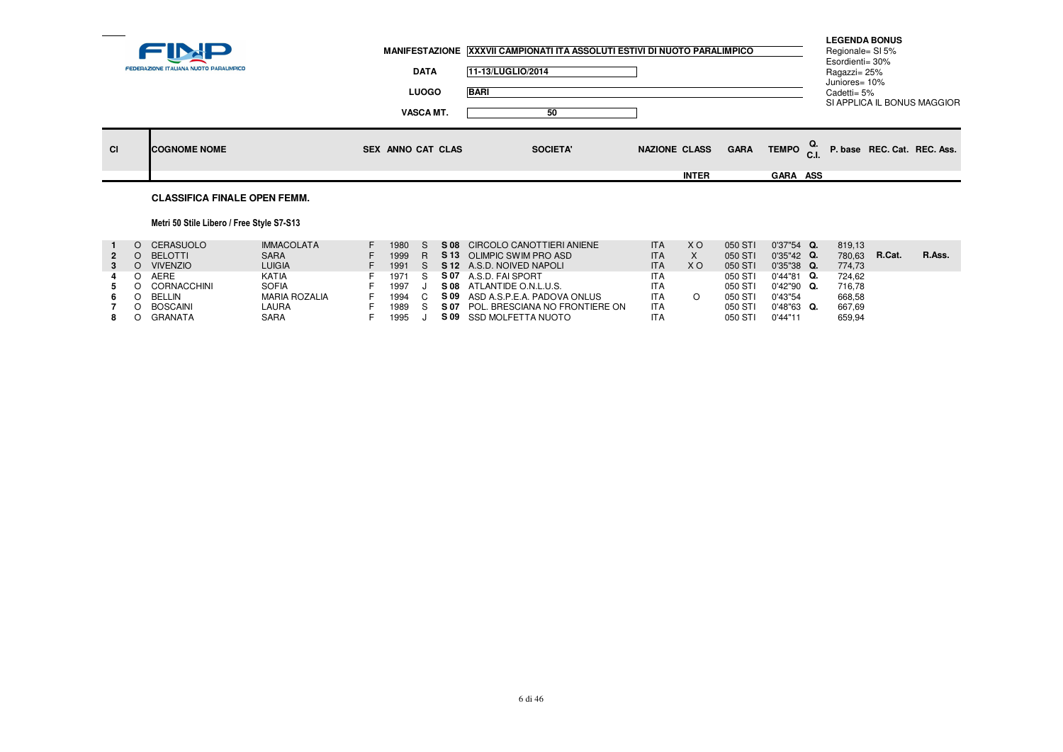|    | <b>FEDERAZIONE ITALIANA NUOTO PARALIMPICO</b> | <b>DATA</b><br><b>LUOGO</b> | MANIFESTAZIONE   XXXVII CAMPIONATI ITA ASSOLUTI ESTIVI DI NUOTO PARALIMPICO<br>11-13/LUGLIO/2014<br><b>BARI</b> |                                     |                 | <b>LEGENDA BONUS</b><br>Regionale= SI 5%<br>Esordienti= 30%<br>Ragazzi= 25%<br>Juniores= 10%<br>Cadetti= 5% | SI APPLICA IL BONUS MAGGIOR                                    |  |
|----|-----------------------------------------------|-----------------------------|-----------------------------------------------------------------------------------------------------------------|-------------------------------------|-----------------|-------------------------------------------------------------------------------------------------------------|----------------------------------------------------------------|--|
|    |                                               | VASCA MT.                   | 50                                                                                                              |                                     |                 |                                                                                                             |                                                                |  |
| CI | <b>ICOGNOME NOME</b>                          | <b>SEX ANNO CAT CLAS</b>    | <b>SOCIETA'</b>                                                                                                 | <b>GARA</b><br><b>NAZIONE CLASS</b> |                 |                                                                                                             | TEMPO $_{\text{C.I.}}^{\text{Q.}}$ P. base REC. Cat. REC. Ass. |  |
|    |                                               |                             |                                                                                                                 | <b>INTER</b>                        | <b>GARA ASS</b> |                                                                                                             |                                                                |  |
|    | <b>CLASSIFICA FINALE OPEN FEMM.</b>           |                             |                                                                                                                 |                                     |                 |                                                                                                             |                                                                |  |

## Metri 50 Stile Libero / Free Style S7-S13

|  | CERASUOLO       | <b>IMMACOLATA</b>    | 1980 | S 08 | CIRCOLO CANOTTIERI ANIENE      | <b>ITA</b> | X O            | 050 STI | $0'37"54$ Q.  | 819,13 |        |        |
|--|-----------------|----------------------|------|------|--------------------------------|------------|----------------|---------|---------------|--------|--------|--------|
|  | <b>BELOTTI</b>  | <b>SARA</b>          | 1999 | S 13 | OLIMPIC SWIM PRO ASD           | <b>ITA</b> |                | 050 STI | $0'35''42$ Q. | 780.63 | R.Cat. | R.Ass. |
|  | <b>VIVENZIO</b> | <b>LUIGIA</b>        | 1991 |      | S 12 A.S.D. NOIVED NAPOLI      | <b>ITA</b> | X <sub>O</sub> | 050 STI | $0'35''38$ Q. | 774.73 |        |        |
|  | <b>AERE</b>     | KATIA                | 1971 | S 07 | A.S.D. FAI SPORT               | <b>ITA</b> |                | 050 STI | $0'44''81$ Q. | 724.62 |        |        |
|  | CORNACCHINI     | SOFIA                | 1997 | S 08 | ATLANTIDE O.N.L.U.S.           | <b>ITA</b> |                | 050 STI | 0'42"90 Q.    | 716.78 |        |        |
|  | BELLIN          | <b>MARIA ROZALIA</b> | 1994 | S 09 | ASD A.S.P.E.A. PADOVA ONLUS    | <b>ITA</b> |                | 050 STI | 0'43"54       | 668,58 |        |        |
|  | BOSCAINI        | LAURA                | 1989 | S 07 | POL. BRESCIANA NO FRONTIERE ON | <b>ITA</b> |                | 050 STI | $0'48"63$ Q.  | 667,69 |        |        |
|  | GRANATA         | SARA                 | 1995 |      | S 09 SSD MOLFETTA NUOTO        | <b>ITA</b> |                | 050 STI | 0'44"11       | 659,94 |        |        |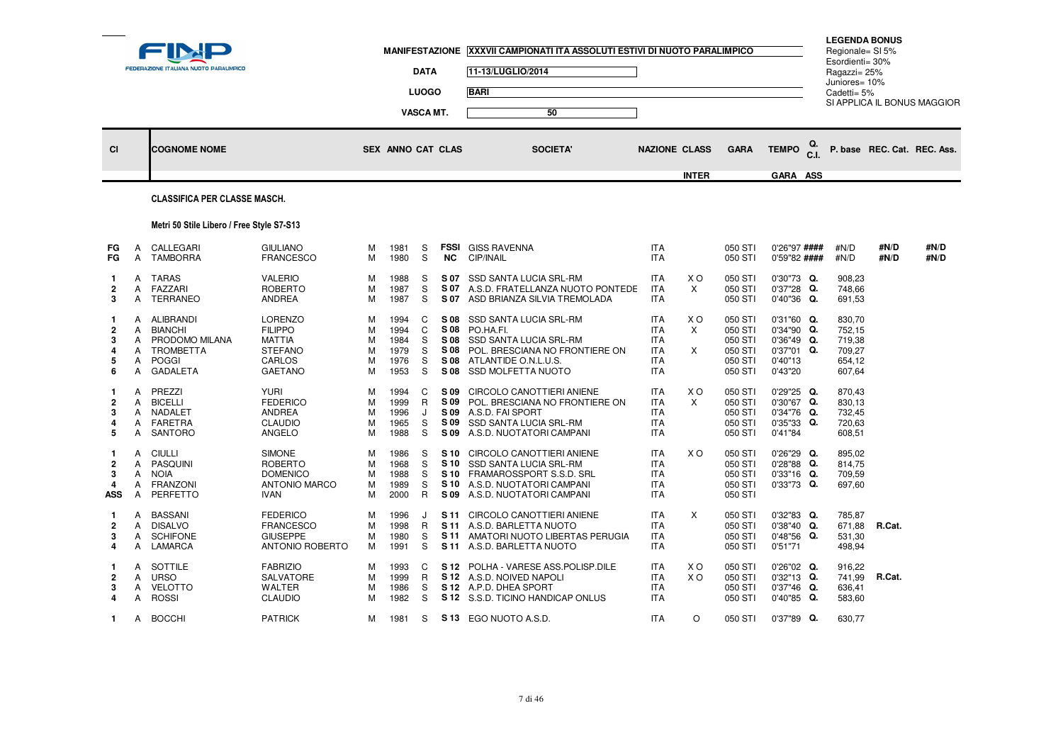|                                          |                            | FEDERAZIONE ITALIANA NUOTO PARALIMPICO                                                 |                                                                                           |                            |                                              | <b>DATA</b><br><b>LUOGO</b><br><b>VASCA MT.</b> |                                              | MANIFESTAZIONE XXXVII CAMPIONATI ITA ASSOLUTI ESTIVI DI NUOTO PARALIMPICO<br>11-13/LUGLIO/2014<br><b>BARI</b><br>50                                         |                                                                                  |               |                                                                |                                                                            | <b>LEGENDA BONUS</b><br>Regionale= SI 5%<br>Esordienti= 30%<br>Ragazzi= 25%<br>Juniores= 10%<br>Cadetti= 5% |                             | SI APPLICA IL BONUS MAGGIOR |
|------------------------------------------|----------------------------|----------------------------------------------------------------------------------------|-------------------------------------------------------------------------------------------|----------------------------|----------------------------------------------|-------------------------------------------------|----------------------------------------------|-------------------------------------------------------------------------------------------------------------------------------------------------------------|----------------------------------------------------------------------------------|---------------|----------------------------------------------------------------|----------------------------------------------------------------------------|-------------------------------------------------------------------------------------------------------------|-----------------------------|-----------------------------|
| <b>CI</b>                                |                            | <b>COGNOME NOME</b>                                                                    |                                                                                           |                            | <b>SEX ANNO CAT CLAS</b>                     |                                                 |                                              | <b>SOCIETA</b>                                                                                                                                              | <b>NAZIONE CLASS</b>                                                             |               | <b>GARA</b>                                                    | <b>TEMPO</b>                                                               |                                                                                                             | P. base REC. Cat. REC. Ass. |                             |
|                                          |                            | <b>CLASSIFICA PER CLASSE MASCH.</b>                                                    |                                                                                           |                            |                                              |                                                 |                                              |                                                                                                                                                             |                                                                                  | <b>INTER</b>  |                                                                | GARA ASS                                                                   |                                                                                                             |                             |                             |
|                                          |                            |                                                                                        |                                                                                           |                            |                                              |                                                 |                                              |                                                                                                                                                             |                                                                                  |               |                                                                |                                                                            |                                                                                                             |                             |                             |
|                                          |                            | Metri 50 Stile Libero / Free Style S7-S13                                              |                                                                                           |                            |                                              |                                                 |                                              |                                                                                                                                                             |                                                                                  |               |                                                                |                                                                            |                                                                                                             |                             |                             |
| FG<br>FG                                 | A<br>Α                     | CALLEGARI<br><b>TAMBORRA</b>                                                           | <b>GIULIANO</b><br><b>FRANCESCO</b>                                                       | М<br>M                     | 1981<br>1980                                 | S<br>S                                          | <b>FSSI</b><br><b>NC</b>                     | <b>GISS RAVENNA</b><br>CIP/INAIL                                                                                                                            | <b>ITA</b><br><b>ITA</b>                                                         |               | 050 STI<br>050 STI                                             | 0'26"97 ####<br>0'59"82 ####                                               | #N/D<br>#N/D                                                                                                | #N/D<br>#N/D                | #N/D<br>#N/D                |
| -1<br>$\overline{2}$<br>3                | A<br>A<br>Α                | TARAS<br>FAZZARI<br>TERRANEO                                                           | <b>VALERIO</b><br>ROBERTO<br>ANDREA                                                       | М<br>М<br>M                | 1988<br>1987<br>1987                         | S<br>S<br>S                                     | S 07<br>S 07<br>S 07                         | SSD SANTA LUCIA SRL-RM<br>A.S.D. FRATELLANZA NUOTO PONTEDE<br>ASD BRIANZA SILVIA TREMOLADA                                                                  | <b>ITA</b><br><b>ITA</b><br><b>ITA</b>                                           | X O<br>X      | 050 STI<br>050 STI<br>050 STI                                  | 0'30"73 Q.<br>0'37"28 Q.<br>$0'40''36$ Q.                                  | 908,23<br>748,66<br>691,53                                                                                  |                             |                             |
| -1<br>$\overline{2}$<br>3<br>4<br>5<br>6 | Α<br>Α<br>A<br>A<br>A<br>A | ALIBRANDI<br><b>BIANCHI</b><br>PRODOMO MILANA<br>TROMBETTA<br><b>POGGI</b><br>GADALETA | LORENZO<br><b>FILIPPO</b><br><b>MATTIA</b><br><b>STEFANO</b><br>CARLOS<br><b>GAETANO</b>  | М<br>M<br>M<br>М<br>М<br>М | 1994<br>1994<br>1984<br>1979<br>1976<br>1953 | C<br>C<br>S.<br>S<br>S<br>S                     | S 08<br>S 08<br>S 08<br>S 08<br>S 08<br>S 08 | SSD SANTA LUCIA SRL-RM<br>PO.HA.FI.<br>SSD SANTA LUCIA SRL-RM<br>POL. BRESCIANA NO FRONTIERE ON<br>ATLANTIDE O.N.L.U.S.<br>SSD MOLFETTA NUOTO               | <b>ITA</b><br><b>ITA</b><br><b>ITA</b><br><b>ITA</b><br><b>ITA</b><br><b>ITA</b> | X O<br>Χ<br>X | 050 STI<br>050 STI<br>050 STI<br>050 STI<br>050 STI<br>050 STI | 0'31"60 Q.<br>0'34"90 Q.<br>0'36"49 Q.<br>0'37"01 Q.<br>0'40"13<br>0'43"20 | 830,70<br>752,15<br>719,38<br>709,27<br>654,12<br>607,64                                                    |                             |                             |
| -1<br>$\overline{2}$<br>3<br>4<br>5      | A<br>A<br>A<br>A<br>A      | PREZZI<br><b>BICELLI</b><br>NADALET<br>FARETRA<br>SANTORO                              | <b>YURI</b><br><b>FEDERICO</b><br><b>ANDREA</b><br><b>CLAUDIO</b><br>ANGELO               | М<br>M<br>М<br>M<br>М      | 1994<br>1999<br>1996<br>1965<br>1988         | C<br>$\mathsf{R}$<br>J<br>S<br>S.               | S 09<br>S 09<br>S 09<br>S 09<br>S 09         | CIRCOLO CANOTTIERI ANIENE<br>POL. BRESCIANA NO FRONTIERE ON<br>A.S.D. FAI SPORT<br>SSD SANTA LUCIA SRL-RM<br>A.S.D. NUOTATORI CAMPANI                       | <b>ITA</b><br><b>ITA</b><br><b>ITA</b><br><b>ITA</b><br>ITA                      | X O<br>X      | 050 STI<br>050 STI<br>050 STI<br>050 STI<br>050 STI            | $0'29''25$ Q.<br>0'30"67 Q.<br>0'34"76 Q.<br>0'35"33 Q.<br>0'41"84         | 870,43<br>830,13<br>732,45<br>720,63<br>608,51                                                              |                             |                             |
| -1<br>$\overline{2}$<br>3<br>4<br>ASS    | Α<br>Α<br>Α<br>Α<br>Α      | <b>CIULLI</b><br>PASQUINI<br><b>NOIA</b><br>FRANZONI<br>PERFETTO                       | <b>SIMONE</b><br><b>ROBERTO</b><br><b>DOMENICO</b><br><b>ANTONIO MARCO</b><br><b>IVAN</b> | М<br>M<br>М<br>М<br>M      | 1986<br>1968<br>1988<br>1989<br>2000         | S<br>S<br>S.<br>S<br>$\mathsf{R}$               | S 09                                         | S 10 CIRCOLO CANOTTIERI ANIENE<br>S 10 SSD SANTA LUCIA SRL-RM<br>S 10 FRAMAROSSPORT S.S.D. SRL<br>S 10 A.S.D. NUOTATORI CAMPANI<br>A.S.D. NUOTATORI CAMPANI | <b>ITA</b><br><b>ITA</b><br><b>ITA</b><br><b>ITA</b><br><b>ITA</b>               | X O           | 050 STI<br>050 STI<br>050 STI<br>050 STI<br>050 STI            | $0'26''29$ Q.<br>0'28"88 Q.<br>$0'33"16$ Q.<br>0'33"73 Q.                  | 895,02<br>814,75<br>709,59<br>697,60                                                                        |                             |                             |
| -1<br>2<br>3<br>4                        | A<br>Α<br>Α<br>Α           | <b>BASSANI</b><br><b>DISALVO</b><br><b>SCHIFONE</b><br>LAMARCA                         | <b>FEDERICO</b><br><b>FRANCESCO</b><br><b>GIUSEPPE</b><br>ANTONIO ROBERTO                 | м<br>М<br>М<br>M           | 1996<br>1998<br>1980<br>1991                 | J<br>R<br>S<br>S                                | S 11<br>S 11                                 | S 11 CIRCOLO CANOTTIERI ANIENE<br>A.S.D. BARLETTA NUOTO<br>AMATORI NUOTO LIBERTAS PERUGIA<br>S 11 A.S.D. BARLETTA NUOTO                                     | <b>ITA</b><br><b>ITA</b><br><b>ITA</b><br><b>ITA</b>                             | $\times$      | 050 STI<br>050 STI<br>050 STI<br>050 STI                       | $0'32''83$ Q.<br>$0'38''40$ Q.<br>0'48"56 Q.<br>0'51"71                    | 785,87<br>671,88<br>531,30<br>498,94                                                                        | R.Cat.                      |                             |
| -1<br>$\overline{2}$<br>3<br>4           | Α<br>A<br>A<br>A           | SOTTILE<br><b>URSO</b><br><b>VELOTTO</b><br>ROSSI                                      | <b>FABRIZIO</b><br>SALVATORE<br><b>WALTER</b><br><b>CLAUDIO</b>                           | M<br>М<br>м<br>M           | 1993<br>1999<br>1986<br>1982                 | C<br>R.<br>S.<br>S                              |                                              | S 12 POLHA - VARESE ASS. POLISP. DILE<br>S 12 A.S.D. NOIVED NAPOLI<br>S 12 A.P.D. DHEA SPORT<br>S 12 S.S.D. TICINO HANDICAP ONLUS                           | <b>ITA</b><br><b>ITA</b><br><b>ITA</b><br>ITA                                    | X O<br>X O    | 050 STI<br>050 STI<br>050 STI<br>050 STI                       | $0'26''02$ Q.<br>0'32"13 Q.<br>$0'37''46$ Q.<br>0'40"85 Q.                 | 916,22<br>741,99<br>636,41<br>583,60                                                                        | R.Cat.                      |                             |
| $\mathbf{1}$                             |                            | A BOCCHI                                                                               | <b>PATRICK</b>                                                                            | м                          | 1981                                         | S                                               |                                              | S 13 EGO NUOTO A.S.D.                                                                                                                                       | <b>ITA</b>                                                                       | $\circ$       | 050 STI                                                        | 0'37"89 Q.                                                                 | 630,77                                                                                                      |                             |                             |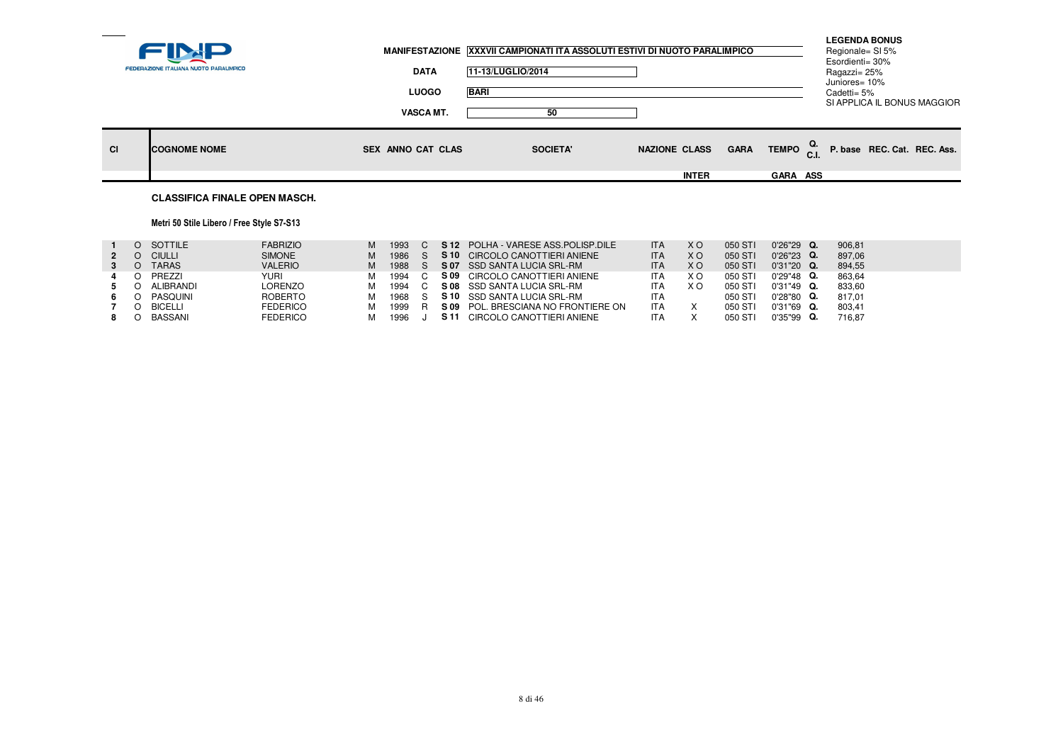|    |                                        |                          | MANIFESTAZIONE XXXVII CAMPIONATI ITA ASSOLUTI ESTIVI DI NUOTO PARALIMPICO |                      |                                      | <b>LEGENDA BONUS</b><br>Regionale= SI 5%<br>Esordienti= 30% |  |
|----|----------------------------------------|--------------------------|---------------------------------------------------------------------------|----------------------|--------------------------------------|-------------------------------------------------------------|--|
|    | FEDERAZIONE ITALIANA NUOTO PARALIMPICO | <b>DATA</b>              | 11-13/LUGLIO/2014                                                         |                      |                                      | Ragazzi= 25%<br>Juniores= 10%                               |  |
|    |                                        | <b>LUOGO</b>             | <b>BARI</b>                                                               |                      |                                      | Cadetti= 5%<br>SI APPLICA IL BONUS MAGGIOR                  |  |
|    |                                        | <b>VASCA MT.</b>         | 50                                                                        |                      |                                      |                                                             |  |
| CI | <b>COGNOME NOME</b>                    | <b>SEX ANNO CAT CLAS</b> | <b>SOCIETA'</b>                                                           | <b>NAZIONE CLASS</b> | TEMPO <sub>C.I.</sub><br><b>GARA</b> | P. base REC. Cat. REC. Ass.                                 |  |
|    |                                        |                          |                                                                           | <b>INTER</b>         | <b>GARA ASS</b>                      |                                                             |  |
|    | <b>CLASSIFICA FINALE OPEN MASCH.</b>   |                          |                                                                           |                      |                                      |                                                             |  |

## Metri 50 Stile Libero / Free Style S7-S13

|             | O SOTTILE     | <b>FABRIZIO</b> | м | 1993 |      | S 12 POLHA - VARESE ASS POLISP DILE | ITA        | X O | 050 ST  | $0'26''29$ Q. | 906.81 |
|-------------|---------------|-----------------|---|------|------|-------------------------------------|------------|-----|---------|---------------|--------|
| $2^{\circ}$ | <b>CIULLI</b> | <b>SIMONE</b>   | м | 1986 |      | S 10 CIRCOLO CANOTTIERI ANIENE      | <b>ITA</b> | X O | 050 ST  | $0'26''23$ Q. | 897.06 |
|             | <b>TARAS</b>  | <b>VALERIO</b>  | м | 1988 |      | S 07 SSD SANTA LUCIA SRL-RM         | <b>ITA</b> | X O | 050 ST  | $0'31''20$ Q. | 894.55 |
| 4           | PREZZI        | YURI            | м | 1994 | S 09 | CIRCOLO CANOTTIERI ANIENE           | ITA        | X O | 050 ST  | $0'29''48$ Q. | 863,64 |
|             | ALIBRANDI     | LORENZO         | м | 1994 |      | S 08 SSD SANTA LUCIA SRL-RM         | ITA        | X O | 050 ST  | $0'31''49$ Q. | 833.60 |
|             | PASQUINI      | ROBERTO         | M | 1968 |      | <b>S 10</b> SSD SANTA LUCIA SRL-RM  | <b>ITA</b> |     | 050 ST  | $0'28"80$ Q.  | 817.01 |
|             | BICELLI       | <b>FEDERICO</b> | м | 1999 |      | S 09 POL. BRESCIANA NO FRONTIERE ON | <b>ITA</b> |     | 050 ST  | $0'31''69$ Q. | 803.41 |
|             | BASSANI       | <b>FEDERICO</b> | м | 1996 | S 11 | CIRCOLO CANOTTIERI ANIENE           | <b>ITA</b> |     | 050 STI | $0'35''99$ Q. | 716.87 |
|             |               |                 |   |      |      |                                     |            |     |         |               |        |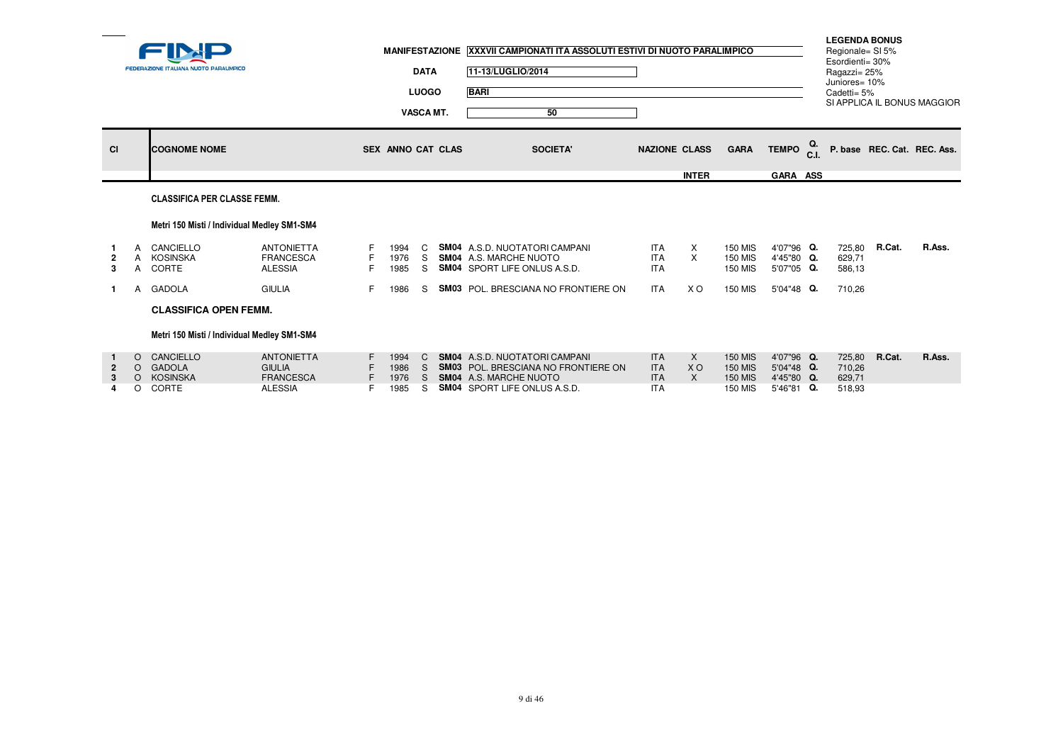|              |               | <b>FEDERAZIONE ITALIANA NUOTO PARALIMPICO</b> |                                                                          |    |                              | <b>DATA</b><br><b>LUOGO</b><br><b>VASCA MT.</b> | MANIFESTAZIONE XXXVII CAMPIONATI ITA ASSOLUTI ESTIVI DI NUOTO PARALIMPICO<br>11-13/LUGLIO/2014<br><b>BARI</b><br>50                                 |                                                      |                                           |                                                                      |                                                      | <b>LEGENDA BONUS</b><br>Regionale= SI 5%<br>Esordienti= 30%<br>Ragazzi= 25%<br>Juniores= 10%<br>Cadetti= 5% |        | SI APPLICA IL BONUS MAGGIOR |
|--------------|---------------|-----------------------------------------------|--------------------------------------------------------------------------|----|------------------------------|-------------------------------------------------|-----------------------------------------------------------------------------------------------------------------------------------------------------|------------------------------------------------------|-------------------------------------------|----------------------------------------------------------------------|------------------------------------------------------|-------------------------------------------------------------------------------------------------------------|--------|-----------------------------|
| <b>CI</b>    |               | <b>COGNOME NOME</b>                           |                                                                          |    | SEX ANNO CAT CLAS            |                                                 | <b>SOCIETA'</b>                                                                                                                                     |                                                      | <b>NAZIONE CLASS</b>                      | <b>GARA</b>                                                          | TEMPO <sub>C.I.</sub>                                |                                                                                                             |        | P. base REC. Cat. REC. Ass. |
|              |               |                                               |                                                                          |    |                              |                                                 |                                                                                                                                                     |                                                      | <b>INTER</b>                              |                                                                      | GARA ASS                                             |                                                                                                             |        |                             |
|              |               | <b>CLASSIFICA PER CLASSE FEMM.</b>            |                                                                          |    |                              |                                                 |                                                                                                                                                     |                                                      |                                           |                                                                      |                                                      |                                                                                                             |        |                             |
|              |               | Metri 150 Misti / Individual Medley SM1-SM4   |                                                                          |    |                              |                                                 |                                                                                                                                                     |                                                      |                                           |                                                                      |                                                      |                                                                                                             |        |                             |
| 2<br>3       |               | A CANCIELLO<br>A KOSINSKA<br>A CORTE          | <b>ANTONIETTA</b><br><b>FRANCESCA</b><br><b>ALESSIA</b>                  | F. | 1994<br>1976<br>1985         | C.<br>S.                                        | <b>SM04</b> A.S.D. NUOTATORI CAMPANI<br>S SM04 A.S. MARCHE NUOTO<br><b>SM04</b> SPORT LIFE ONLUS A.S.D.                                             | <b>ITA</b><br><b>ITA</b><br><b>ITA</b>               | $\boldsymbol{\mathsf{x}}$<br>$\mathsf{X}$ | <b>150 MIS</b><br><b>150 MIS</b><br><b>150 MIS</b>                   | 4'07"96 Q.<br>4'45"80 Q.<br>5'07"05 Q.               | 725,80<br>629,71<br>586,13                                                                                  | R.Cat. | R.Ass.                      |
| $\mathbf{1}$ |               | A GADOLA                                      | <b>GIULIA</b>                                                            |    | 1986                         | S.                                              | <b>SM03</b> POL. BRESCIANA NO FRONTIERE ON                                                                                                          | ITA                                                  | X O                                       | <b>150 MIS</b>                                                       | 5'04"48 Q.                                           | 710,26                                                                                                      |        |                             |
|              |               | <b>CLASSIFICA OPEN FEMM.</b>                  |                                                                          |    |                              |                                                 |                                                                                                                                                     |                                                      |                                           |                                                                      |                                                      |                                                                                                             |        |                             |
|              |               | Metri 150 Misti / Individual Medley SM1-SM4   |                                                                          |    |                              |                                                 |                                                                                                                                                     |                                                      |                                           |                                                                      |                                                      |                                                                                                             |        |                             |
| 2<br>3       | $\Omega$<br>O | O CANCIELLO<br>O GADOLA<br>KOSINSKA<br>CORTE  | <b>ANTONIETTA</b><br><b>GIULIA</b><br><b>FRANCESCA</b><br><b>ALESSIA</b> |    | 1994<br>1986<br>1976<br>1985 | C.<br>S.<br>S.<br>S                             | <b>SM04</b> A.S.D. NUOTATORI CAMPANI<br><b>SM03</b> POL. BRESCIANA NO FRONTIERE ON<br>SM04 A.S. MARCHE NUOTO<br><b>SM04 SPORT LIFE ONLUS A.S.D.</b> | <b>ITA</b><br><b>ITA</b><br><b>ITA</b><br><b>ITA</b> | $\times$<br><b>XO</b><br>$\times$         | <b>150 MIS</b><br><b>150 MIS</b><br><b>150 MIS</b><br><b>150 MIS</b> | 4'07"96 Q.<br>5'04"48 Q.<br>4'45"80 Q.<br>5'46"81 Q. | 725,80<br>710,26<br>629,71<br>518,93                                                                        | R.Cat. | R.Ass.                      |
|              |               |                                               |                                                                          |    |                              |                                                 |                                                                                                                                                     |                                                      |                                           |                                                                      |                                                      |                                                                                                             |        |                             |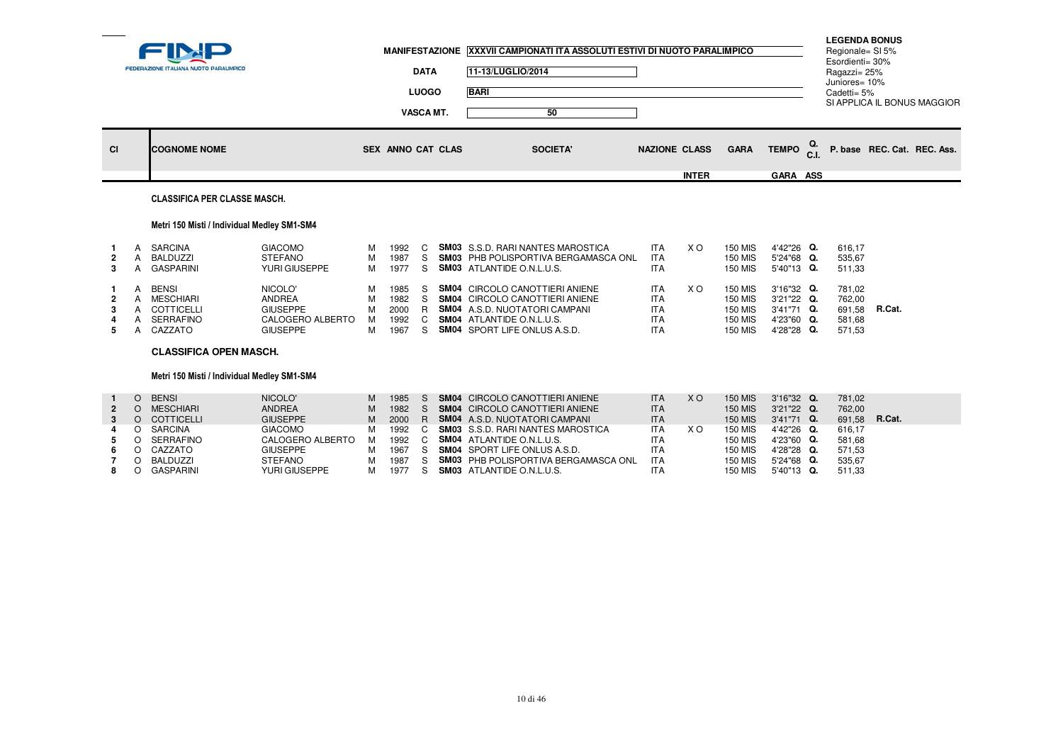|                              |   | <b>FEDERAZIONE ITALIANA NUOTO PARALIMPICO</b>                          |                                                                                    |                       |                                      | <b>DATA</b><br><b>LUOGO</b><br><b>VASCA MT.</b> | 11-13/LUGLIO/2014<br><b>BARI</b> | MANIFESTAZIONE XXXVII CAMPIONATI ITA ASSOLUTI ESTIVI DI NUOTO PARALIMPICO<br>50                                                                               |                                                                    |              |                                                                                        |                                                                    |            | <b>LEGENDA BONUS</b><br>Regionale= SI 5%<br>Esordienti= 30%<br>Ragazzi= 25%<br>Juniores= 10%<br>Cadetti= 5% | SI APPLICA IL BONUS MAGGIOR |  |
|------------------------------|---|------------------------------------------------------------------------|------------------------------------------------------------------------------------|-----------------------|--------------------------------------|-------------------------------------------------|----------------------------------|---------------------------------------------------------------------------------------------------------------------------------------------------------------|--------------------------------------------------------------------|--------------|----------------------------------------------------------------------------------------|--------------------------------------------------------------------|------------|-------------------------------------------------------------------------------------------------------------|-----------------------------|--|
| <b>CI</b>                    |   | <b>COGNOME NOME</b>                                                    |                                                                                    |                       | <b>SEX ANNO CAT CLAS</b>             |                                                 |                                  | <b>SOCIETA'</b>                                                                                                                                               | <b>NAZIONE CLASS</b>                                               |              | <b>GARA</b>                                                                            | <b>TEMPO</b>                                                       | Q.<br>C.I. |                                                                                                             | P. base REC. Cat. REC. Ass. |  |
|                              |   |                                                                        |                                                                                    |                       |                                      |                                                 |                                  |                                                                                                                                                               |                                                                    | <b>INTER</b> |                                                                                        | GARA ASS                                                           |            |                                                                                                             |                             |  |
|                              |   | <b>CLASSIFICA PER CLASSE MASCH.</b>                                    |                                                                                    |                       |                                      |                                                 |                                  |                                                                                                                                                               |                                                                    |              |                                                                                        |                                                                    |            |                                                                                                             |                             |  |
|                              |   | Metri 150 Misti / Individual Medley SM1-SM4                            |                                                                                    |                       |                                      |                                                 |                                  |                                                                                                                                                               |                                                                    |              |                                                                                        |                                                                    |            |                                                                                                             |                             |  |
| $\overline{\mathbf{2}}$<br>3 |   | <b>SARCINA</b><br><b>BALDUZZI</b><br><b>GASPARINI</b>                  | <b>GIACOMO</b><br><b>STEFANO</b><br>YURI GIUSEPPE                                  | м<br>M<br>M           | 1992<br>1987<br>1977                 | C.<br>S.                                        | <b>SM03</b> ATLANTIDE O.N.L.U.S. | <b>SM03</b> S.S.D. RARI NANTES MAROSTICA<br>S SM03 PHB POLISPORTIVA BERGAMASCA ONL                                                                            | <b>ITA</b><br><b>ITA</b><br><b>ITA</b>                             | X O          | <b>150 MIS</b><br><b>150 MIS</b><br><b>150 MIS</b>                                     | 4'42"26 Q.<br>5'24"68 Q.<br>5'40"13 Q.                             |            | 616.17<br>535,67<br>511,33                                                                                  |                             |  |
| -2<br>3<br>5                 | A | <b>BENSI</b><br>MESCHIARI<br>COTTICELLI<br><b>SERRAFINO</b><br>CAZZATO | NICOLO'<br><b>ANDREA</b><br><b>GIUSEPPE</b><br>CALOGERO ALBERTO<br><b>GIUSEPPE</b> | м<br>M<br>M<br>м<br>M | 1985<br>1982<br>2000<br>1992<br>1967 | S.<br>S.<br>R<br>C<br>S.                        | <b>SM04</b> ATLANTIDE O.N.L.U.S. | <b>SM04 CIRCOLO CANOTTIERI ANIENE</b><br><b>SM04 CIRCOLO CANOTTIERI ANIENE</b><br><b>SM04</b> A.S.D. NUOTATORI CAMPANI<br><b>SM04 SPORT LIFE ONLUS A.S.D.</b> | <b>ITA</b><br><b>ITA</b><br><b>ITA</b><br><b>ITA</b><br><b>ITA</b> | X O          | <b>150 MIS</b><br><b>150 MIS</b><br><b>150 MIS</b><br><b>150 MIS</b><br><b>150 MIS</b> | 3'16"32 Q.<br>3'21"22 Q.<br>3'41"71 Q.<br>4'23"60 Q.<br>4'28"28 Q. |            | 781,02<br>762,00<br>691,58<br>581,68<br>571,53                                                              | R.Cat.                      |  |
|                              |   | <b>CLASSIFICA OPEN MASCH.</b>                                          |                                                                                    |                       |                                      |                                                 |                                  |                                                                                                                                                               |                                                                    |              |                                                                                        |                                                                    |            |                                                                                                             |                             |  |
|                              |   | Metri 150 Misti / Individual Medlev SM1-SM4                            |                                                                                    |                       |                                      |                                                 |                                  |                                                                                                                                                               |                                                                    |              |                                                                                        |                                                                    |            |                                                                                                             |                             |  |

|   | <b>BENSI</b> | NICOLO'          | м | 1985   | SM04 CIRCOLO CANOTTIERI ANIENE                  | <b>ITA</b> | X O | <b>150 MIS</b> | $3'16''32$ Q. | 781.02 |        |
|---|--------------|------------------|---|--------|-------------------------------------------------|------------|-----|----------------|---------------|--------|--------|
|   | MESCHIARI    | <b>ANDREA</b>    | м | 1982   | <b>SM04 CIRCOLO CANOTTIERI ANIENE</b>           | <b>ITA</b> |     | <b>150 MIS</b> | 3'21"22 Q.    | 762.00 |        |
|   | O COTTICELLI | <b>GIUSEPPE</b>  | м | 2000   | <b>SM04</b> A.S.D. NUOTATORI CAMPANI            | <b>ITA</b> |     | 150 MIS        | $3'41''71$ Q. | 691.58 | R.Cat. |
|   | SARCINA      | <b>GIACOMO</b>   | м |        | 1992 C <b>SM03</b> S.S.D. RARI NANTES MAROSTICA | <b>ITA</b> | X O | 150 MIS        | 4'42"26 Q.    | 616.17 |        |
| 5 | SERRAFINO    | CALOGERO ALBERTO | м |        | 1992 C SM04 ATLANTIDE O.N.L.U.S.                | <b>ITA</b> |     | 150 MIS        | 4'23"60 Q.    | 581.68 |        |
|   | CAZZATO      | GIUSEPPE         |   | 1967   | <b>SM04</b> SPORT LIFE ONLUS A.S.D.             | <b>ITA</b> |     | <b>150 MIS</b> | 4'28"28 Q.    | 571.53 |        |
|   | BALDUZZI     | STEFANO          | м | 1987   | <b>SM03</b> PHB POLISPORTIVA BERGAMASCA ONL     | <b>ITA</b> |     | 150 MIS        | 5'24"68 Q.    | 535.67 |        |
|   | GASPARINI    | YURI GIUSEPPE    |   | 1977 S | <b>SM03</b> ATLANTIDE O.N.L.U.S.                | <b>ITA</b> |     | 150 MIS        | 5'40"13 Q.    | 511.33 |        |
|   |              |                  |   |        |                                                 |            |     |                |               |        |        |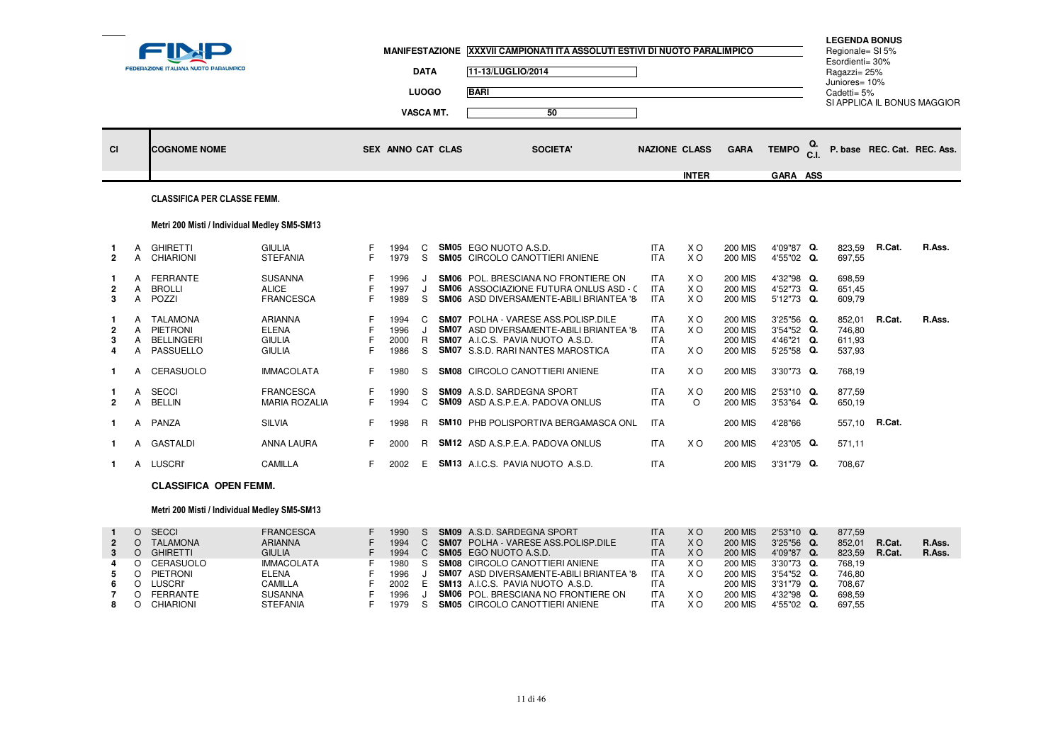|                          |                        | <b>FEDERAZIONE ITALIANA NUOTO PARALIMPICO</b>            |                                                                  |    | <b>MANIFESTAZIONE</b>        | <b>DATA</b><br><b>LUOGO</b><br>VASCA MT. | XXXVII CAMPIONATI ITA ASSOLUTI ESTIVI DI NUOTO PARALIMPICO<br>11-13/LUGLIO/2014<br><b>BARI</b><br>50                                                                 |                                                      |                              |                                                                      |                                                      | <b>LEGENDA BONUS</b><br>Regionale= SI 5%<br>Esordienti= 30%<br>Ragazzi= 25%<br>Juniores= 10%<br>Cadetti= 5% |               | SI APPLICA IL BONUS MAGGIOR |
|--------------------------|------------------------|----------------------------------------------------------|------------------------------------------------------------------|----|------------------------------|------------------------------------------|----------------------------------------------------------------------------------------------------------------------------------------------------------------------|------------------------------------------------------|------------------------------|----------------------------------------------------------------------|------------------------------------------------------|-------------------------------------------------------------------------------------------------------------|---------------|-----------------------------|
| <b>CI</b>                |                        | <b>COGNOME NOME</b>                                      |                                                                  |    | SEX ANNO CAT CLAS            |                                          | <b>SOCIETA'</b>                                                                                                                                                      |                                                      | <b>NAZIONE CLASS</b>         | <b>GARA</b>                                                          | <b>TEMPO</b>                                         |                                                                                                             |               | P. base REC. Cat. REC. Ass. |
|                          |                        |                                                          |                                                                  |    |                              |                                          |                                                                                                                                                                      |                                                      | <b>INTER</b>                 |                                                                      | GARA ASS                                             |                                                                                                             |               |                             |
|                          |                        | <b>CLASSIFICA PER CLASSE FEMM.</b>                       |                                                                  |    |                              |                                          |                                                                                                                                                                      |                                                      |                              |                                                                      |                                                      |                                                                                                             |               |                             |
|                          |                        | Metri 200 Misti / Individual Medley SM5-SM13             |                                                                  |    |                              |                                          |                                                                                                                                                                      |                                                      |                              |                                                                      |                                                      |                                                                                                             |               |                             |
| $\overline{2}$           | A<br>A                 | <b>GHIRETTI</b><br><b>CHIARIONI</b>                      | <b>GIULIA</b><br><b>STEFANIA</b>                                 | F. | 1994<br>1979                 | C<br>S                                   | SM05 EGO NUOTO A.S.D.<br>SM05 CIRCOLO CANOTTIERI ANIENE                                                                                                              | <b>ITA</b><br><b>ITA</b>                             | X O<br>X O                   | <b>200 MIS</b><br><b>200 MIS</b>                                     | 4'09"87 Q.<br>4'55"02 Q.                             | 823,59<br>697,55                                                                                            | R.Cat.        | R.Ass.                      |
| $\mathbf{2}$<br>3        | $\mathsf{A}$<br>A<br>A | FERRANTE<br><b>BROLLI</b><br>POZZI                       | <b>SUSANNA</b><br><b>ALICE</b><br><b>FRANCESCA</b>               | F. | 1996<br>1997<br>1989         | J<br>S                                   | SM06 POL. BRESCIANA NO FRONTIERE ON<br><b>SM06</b> ASSOCIAZIONE FUTURA ONLUS ASD - C<br>SM06 ASD DIVERSAMENTE-ABILI BRIANTEA '8-                                     | <b>ITA</b><br><b>ITA</b><br><b>ITA</b>               | X O<br>X O<br>X O            | <b>200 MIS</b><br><b>200 MIS</b><br><b>200 MIS</b>                   | 4'32"98 Q.<br>4'52"73 Q.<br>5'12"73 Q.               | 698,59<br>651,45<br>609,79                                                                                  |               |                             |
| $\overline{2}$<br>3<br>4 | A<br>A<br>A            | A TALAMONA<br>PIETRONI<br><b>BELLINGERI</b><br>PASSUELLO | <b>ARIANNA</b><br><b>ELENA</b><br><b>GIULIA</b><br><b>GIULIA</b> |    | 1994<br>1996<br>2000<br>1986 | C.<br>J                                  | <b>SM07 POLHA - VARESE ASS. POLISP. DILE</b><br>SM07 ASD DIVERSAMENTE-ABILI BRIANTEA '8<br>R SM07 A.I.C.S. PAVIA NUOTO A.S.D.<br>S SM07 S.S.D. RARI NANTES MAROSTICA | <b>ITA</b><br><b>ITA</b><br><b>ITA</b><br><b>ITA</b> | X O<br>X <sub>O</sub><br>X O | <b>200 MIS</b><br><b>200 MIS</b><br><b>200 MIS</b><br><b>200 MIS</b> | 3'25"56 Q.<br>3'54"52 Q.<br>4'46"21 Q.<br>5'25"58 Q. | 852,01<br>746.80<br>611,93<br>537,93                                                                        | R.Cat.        | R.Ass.                      |
| $\mathbf 1$              | A                      | CERASUOLO                                                | <b>IMMACOLATA</b>                                                |    | 1980                         | S                                        | SM08 CIRCOLO CANOTTIERI ANIENE                                                                                                                                       | <b>ITA</b>                                           | X O                          | <b>200 MIS</b>                                                       | 3'30"73 Q.                                           | 768,19                                                                                                      |               |                             |
| $\overline{2}$           | A<br>A                 | <b>SECCI</b><br><b>BELLIN</b>                            | <b>FRANCESCA</b><br><b>MARIA ROZALIA</b>                         | F. | 1990<br>1994                 | S<br>C                                   | <b>SM09</b> A.S.D. SARDEGNA SPORT<br>SM09 ASD A.S.P.E.A. PADOVA ONLUS                                                                                                | <b>ITA</b><br><b>ITA</b>                             | X O<br>$\circ$               | <b>200 MIS</b><br><b>200 MIS</b>                                     | 2'53"10 Q.<br>3'53"64 Q.                             | 877,59<br>650,19                                                                                            |               |                             |
|                          | A                      | PANZA                                                    | <b>SILVIA</b>                                                    |    | 1998                         | R.                                       | SM10 PHB POLISPORTIVA BERGAMASCA ONL                                                                                                                                 | <b>ITA</b>                                           |                              | <b>200 MIS</b>                                                       | 4'28"66                                              |                                                                                                             | 557,10 R.Cat. |                             |
|                          |                        | A GASTALDI                                               | ANNA LAURA                                                       | F. | 2000                         |                                          | R SM12 ASD A.S.P.E.A. PADOVA ONLUS                                                                                                                                   | <b>ITA</b>                                           | X O                          | <b>200 MIS</b>                                                       | 4'23"05 Q.                                           | 571,11                                                                                                      |               |                             |
|                          |                        | A LUSCRI'                                                | CAMILLA                                                          | F. | 2002                         |                                          | E SM13 A.I.C.S. PAVIA NUOTO A.S.D.                                                                                                                                   | <b>ITA</b>                                           |                              | <b>200 MIS</b>                                                       | 3'31"79 Q.                                           | 708,67                                                                                                      |               |                             |

#### **CLASSIFICA OPEN FEMM.**

**1** <sup>A</sup>

## Metri 200 Misti / Individual Medley SM5-SM13

|             | SECCI           | <b>FRANCESCA</b>  | 1990   |  | <b>SM09</b> A.S.D. SARDEGNA SPORT              | ITA        | X O | <b>200 MIS</b> | $2'53''10$ Q. | 877.59 |        |        |
|-------------|-----------------|-------------------|--------|--|------------------------------------------------|------------|-----|----------------|---------------|--------|--------|--------|
| $2^{\circ}$ | <b>TALAMONA</b> | <b>ARIANNA</b>    | 1994   |  | <b>SM07</b> POLHA - VARESE ASS. POLISP. DILE   | <b>ITA</b> | X O | <b>200 MIS</b> | $3'25''56$ Q. | 852.01 | R.Cat. | R.Ass. |
|             | GHIRETTI        | <b>GIULIA</b>     | 1994   |  | <b>SM05 EGO NUOTO A.S.D.</b>                   | <b>ITA</b> | X O | <b>200 MIS</b> | 4'09"87 Q.    | 823.59 | R.Cat. | R.Ass. |
| 4           | O CERASUOLO     | <b>IMMACOLATA</b> | 1980 S |  | <b>SM08 CIRCOLO CANOTTIERI ANIENE</b>          | <b>ITA</b> | X O | 200 MIS        | 3'30"73 Q.    | 768.19 |        |        |
|             | PIETRONI        | <b>ELENA</b>      | 1996   |  | <b>SM07</b> ASD DIVERSAMENTE-ABILI BRIANTEA '8 | <b>ITA</b> | X O | 200 MIS        | $3'54''52$ Q. | 746.80 |        |        |
| 6.          | _USCRI'         | CAMILLA           |        |  | 2002 E SM13 A.I.C.S. PAVIA NUOTO A.S.D.        | <b>ITA</b> |     | 200 MIS        | 3'31"79 Q.    | 708.67 |        |        |
|             | FERRANTE        | <b>SUSANNA</b>    | 1996   |  | <b>SM06</b> POL. BRESCIANA NO FRONTIERE ON     | <b>ITA</b> | X O | <b>200 MIS</b> | 4'32"98 Q.    | 698.59 |        |        |
|             | CHIARIONI       | <b>STEFANIA</b>   | 1979   |  | <b>SM05</b> CIRCOLO CANOTTIERI ANIENE          | <b>ITA</b> | xо  | <b>200 MIS</b> | 4'55"02 Q.    | 697.55 |        |        |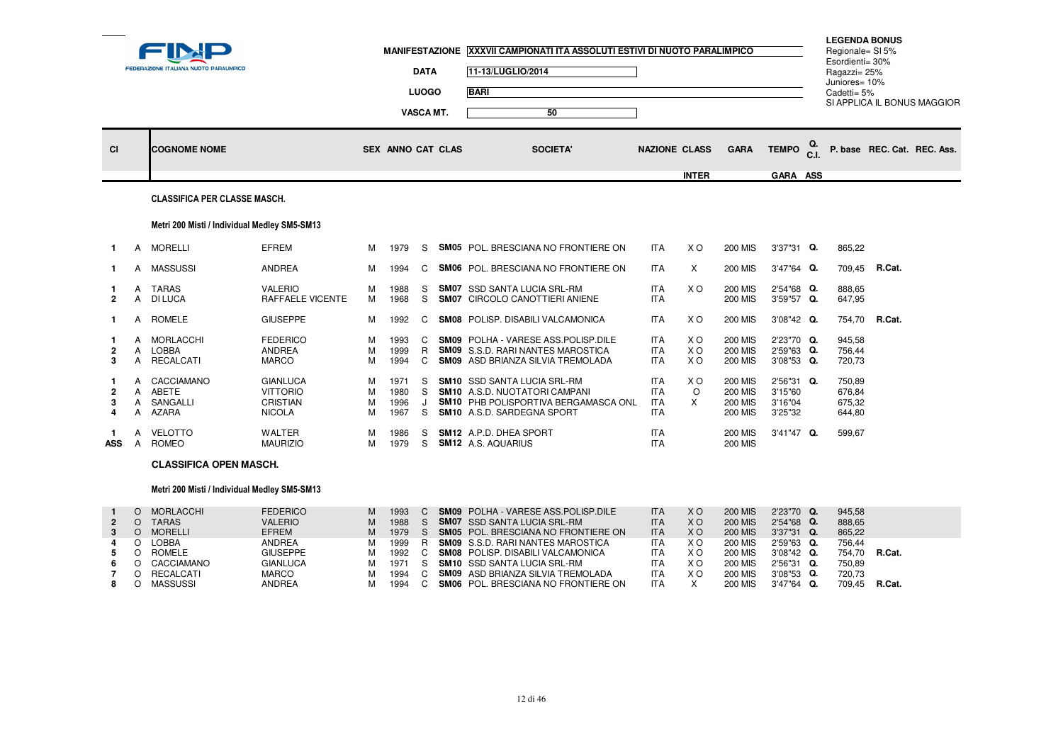| ___                       |                  | FEDERAZIONE ITALIANA NUOTO PARALIMPICO          |                                                                        |                  | <b>MANIFESTAZIONE</b>        | <b>DATA</b><br><b>LUOGO</b><br>VASCA MT. | XXXVII CAMPIONATI ITA ASSOLUTI ESTIVI DI NUOTO PARALIMPICO<br>11-13/LUGLIO/2014<br><b>BARI</b><br>50                                                    |                                                      |                                |                                                                      |                                             |    | <b>LEGENDA BONUS</b><br>Regionale= SI 5%<br>Esordienti= 30%<br>Ragazzi= 25%<br>Juniores= 10%<br>Cadetti= 5% |               | SI APPLICA IL BONUS MAGGIOR |
|---------------------------|------------------|-------------------------------------------------|------------------------------------------------------------------------|------------------|------------------------------|------------------------------------------|---------------------------------------------------------------------------------------------------------------------------------------------------------|------------------------------------------------------|--------------------------------|----------------------------------------------------------------------|---------------------------------------------|----|-------------------------------------------------------------------------------------------------------------|---------------|-----------------------------|
| <b>CI</b>                 |                  | <b>COGNOME NOME</b>                             |                                                                        |                  | <b>SEX ANNO CAT CLAS</b>     |                                          | <b>SOCIETA'</b>                                                                                                                                         | <b>NAZIONE CLASS</b>                                 |                                | <b>GARA</b>                                                          | <b>TEMPO</b>                                | Q. |                                                                                                             |               | P. base REC. Cat. REC. Ass. |
|                           |                  |                                                 |                                                                        |                  |                              |                                          |                                                                                                                                                         |                                                      | <b>INTER</b>                   |                                                                      | GARA ASS                                    |    |                                                                                                             |               |                             |
|                           |                  | <b>CLASSIFICA PER CLASSE MASCH.</b>             |                                                                        |                  |                              |                                          |                                                                                                                                                         |                                                      |                                |                                                                      |                                             |    |                                                                                                             |               |                             |
|                           |                  | Metri 200 Misti / Individual Medley SM5-SM13    |                                                                        |                  |                              |                                          |                                                                                                                                                         |                                                      |                                |                                                                      |                                             |    |                                                                                                             |               |                             |
| $\mathbf{1}$              |                  | A MORELLI                                       | EFREM                                                                  | м                | 1979                         | S.                                       | <b>SM05</b> POL. BRESCIANA NO FRONTIERE ON                                                                                                              | <b>ITA</b>                                           | X O                            | <b>200 MIS</b>                                                       | 3'37"31 Q.                                  |    | 865,22                                                                                                      |               |                             |
| 1.                        | A                | <b>MASSUSSI</b>                                 | <b>ANDREA</b>                                                          | м                | 1994                         | C.                                       | <b>SM06</b> POL. BRESCIANA NO FRONTIERE ON                                                                                                              | <b>ITA</b>                                           | X                              | <b>200 MIS</b>                                                       | 3'47"64 Q.                                  |    |                                                                                                             | 709,45 R.Cat. |                             |
| $\overline{2}$            | A<br>A           | <b>TARAS</b><br><b>DI LUCA</b>                  | <b>VALERIO</b><br>RAFFAELE VICENTE                                     | м<br>м           | 1988<br>1968                 | S<br>S.                                  | <b>SM07</b> SSD SANTA LUCIA SRL-RM<br>SM07 CIRCOLO CANOTTIERI ANIENE                                                                                    | <b>ITA</b><br><b>ITA</b>                             | X O                            | <b>200 MIS</b><br><b>200 MIS</b>                                     | 2'54"68 Q.<br>3'59"57 Q.                    |    | 888,65<br>647,95                                                                                            |               |                             |
|                           | A                | <b>ROMELE</b>                                   | <b>GIUSEPPE</b>                                                        | м                | 1992                         | C.                                       | <b>SM08</b> POLISP, DISABILI VALCAMONICA                                                                                                                | <b>ITA</b>                                           | X O                            | <b>200 MIS</b>                                                       | 3'08"42 Q.                                  |    | 754,70                                                                                                      | R.Cat.        |                             |
| $\overline{2}$<br>3       | A<br>A<br>A      | <b>MORLACCHI</b><br>LOBBA<br><b>RECALCATI</b>   | <b>FEDERICO</b><br><b>ANDREA</b><br><b>MARCO</b>                       | м<br>M<br>M      | 1993<br>1999<br>1994         | $\mathbf{C}$                             | C SM09 POLHA - VARESE ASS. POLISP. DILE<br>R SM09 S.S.D. RARI NANTES MAROSTICA<br><b>SM09</b> ASD BRIANZA SILVIA TREMOLADA                              | <b>ITA</b><br><b>ITA</b><br><b>ITA</b>               | X O<br>X <sub>O</sub><br>X O   | <b>200 MIS</b><br><b>200 MIS</b><br><b>200 MIS</b>                   | 2'23"70 Q.<br>2'59"63 Q.<br>3'08"53 Q.      |    | 945.58<br>756,44<br>720,73                                                                                  |               |                             |
| 4                         | A<br>A<br>A<br>A | CACCIAMANO<br>ABETE<br>SANGALLI<br><b>AZARA</b> | <b>GIANLUCA</b><br><b>VITTORIO</b><br><b>CRISTIAN</b><br><b>NICOLA</b> | м<br>M<br>М<br>м | 1971<br>1980<br>1996<br>1967 | S.<br>S.<br>S.                           | <b>SM10</b> SSD SANTA LUCIA SRL-RM<br><b>SM10</b> A.S.D. NUOTATORI CAMPANI<br><b>SM10 PHB POLISPORTIVA BERGAMASCA ONL</b><br>SM10 A.S.D. SARDEGNA SPORT | <b>ITA</b><br><b>ITA</b><br><b>ITA</b><br><b>ITA</b> | X <sub>O</sub><br>$\circ$<br>X | <b>200 MIS</b><br><b>200 MIS</b><br><b>200 MIS</b><br><b>200 MIS</b> | 2'56"31 Q.<br>3'15"60<br>3'16"04<br>3'25"32 |    | 750,89<br>676.84<br>675,32<br>644,80                                                                        |               |                             |
| $\mathbf 1$<br><b>ASS</b> | A<br>A           | VELOTTO<br><b>ROMEO</b>                         | <b>WALTER</b><br><b>MAURIZIO</b>                                       | м<br>м           | 1986<br>1979                 | S<br>S.                                  | SM12 A.P.D. DHEA SPORT<br><b>SM12</b> A.S. AQUARIUS                                                                                                     | <b>ITA</b><br><b>ITA</b>                             |                                | <b>200 MIS</b><br><b>200 MIS</b>                                     | 3'41"47 Q.                                  |    | 599,67                                                                                                      |               |                             |
|                           |                  | <b>CLASSIFICA OPEN MASCH.</b>                   |                                                                        |                  |                              |                                          |                                                                                                                                                         |                                                      |                                |                                                                      |                                             |    |                                                                                                             |               |                             |

## Metri 200 Misti / Individual Medley SM5-SM13

|             | <b>MORLACCHI</b> | <b>FEDERICO</b> | м | 1993 |  | <b>SM09</b> POLHA - VARESE ASS. POLISP. DILE | <b>ITA</b> | X O | <b>200 MIS</b> | 2'23"70 Q.    | 945.58 |        |
|-------------|------------------|-----------------|---|------|--|----------------------------------------------|------------|-----|----------------|---------------|--------|--------|
| $2^{\circ}$ | TARAS            | <b>VALERIO</b>  | м | 1988 |  | <b>SM07</b> SSD SANTA LUCIA SRL-RM           | <b>ITA</b> | X O | <b>200 MIS</b> | 2'54"68 Q.    | 888,65 |        |
|             | MORELLI          | EFREM           | м | 1979 |  | <b>SM05</b> POL. BRESCIANA NO FRONTIERE ON   | <b>ITA</b> | X O | <b>200 MIS</b> | $3'37''31$ Q. | 865.22 |        |
| 4           | LOBBA            | ANDREA          | м | 1999 |  | <b>SM09</b> S.S.D. RARI NANTES MAROSTICA     | <b>ITA</b> | X O | <b>200 MIS</b> | 2'59"63 Q.    | 756.44 |        |
|             | ROMELE           | <b>GIUSEPPE</b> | м | 1992 |  | <b>SM08</b> POLISP. DISABILI VALCAMONICA     | <b>ITA</b> | xо  | <b>200 MIS</b> | $3'08''42$ Q. | 754.70 | R.Cat. |
| 6.          | CACCIAMANO       | <b>GIANLUCA</b> | м | 1971 |  | <b>SM10</b> SSD SANTA LUCIA SRL-RM           | <b>ITA</b> | X O | <b>200 MIS</b> | 2'56"31 Q.    | 750.89 |        |
|             | RECALCATI        | MARCO           | м | 1994 |  | <b>SM09</b> ASD BRIANZA SILVIA TREMOLADA     | <b>ITA</b> | xо  | <b>200 MIS</b> | $3'08''53$ Q. | 720.73 |        |
|             | MASSUSSI         | <b>ANDREA</b>   |   | 1994 |  | <b>SM06</b> POL. BRESCIANA NO FRONTIERE ON   | <b>ITA</b> |     | <b>200 MIS</b> | $3'47''64$ Q. | 709.45 | R.Cat. |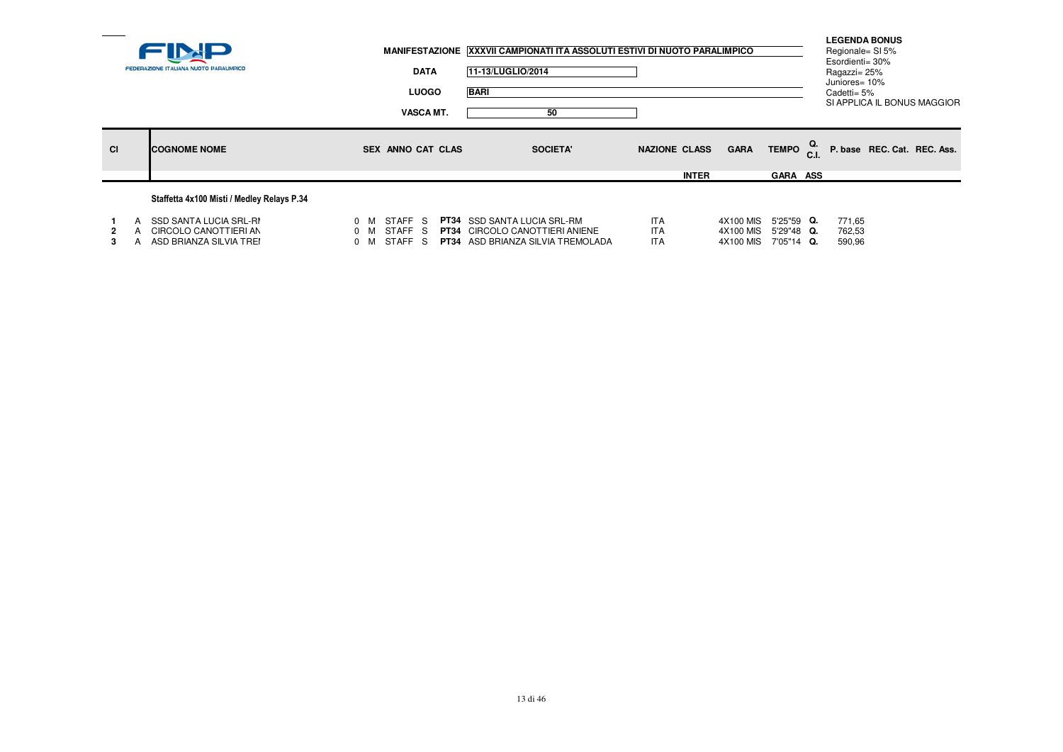|           | FEDERAZIONE ITALIANA NUOTO PARALIMPICO                                     | <b>DATA</b><br><b>LUOGO</b><br><b>VASCA MT.</b>    | MANIFESTAZIONE XXXVII CAMPIONATI ITA ASSOLUTI ESTIVI DI NUOTO PARALIMPICO<br>11-13/LUGLIO/2014<br><b>BARI</b><br>50     |                                        |                                     |                                          | <b>LEGENDA BONUS</b><br>Regionale= SI 5%<br>Esordienti= 30%<br>Ragazzi= 25%<br>Juniores= 10%<br>Cadetti= 5%<br>SI APPLICA IL BONUS MAGGIOR |  |
|-----------|----------------------------------------------------------------------------|----------------------------------------------------|-------------------------------------------------------------------------------------------------------------------------|----------------------------------------|-------------------------------------|------------------------------------------|--------------------------------------------------------------------------------------------------------------------------------------------|--|
| <b>CI</b> | <b>ICOGNOME NOME</b>                                                       | <b>SEX ANNO CAT CLAS</b>                           | <b>SOCIETA'</b>                                                                                                         | <b>NAZIONE CLASS</b><br><b>INTER</b>   | <b>GARA</b>                         | TEMPO <sub>C.I.</sub><br><b>GARA ASS</b> | P. base REC. Cat. REC. Ass.                                                                                                                |  |
|           | Staffetta 4x100 Misti / Medley Relays P.34                                 |                                                    |                                                                                                                         |                                        |                                     |                                          |                                                                                                                                            |  |
| 2<br>3.   | SSD SANTA LUCIA SRL-RI<br>CIRCOLO CANOTTIERI AN<br>ASD BRIANZA SILVIA TREI | STAFF S<br>0 M<br>STAFF S<br>0 M<br>STAFF S<br>0 M | <b>PT34</b> SSD SANTA LUCIA SRL-RM<br><b>PT34</b> CIRCOLO CANOTTIERI ANIENE<br><b>PT34</b> ASD BRIANZA SILVIA TREMOLADA | <b>ITA</b><br><b>ITA</b><br><b>ITA</b> | 4X100 MIS<br>4X100 MIS<br>4X100 MIS | 5'25"59 Q.<br>5'29"48 Q.<br>7'05"14 Q.   | 771,65<br>762,53<br>590,96                                                                                                                 |  |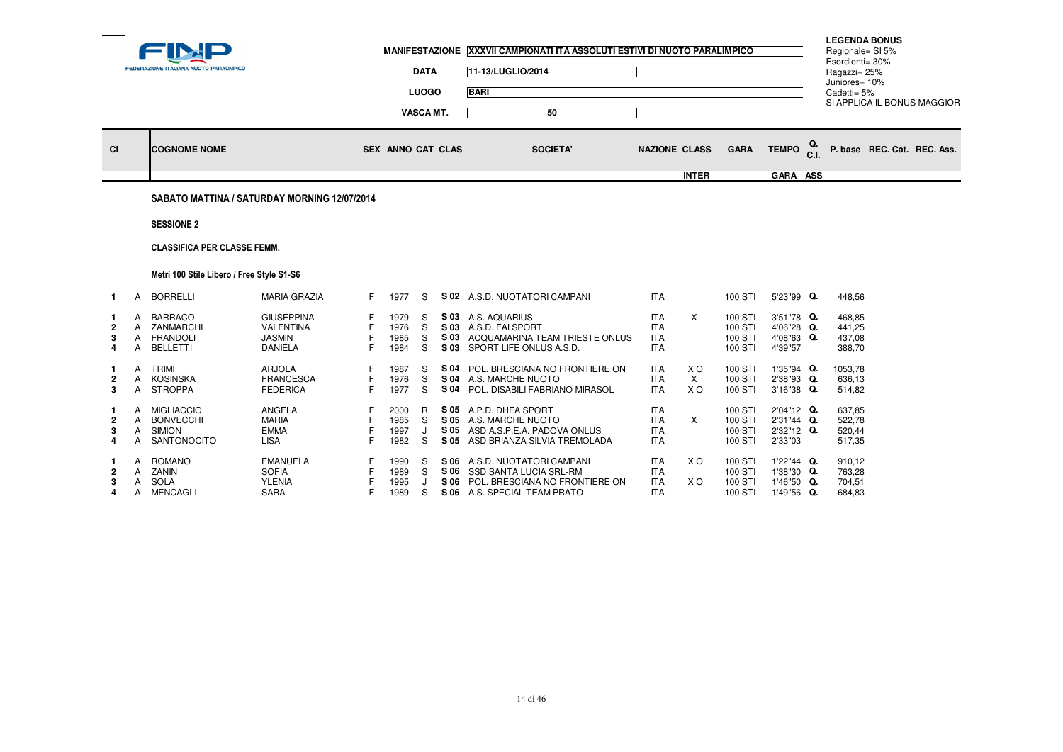|                                    |                               | <b>FEDERAZIONE ITALIANA NUOTO PARALIMPICO</b>                         |                                                                          |                   | <b>MANIFESTAZIONE</b>        | <b>DATA</b><br><b>LUOGO</b><br>VASCA MT. |                      | XXXVII CAMPIONATI ITA ASSOLUTI ESTIVI DI NUOTO PARALIMPICO<br>11-13/LUGLIO/2014<br><b>BARI</b><br>50                 |                                                      |                                   |                                          |                                                      |            | <b>LEGENDA BONUS</b><br>Regionale= SI 5%<br>Esordienti= 30%<br>Ragazzi= 25%<br>Juniores= 10%<br>Cadetti= 5% | SI APPLICA IL BONUS MAGGIOR |
|------------------------------------|-------------------------------|-----------------------------------------------------------------------|--------------------------------------------------------------------------|-------------------|------------------------------|------------------------------------------|----------------------|----------------------------------------------------------------------------------------------------------------------|------------------------------------------------------|-----------------------------------|------------------------------------------|------------------------------------------------------|------------|-------------------------------------------------------------------------------------------------------------|-----------------------------|
| CI                                 |                               | <b>COGNOME NOME</b>                                                   |                                                                          |                   | SEX ANNO CAT CLAS            |                                          |                      | <b>SOCIETA'</b>                                                                                                      | <b>NAZIONE CLASS</b>                                 |                                   | <b>GARA</b>                              | <b>TEMPO</b>                                         | Q.<br>C.I. |                                                                                                             | P. base REC. Cat. REC. Ass. |
|                                    |                               |                                                                       |                                                                          |                   |                              |                                          |                      |                                                                                                                      |                                                      | <b>INTER</b>                      |                                          | GARA ASS                                             |            |                                                                                                             |                             |
|                                    |                               | SABATO MATTINA / SATURDAY MORNING 12/07/2014                          |                                                                          |                   |                              |                                          |                      |                                                                                                                      |                                                      |                                   |                                          |                                                      |            |                                                                                                             |                             |
|                                    |                               | <b>SESSIONE 2</b>                                                     |                                                                          |                   |                              |                                          |                      |                                                                                                                      |                                                      |                                   |                                          |                                                      |            |                                                                                                             |                             |
|                                    |                               | <b>CLASSIFICA PER CLASSE FEMM.</b>                                    |                                                                          |                   |                              |                                          |                      |                                                                                                                      |                                                      |                                   |                                          |                                                      |            |                                                                                                             |                             |
|                                    |                               | Metri 100 Stile Libero / Free Style S1-S6                             |                                                                          |                   |                              |                                          |                      |                                                                                                                      |                                                      |                                   |                                          |                                                      |            |                                                                                                             |                             |
| $\mathbf{1}$                       | A                             | <b>BORRELLI</b>                                                       | <b>MARIA GRAZIA</b>                                                      | F.                | 1977                         | S                                        |                      | S 02 A.S.D. NUOTATORI CAMPANI                                                                                        | <b>ITA</b>                                           |                                   | 100 STI                                  | 5'23"99 Q.                                           |            | 448,56                                                                                                      |                             |
| 2<br>4                             | A<br>A<br>$\mathsf{A}$<br>A   | <b>BARRACO</b><br>ZANMARCHI<br><b>FRANDOLI</b><br><b>BELLETTI</b>     | <b>GIUSEPPINA</b><br><b>VALENTINA</b><br><b>JASMIN</b><br><b>DANIELA</b> | F<br>F            | 1979<br>1976<br>1985<br>1984 | S<br>S<br>S<br>S                         | S 03<br>S 03<br>S 03 | S 03 A.S. AQUARIUS<br>A.S.D. FAI SPORT<br>ACQUAMARINA TEAM TRIESTE ONLUS<br>SPORT LIFE ONLUS A.S.D.                  | <b>ITA</b><br><b>ITA</b><br><b>ITA</b><br><b>ITA</b> | X                                 | 100 STI<br>100 STI<br>100 STI<br>100 STI | 3'51"78 Q.<br>4'06"28 Q.<br>4'08"63 Q.<br>4'39"57    |            | 468.85<br>441.25<br>437,08<br>388,70                                                                        |                             |
| -1<br>$\overline{\mathbf{2}}$<br>3 | A<br>A<br>A                   | <b>TRIMI</b><br><b>KOSINSKA</b><br><b>STROPPA</b>                     | <b>ARJOLA</b><br><b>FRANCESCA</b><br><b>FEDERICA</b>                     | E<br>F.           | 1987<br>1976<br>1977         | S<br>S<br>S                              | S 04<br>S 04<br>S 04 | POL. BRESCIANA NO FRONTIERE ON<br>A.S. MARCHE NUOTO<br>POL. DISABILI FABRIANO MIRASOL                                | <b>ITA</b><br><b>ITA</b><br><b>ITA</b>               | X O<br>$\times$<br>X <sub>O</sub> | 100 STI<br>100 STI<br>100 STI            | 1'35"94 Q.<br>2'38"93 Q.<br>3'16"38 Q.               |            | 1053,78<br>636,13<br>514,82                                                                                 |                             |
| -1<br>3<br>4                       | A<br>A<br>A<br>$\overline{A}$ | <b>MIGLIACCIO</b><br><b>BONVECCHI</b><br><b>SIMION</b><br>SANTONOCITO | ANGELA<br><b>MARIA</b><br><b>EMMA</b><br><b>LISA</b>                     | F<br>F            | 2000<br>1985<br>1997<br>1982 | R<br>S.<br>J<br>S                        | S 05<br>S 05         | S 05 A.P.D. DHEA SPORT<br>S 05 A.S. MARCHE NUOTO<br>ASD A.S.P.E.A. PADOVA ONLUS<br>ASD BRIANZA SILVIA TREMOLADA      | <b>ITA</b><br><b>ITA</b><br><b>ITA</b><br><b>ITA</b> | $\times$                          | 100 STI<br>100 STI<br>100 STI<br>100 STI | 2'04"12 Q.<br>2'31"44 Q.<br>2'32"12 Q.<br>2'33"03    |            | 637,85<br>522,78<br>520,44<br>517,35                                                                        |                             |
| -1<br>2<br>3<br>4                  | A<br>A<br>Α<br>A              | <b>ROMANO</b><br>ZANIN<br><b>SOLA</b><br><b>MENCAGLI</b>              | <b>EMANUELA</b><br><b>SOFIA</b><br><b>YLENIA</b><br>SARA                 | F<br>F<br>F<br>F. | 1990<br>1989<br>1995<br>1989 | S<br>S.<br>S                             | S 06<br>S 06<br>S 06 | A.S.D. NUOTATORI CAMPANI<br>SSD SANTA LUCIA SRL-RM<br>POL. BRESCIANA NO FRONTIERE ON<br>S 06 A.S. SPECIAL TEAM PRATO | <b>ITA</b><br><b>ITA</b><br><b>ITA</b><br><b>ITA</b> | X O<br>X O                        | 100 STI<br>100 STI<br>100 STI<br>100 STI | 1'22"44 Q.<br>1'38"30 Q.<br>1'46"50 Q.<br>1'49"56 Q. |            | 910,12<br>763,28<br>704,51<br>684,83                                                                        |                             |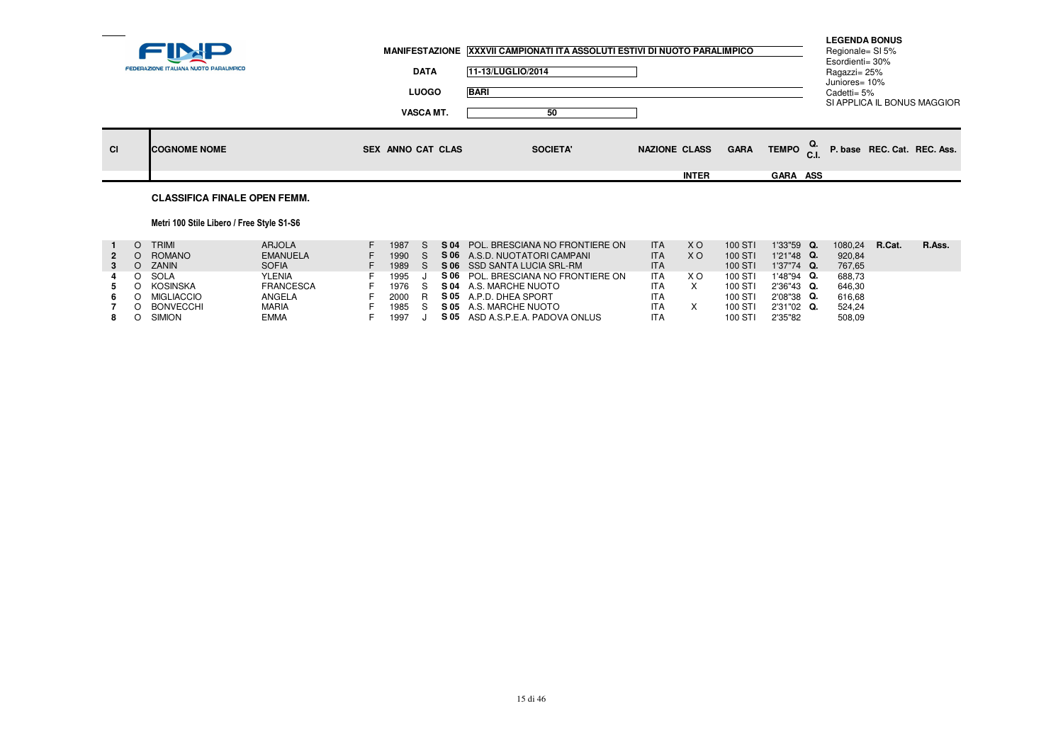|           | FEDERAZIONE ITALIANA NUOTO PARALIMPICO | <b>DATA</b>                      | MANIFESTAZIONE XXXVII CAMPIONATI ITA ASSOLUTI ESTIVI DI NUOTO PARALIMPICO<br>11-13/LUGLIO/2014 |                      |             |                                    | <b>LEGENDA BONUS</b><br>Regionale= SI 5%<br>Esordienti= 30% |                             |
|-----------|----------------------------------------|----------------------------------|------------------------------------------------------------------------------------------------|----------------------|-------------|------------------------------------|-------------------------------------------------------------|-----------------------------|
|           |                                        | <b>LUOGO</b><br><b>VASCA MT.</b> | <b>BARI</b><br>50                                                                              |                      |             |                                    | Ragazzi= 25%<br>Juniores= 10%<br>Cadetti= 5%                | SI APPLICA IL BONUS MAGGIOR |
| <b>CI</b> | <b>COGNOME NOME</b>                    | <b>SEX ANNO CAT CLAS</b>         | <b>SOCIETA'</b>                                                                                | <b>NAZIONE CLASS</b> | <b>GARA</b> | TEMPO $_{\text{C.I.}}^{\text{Q.}}$ |                                                             | P. base REC. Cat. REC. Ass. |
|           |                                        |                                  |                                                                                                | <b>INTER</b>         |             | <b>GARA ASS</b>                    |                                                             |                             |
|           | <b>CLASSIFICA FINALE OPEN FEMM.</b>    |                                  |                                                                                                |                      |             |                                    |                                                             |                             |

## Metri 100 Stile Libero / Free Style S1-S6

|             | <b>TRIMI</b>     | <b>ARJOLA</b>    | 1987 | S 04 | POL. BRESCIANA NO FRONTIERE ON      | <b>ITA</b> | X O | 100 STI | 1'33"59 Q.    | 1080.24 | R.Cat. | R.Ass. |
|-------------|------------------|------------------|------|------|-------------------------------------|------------|-----|---------|---------------|---------|--------|--------|
| $2^{\circ}$ | ROMANO           | <b>EMANUELA</b>  | 1990 |      | S 06 A.S.D. NUOTATORI CAMPANI       | <b>ITA</b> | X O | 100 STI | $1'21''48$ Q. | 920.84  |        |        |
|             | ZANIN            | <b>SOFIA</b>     | 1989 |      | S 06 SSD SANTA LUCIA SRL-RM         | <b>ITA</b> |     | 100 STI | 1'37"74 Q.    | 767.65  |        |        |
| 4           | SOLA             | <b>YLENIA</b>    | 1995 |      | S 06 POL. BRESCIANA NO FRONTIERE ON | <b>ITA</b> | X O | 100 STI | 1'48"94 Q.    | 688.73  |        |        |
|             | KOSINSKA         | <b>FRANCESCA</b> | 1976 |      | <b>S 04 A.S. MARCHE NUOTO</b>       | ITA        |     | 100 STI | $2'36''43$ Q. | 646.30  |        |        |
| 6.          | MIGLIACCIO       | ANGELA           | 2000 |      | S 05 A.P.D. DHEA SPORT              | <b>ITA</b> |     | 100 STI | 2'08"38 Q.    | 616.68  |        |        |
|             | <b>BONVECCHI</b> | <b>MARIA</b>     | 1985 |      | S 05 A.S. MARCHE NUOTO              | <b>ITA</b> |     | 100 STI | 2'31"02 Q.    | 524.24  |        |        |
|             | <b>SIMION</b>    | <b>EMMA</b>      | 1997 | S 05 | ASD A.S.P.E.A. PADOVA ONLUS         | <b>ITA</b> |     | 100 STI | 2'35"82       | 508,09  |        |        |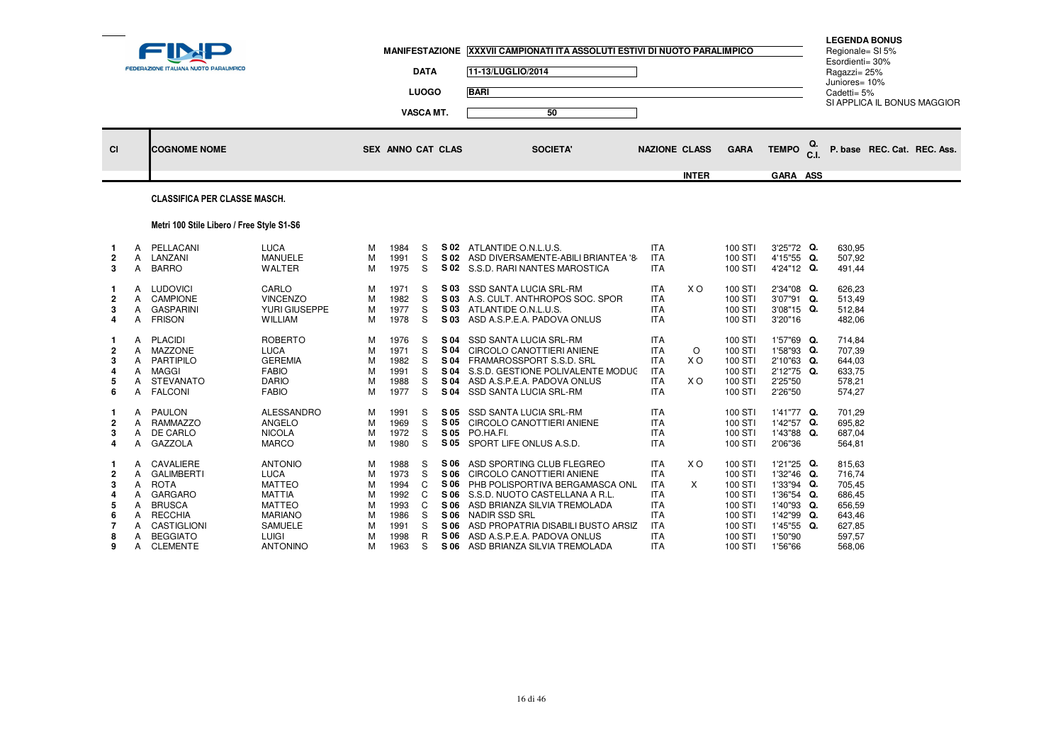| <b>BARI</b><br><b>LUOGO</b><br>Cadetti= 5%<br>SI APPLICA IL BONUS MAGGIOR<br><b>VASCA MT.</b><br>50<br>TEMPO <sup>Q.</sup><br>P. base REC. Cat. REC. Ass.<br><b>GARA</b><br><b>NAZIONE CLASS</b><br>CI<br><b>COGNOME NOME</b><br>SEX ANNO CAT CLAS<br><b>SOCIETA'</b><br><b>INTER</b><br><b>GARA ASS</b> | <b>FEDERAZIONE ITALIANA NUOTO PARALIMPICO</b> | <b>DATA</b> | 11-13/LUGLIO/2014 | MANIFESTAZIONE XXXVII CAMPIONATI ITA ASSOLUTI ESTIVI DI NUOTO PARALIMPICO |  | Esordienti= 30%<br>Ragazzi= 25%<br>Juniores= 10% | <b>LEGENDA BONUS</b><br>Regionale= SI 5% |  |
|----------------------------------------------------------------------------------------------------------------------------------------------------------------------------------------------------------------------------------------------------------------------------------------------------------|-----------------------------------------------|-------------|-------------------|---------------------------------------------------------------------------|--|--------------------------------------------------|------------------------------------------|--|
|                                                                                                                                                                                                                                                                                                          |                                               |             |                   |                                                                           |  |                                                  |                                          |  |
|                                                                                                                                                                                                                                                                                                          |                                               |             |                   |                                                                           |  |                                                  |                                          |  |
|                                                                                                                                                                                                                                                                                                          |                                               |             |                   |                                                                           |  |                                                  |                                          |  |
|                                                                                                                                                                                                                                                                                                          |                                               |             |                   |                                                                           |  |                                                  |                                          |  |

# CLASSIFICA PER CLASSE MASCH.

# Metri 100 Stile Libero / Free Style S1-S6

| $\overline{2}$<br>3                               | A<br>A                                    | PELLACANI<br>LANZANI<br><b>BARRO</b>                                                                                                                    | <b>LUCA</b><br><b>MANUELE</b><br><b>WALTER</b>                                                                                                          | М<br>М<br>М                               | 1984<br>1991<br>1975                                                 | S<br>S<br>S                               | S 02<br>S 02                                                         | ATLANTIDE O.N.L.U.S.<br>ASD DIVERSAMENTE-ABILI BRIANTEA '8<br>S 02 S.S.D. RARI NANTES MAROSTICA                                                                                                                                                                                   | <b>ITA</b><br><b>ITA</b><br><b>ITA</b>                                                                                     |                     | 100 STI<br>100 STI<br>100 STI                                                                   | 3'25"72 Q.<br>4'15"55 Q.<br>4'24"12 Q.                                                                               | 630,95<br>507,92<br>491,44                                                             |
|---------------------------------------------------|-------------------------------------------|---------------------------------------------------------------------------------------------------------------------------------------------------------|---------------------------------------------------------------------------------------------------------------------------------------------------------|-------------------------------------------|----------------------------------------------------------------------|-------------------------------------------|----------------------------------------------------------------------|-----------------------------------------------------------------------------------------------------------------------------------------------------------------------------------------------------------------------------------------------------------------------------------|----------------------------------------------------------------------------------------------------------------------------|---------------------|-------------------------------------------------------------------------------------------------|----------------------------------------------------------------------------------------------------------------------|----------------------------------------------------------------------------------------|
| -1<br>$\overline{2}$<br>3<br>4                    | A<br>A<br>A<br>A                          | <b>LUDOVICI</b><br>CAMPIONE<br><b>GASPARINI</b><br><b>FRISON</b>                                                                                        | CARLO<br><b>VINCENZO</b><br>YURI GIUSEPPE<br><b>WILLIAM</b>                                                                                             | М<br>м<br>м<br>м                          | 1971<br>1982<br>1977<br>1978                                         | S<br>S<br>S<br>S                          | S 03<br>S 03<br>S 03<br>S 03                                         | <b>SSD SANTA LUCIA SRL-RM</b><br>A.S. CULT. ANTHROPOS SOC. SPOR<br>ATLANTIDE O.N.L.U.S.<br>ASD A.S.P.E.A. PADOVA ONLUS                                                                                                                                                            | <b>ITA</b><br><b>ITA</b><br><b>ITA</b><br><b>ITA</b>                                                                       | X <sub>O</sub>      | 100 STI<br>100 STI<br>100 STI<br>100 STI                                                        | 2'34"08 Q.<br>3'07"91 Q.<br>$3'08"15$ Q.<br>3'20"16                                                                  | 626,23<br>513,49<br>512,84<br>482,06                                                   |
| -1<br>$\overline{\mathbf{2}}$<br>3<br>4<br>5<br>6 | A<br>A<br>A<br>A<br>A                     | A PLACIDI<br><b>MAZZONE</b><br>PARTIPILO<br><b>MAGGI</b><br><b>STEVANATO</b><br><b>FALCONI</b>                                                          | <b>ROBERTO</b><br><b>LUCA</b><br><b>GEREMIA</b><br><b>FABIO</b><br><b>DARIO</b><br><b>FABIO</b>                                                         | М<br>М<br>м<br>м<br>М<br>М                | 1976<br>1971<br>1982<br>1991<br>1988<br>1977                         | S<br>S<br>S<br>S                          | S 04<br>S 04<br>S 04<br>S 04<br>S 04<br>S 04                         | <b>SSD SANTA LUCIA SRL-RM</b><br>CIRCOLO CANOTTIERI ANIENE<br>FRAMAROSSPORT S.S.D. SRL<br>S.S.D. GESTIONE POLIVALENTE MODUC<br>ASD A.S.P.E.A. PADOVA ONLUS<br><b>SSD SANTA LUCIA SRL-RM</b>                                                                                       | <b>ITA</b><br><b>ITA</b><br><b>ITA</b><br><b>ITA</b><br><b>ITA</b><br><b>ITA</b>                                           | O<br>X O<br>X O     | 100 STI<br>100 STI<br>100 STI<br>100 STI<br>100 STI<br>100 STI                                  | 1'57"69 Q.<br>1'58"93 Q.<br>2'10"63 Q.<br>2'12"75 Q.<br>2'25"50<br>2'26"50                                           | 714,84<br>707,39<br>644,03<br>633,75<br>578,21<br>574,27                               |
| -1<br>$\overline{2}$<br>3<br>4                    | A<br>A<br>A<br>A                          | <b>PAULON</b><br><b>RAMMAZZO</b><br>DE CARLO<br><b>GAZZOLA</b>                                                                                          | <b>ALESSANDRO</b><br>ANGELO<br><b>NICOLA</b><br><b>MARCO</b>                                                                                            | м<br>м<br>М<br>М                          | 1991<br>1969<br>1972<br>1980                                         | S<br>S<br>S<br>S                          | S 05<br>S 05<br>S 05<br>S 05                                         | <b>SSD SANTA LUCIA SRL-RM</b><br>CIRCOLO CANOTTIERI ANIENE<br>PO.HA.FI.<br>SPORT LIFE ONLUS A.S.D.                                                                                                                                                                                | <b>ITA</b><br><b>ITA</b><br><b>ITA</b><br><b>ITA</b>                                                                       |                     | 100 STI<br>100 STI<br>100 STI<br>100 STI                                                        | $1'41''77$ Q.<br>1'42"57 Q.<br>1'43"88 Q.<br>2'06"36                                                                 | 701,29<br>695,82<br>687,04<br>564,81                                                   |
| -1<br>$\overline{2}$<br>3<br>5<br>6<br>8<br>9     | A<br>A<br>A<br>А<br>A<br>A<br>A<br>А<br>A | CAVALIERE<br><b>GALIMBERTI</b><br><b>ROTA</b><br><b>GARGARO</b><br><b>BRUSCA</b><br>RECCHIA<br><b>CASTIGLIONI</b><br><b>BEGGIATO</b><br><b>CLEMENTE</b> | <b>ANTONIO</b><br><b>LUCA</b><br><b>MATTEO</b><br><b>MATTIA</b><br><b>MATTEO</b><br><b>MARIANO</b><br><b>SAMUELE</b><br><b>LUIGI</b><br><b>ANTONINO</b> | М<br>М<br>М<br>м<br>М<br>м<br>М<br>М<br>м | 1988<br>1973<br>1994<br>1992<br>1993<br>1986<br>1991<br>1998<br>1963 | S<br>S<br>C<br>C<br>C<br>S<br>S<br>R<br>S | S 06<br>S 06<br>S 06<br>S 06<br>S 06<br>S 06<br>S 06<br>S 06<br>S 06 | ASD SPORTING CLUB FLEGREO<br>CIRCOLO CANOTTIERI ANIENE<br>PHB POLISPORTIVA BERGAMASCA ONL<br>S.S.D. NUOTO CASTELLANA A R.L.<br>ASD BRIANZA SILVIA TREMOLADA<br>NADIR SSD SRL<br>ASD PROPATRIA DISABILI BUSTO ARSIZ<br>ASD A.S.P.E.A. PADOVA ONLUS<br>ASD BRIANZA SILVIA TREMOLADA | <b>ITA</b><br><b>ITA</b><br><b>ITA</b><br><b>ITA</b><br><b>ITA</b><br><b>ITA</b><br><b>ITA</b><br><b>ITA</b><br><b>ITA</b> | X <sub>O</sub><br>X | 100 STI<br>100 STI<br>100 STI<br>100 STI<br>100 STI<br>100 STI<br>100 STI<br>100 STI<br>100 STI | 1'21"25 Q.<br>1'32"46 Q.<br>1'33"94 Q.<br>1'36"54 Q.<br>1'40"93 Q.<br>1'42"99 Q.<br>1'45"55 Q.<br>1'50"90<br>1'56"66 | 815,63<br>716,74<br>705,45<br>686,45<br>656,59<br>643,46<br>627,85<br>597,57<br>568,06 |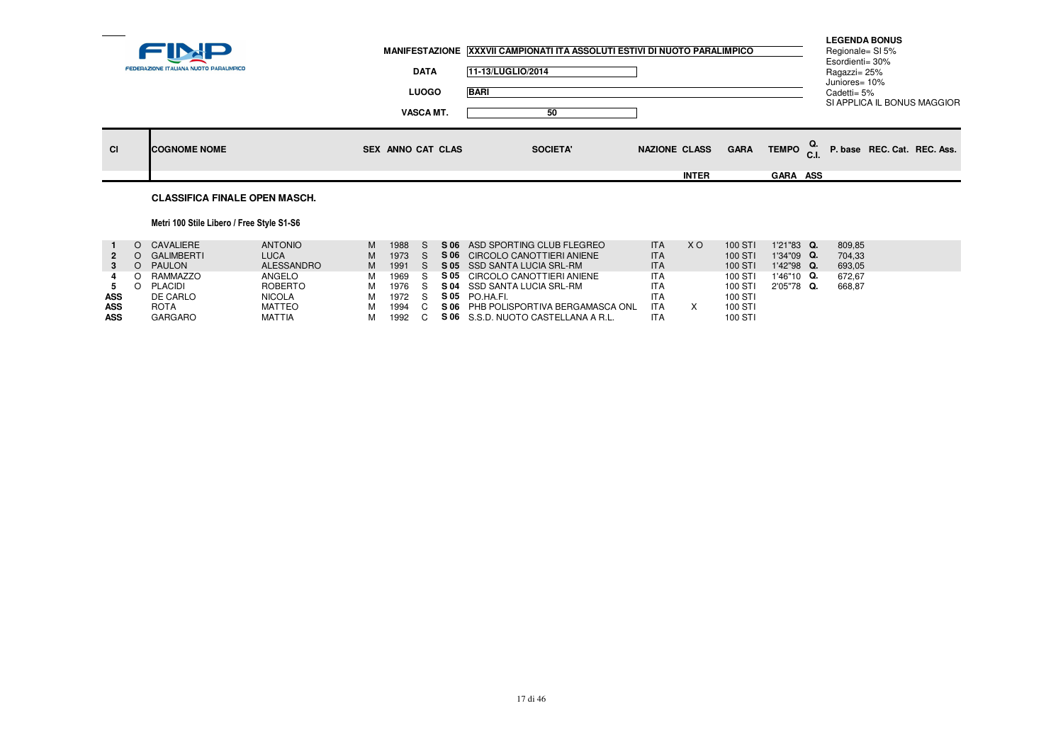|           |                                        |                          | MANIFESTAZIONE XXXVII CAMPIONATI ITA ASSOLUTI ESTIVI DI NUOTO PARALIMPICO |                      |                                    | <b>LEGENDA BONUS</b><br>Regionale= SI 5%<br>Esordienti= 30% |  |
|-----------|----------------------------------------|--------------------------|---------------------------------------------------------------------------|----------------------|------------------------------------|-------------------------------------------------------------|--|
|           | FEDERAZIONE ITALIANA NUOTO PARALIMPICO | <b>DATA</b>              | 11-13/LUGLIO/2014                                                         |                      |                                    | Ragazzi= 25%<br>Juniores= 10%                               |  |
|           |                                        | <b>LUOGO</b>             | <b>BARI</b>                                                               |                      |                                    | Cadetti= 5%<br>SI APPLICA IL BONUS MAGGIOR                  |  |
|           |                                        | <b>VASCA MT.</b>         | 50                                                                        |                      |                                    |                                                             |  |
| <b>CI</b> | <b>ICOGNOME NOME</b>                   | <b>SEX ANNO CAT CLAS</b> | <b>SOCIETA'</b>                                                           | <b>NAZIONE CLASS</b> | TEMPO <sup>Q.</sup><br><b>GARA</b> | P. base REC. Cat. REC. Ass.                                 |  |
|           |                                        |                          |                                                                           | <b>INTER</b>         | GARA ASS                           |                                                             |  |
|           | <b>CLASSIFICA FINALE OPEN MASCH.</b>   |                          |                                                                           |                      |                                    |                                                             |  |

# Metri 100 Stile Libero / Free Style S1-S6

|            | CAVALIERE         | <b>ANTONIO</b> | м | 1988 |  | S 06 ASD SPORTING CLUB FLEGREO       | <b>ITA</b> | X O | 100 STI | 1'21"83 Q.    | 809.85 |
|------------|-------------------|----------------|---|------|--|--------------------------------------|------------|-----|---------|---------------|--------|
|            | <b>GALIMBERTI</b> | <b>LUCA</b>    | м | 1973 |  | S 06 CIRCOLO CANOTTIERI ANIENE       | <b>ITA</b> |     | 100 STI | $1'34''09$ Q. | 704.33 |
|            | <b>PAULON</b>     | ALESSANDRO     |   | 1991 |  | S 05 SSD SANTA LUCIA SRL-RM          | <b>ITA</b> |     | 100 STI | 1'42"98 Q.    | 693.05 |
|            | RAMMAZZO          | ANGELO         |   | 1969 |  | S 05 CIRCOLO CANOTTIERI ANIENE       | <b>ITA</b> |     | 100 STI | $1'46''10$ Q. | 672.67 |
|            | <b>PLACIDI</b>    | ROBERTO        | м | 1976 |  | S 04 SSD SANTA LUCIA SRL-RM          | <b>ITA</b> |     | 100 STI | 2'05"78 Q.    | 668,87 |
| <b>ASS</b> | DE CARLO          | <b>NICOLA</b>  |   | 1972 |  | S05 PO.HA.FI.                        | <b>ITA</b> |     | 100 STI |               |        |
| ASS        | <b>ROTA</b>       | <b>MATTEO</b>  |   | 1994 |  | S 06 PHB POLISPORTIVA BERGAMASCA ONL | <b>ITA</b> |     | 100 STI |               |        |
| <b>ASS</b> | GARGARO           | <b>MATTIA</b>  |   | 1992 |  | S 06 S.S.D. NUOTO CASTELLANA A R.L.  | ITA        |     | 100 STI |               |        |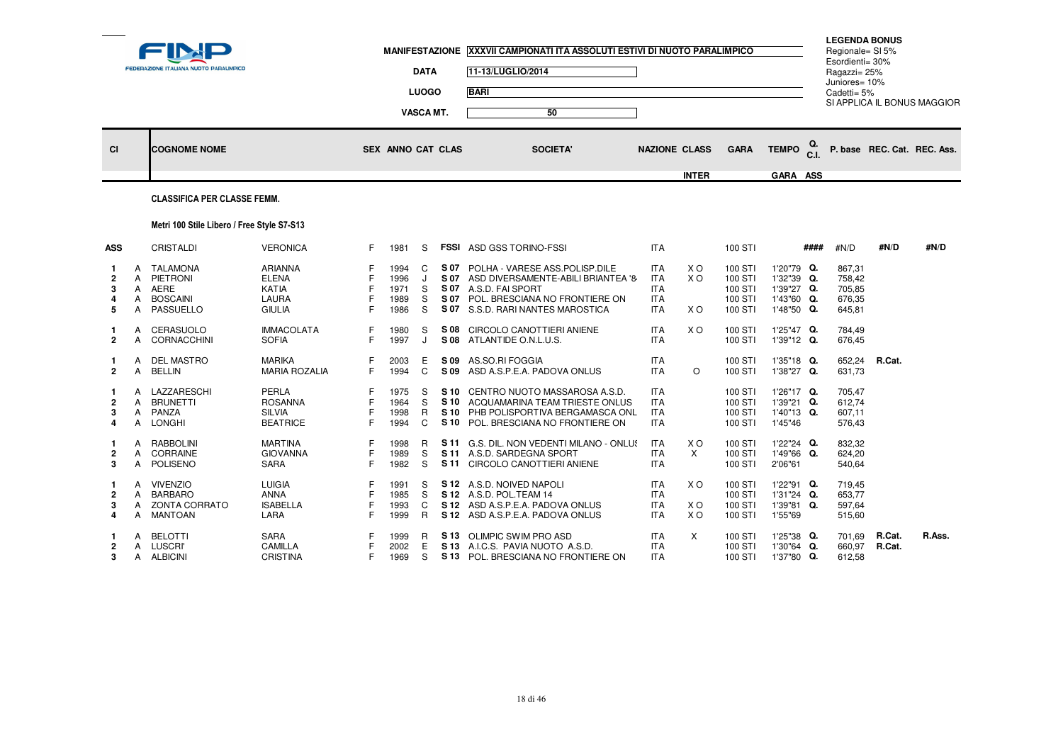|                               |                       | FEDERAZIONE ITALIANA NUOTO PARALIMPICO                                 |                                                                    |                   |                                      | <b>DATA</b><br><b>LUOGO</b> |              | MANIFESTAZIONE XXXVII CAMPIONATI ITA ASSOLUTI ESTIVI DI NUOTO PARALIMPICO<br>11-13/LUGLIO/2014<br><b>BARI</b>                                                                    |                                                                    |                   |                                                     |                                                                    |      | <b>LEGENDA BONUS</b><br>Regionale= SI 5%<br>Esordienti= 30%<br>Ragazzi= 25%<br>Juniores= 10%<br>Cadetti= $5%$ |                             | SI APPLICA IL BONUS MAGGIOR |
|-------------------------------|-----------------------|------------------------------------------------------------------------|--------------------------------------------------------------------|-------------------|--------------------------------------|-----------------------------|--------------|----------------------------------------------------------------------------------------------------------------------------------------------------------------------------------|--------------------------------------------------------------------|-------------------|-----------------------------------------------------|--------------------------------------------------------------------|------|---------------------------------------------------------------------------------------------------------------|-----------------------------|-----------------------------|
|                               |                       |                                                                        |                                                                    |                   |                                      | VASCA MT.                   |              | 50                                                                                                                                                                               |                                                                    |                   |                                                     |                                                                    |      |                                                                                                               |                             |                             |
| <b>CI</b>                     |                       | <b>COGNOME NOME</b>                                                    |                                                                    |                   | <b>SEX ANNO CAT CLAS</b>             |                             |              | <b>SOCIETA'</b>                                                                                                                                                                  | <b>NAZIONE CLASS</b>                                               |                   | <b>GARA</b>                                         | <b>TEMPO</b>                                                       | Q.   |                                                                                                               | P. base REC. Cat. REC. Ass. |                             |
|                               |                       |                                                                        |                                                                    |                   |                                      |                             |              |                                                                                                                                                                                  |                                                                    | <b>INTER</b>      |                                                     | GARA ASS                                                           |      |                                                                                                               |                             |                             |
|                               |                       | <b>CLASSIFICA PER CLASSE FEMM.</b>                                     |                                                                    |                   |                                      |                             |              |                                                                                                                                                                                  |                                                                    |                   |                                                     |                                                                    |      |                                                                                                               |                             |                             |
|                               |                       | Metri 100 Stile Libero / Free Style S7-S13                             |                                                                    |                   |                                      |                             |              |                                                                                                                                                                                  |                                                                    |                   |                                                     |                                                                    |      |                                                                                                               |                             |                             |
| ASS                           |                       | <b>CRISTALDI</b>                                                       | <b>VERONICA</b>                                                    | F.                | 1981                                 | S                           |              | <b>FSSI</b> ASD GSS TORINO-FSSI                                                                                                                                                  | <b>ITA</b>                                                         |                   | 100 STI                                             |                                                                    | #### | #N/D                                                                                                          | #N/D                        | #N/D                        |
| $\overline{2}$<br>3<br>4<br>5 | A<br>A<br>A<br>A<br>A | TALAMONA<br>PIETRONI<br>AERE<br><b>BOSCAINI</b><br>PASSUELLO           | ARIANNA<br><b>ELENA</b><br>KATIA<br>LAURA<br><b>GIULIA</b>         | F                 | 1994<br>1996<br>1971<br>1989<br>1986 | C<br>J<br>S<br>S<br>S       | S 07         | S 07 POLHA - VARESE ASS. POLISP. DILE<br>S 07 ASD DIVERSAMENTE-ABILI BRIANTEA '8<br>S 07 A.S.D. FAI SPORT<br>POL. BRESCIANA NO FRONTIERE ON<br>S 07 S.S.D. RARI NANTES MAROSTICA | <b>ITA</b><br><b>ITA</b><br><b>ITA</b><br><b>ITA</b><br><b>ITA</b> | X O<br>X O<br>X O | 100 STI<br>100 STI<br>100 STI<br>100 STI<br>100 STI | 1'20"79 Q.<br>1'32"39 Q.<br>1'39"27 Q.<br>1'43"60 Q.<br>1'48"50 Q. |      | 867,31<br>758,42<br>705,85<br>676,35<br>645,81                                                                |                             |                             |
| $\overline{2}$                | A<br>A                | CERASUOLO<br>CORNACCHINI                                               | <b>IMMACOLATA</b><br><b>SOFIA</b>                                  | F                 | 1980<br>1997                         | S<br>J                      | S 08         | CIRCOLO CANOTTIERI ANIENE<br>S 08 ATLANTIDE O.N.L.U.S.                                                                                                                           | <b>ITA</b><br><b>ITA</b>                                           | X O               | 100 STI<br>100 STI                                  | 1'25"47 Q.<br>1'39"12 Q.                                           |      | 784,49<br>676.45                                                                                              |                             |                             |
| 1.<br>$\mathbf{2}$            | A<br>A                | DEL MASTRO<br><b>BELLIN</b>                                            | MARIKA<br><b>MARIA ROZALIA</b>                                     | F<br>F.           | 2003<br>1994                         | Е<br>$\mathbf C$            | S 09<br>S 09 | AS.SO.RI FOGGIA<br>ASD A.S.P.E.A. PADOVA ONLUS                                                                                                                                   | <b>ITA</b><br><b>ITA</b>                                           | $\circ$           | 100 STI<br>100 STI                                  | 1'35"18 Q.<br>1'38"27 Q.                                           |      | 652,24<br>631,73                                                                                              | R.Cat.                      |                             |
| $\mathbf 2$<br>3<br>4         | A<br>A<br>A           | LAZZARESCHI<br><b>BRUNETTI</b><br>A PANZA<br>LONGHI                    | <b>PERLA</b><br><b>ROSANNA</b><br><b>SILVIA</b><br><b>BEATRICE</b> | F<br>F<br>F.      | 1975<br>1964<br>1998<br>1994         | S<br>S<br>R<br>C            | S 10<br>S 10 | S 10 CENTRO NUOTO MASSAROSA A.S.D.<br>ACQUAMARINA TEAM TRIESTE ONLUS<br>S 10 PHB POLISPORTIVA BERGAMASCA ONL<br>POL. BRESCIANA NO FRONTIERE ON                                   | <b>ITA</b><br><b>ITA</b><br><b>ITA</b><br><b>ITA</b>               |                   | 100 STI<br>100 STI<br>100 STI<br>100 STI            | 1'26"17 Q.<br>1'39"21 Q.<br>1'40"13 Q.<br>1'45"46                  |      | 705,47<br>612.74<br>607,11<br>576,43                                                                          |                             |                             |
| 2<br>3                        | A<br>A<br>A           | <b>RABBOLINI</b><br>CORRAINE<br>POLISENO                               | <b>MARTINA</b><br><b>GIOVANNA</b><br><b>SARA</b>                   | F<br>F.           | 1998<br>1989<br>1982                 | R<br>S<br>S                 |              | S 11 G.S. DIL. NON VEDENTI MILANO - ONLUS<br>S 11 A.S.D. SARDEGNA SPORT<br>S 11 CIRCOLO CANOTTIERI ANIENE                                                                        | <b>ITA</b><br><b>ITA</b><br><b>ITA</b>                             | X O<br>$\times$   | 100 STI<br>100 STI<br>100 STI                       | 1'22"24 Q.<br>1'49"66 Q.<br>2'06"61                                |      | 832.32<br>624,20<br>540,64                                                                                    |                             |                             |
| $\mathbf{2}$<br>3<br>4        | А<br>A<br>A           | <b>VIVENZIO</b><br><b>BARBARO</b><br>A ZONTA CORRATO<br><b>MANTOAN</b> | <b>LUIGIA</b><br><b>ANNA</b><br><b>ISABELLA</b><br>LARA            | F<br>F<br>F<br>F. | 1991<br>1985<br>1993<br>1999         | S<br>S<br>C<br>R            | S 12         | S 12 A.S.D. NOIVED NAPOLI<br>S 12 A.S.D. POL.TEAM 14<br>S 12 ASD A.S.P.E.A. PADOVA ONLUS<br>ASD A.S.P.E.A. PADOVA ONLUS                                                          | ITA.<br><b>ITA</b><br><b>ITA</b><br><b>ITA</b>                     | X O<br>X O<br>X O | 100 STI<br>100 STI<br>100 STI<br>100 STI            | 1'22"91 Q.<br>1'31"24 Q.<br>1'39"81 Q.<br>1'55"69                  |      | 719,45<br>653.77<br>597,64<br>515,60                                                                          |                             |                             |
| 2<br>3                        | A                     | <b>BELOTTI</b><br>A LUSCRI'<br>A ALBICINI                              | <b>SARA</b><br>CAMILLA<br><b>CRISTINA</b>                          | F.                | 1999<br>2002<br>1969                 | R<br>E<br>S                 |              | S 13 OLIMPIC SWIM PRO ASD<br>S 13 A.I.C.S. PAVIA NUOTO A.S.D.<br>S 13 POL. BRESCIANA NO FRONTIERE ON                                                                             | <b>ITA</b><br><b>ITA</b><br><b>ITA</b>                             | $\times$          | 100 STI<br>100 STI<br>100 STI                       | 1'25"38 Q.<br>1'30"64 Q.<br>1'37"80 Q.                             |      | 701,69<br>660.97<br>612,58                                                                                    | R.Cat.<br>R.Cat.            | R.Ass.                      |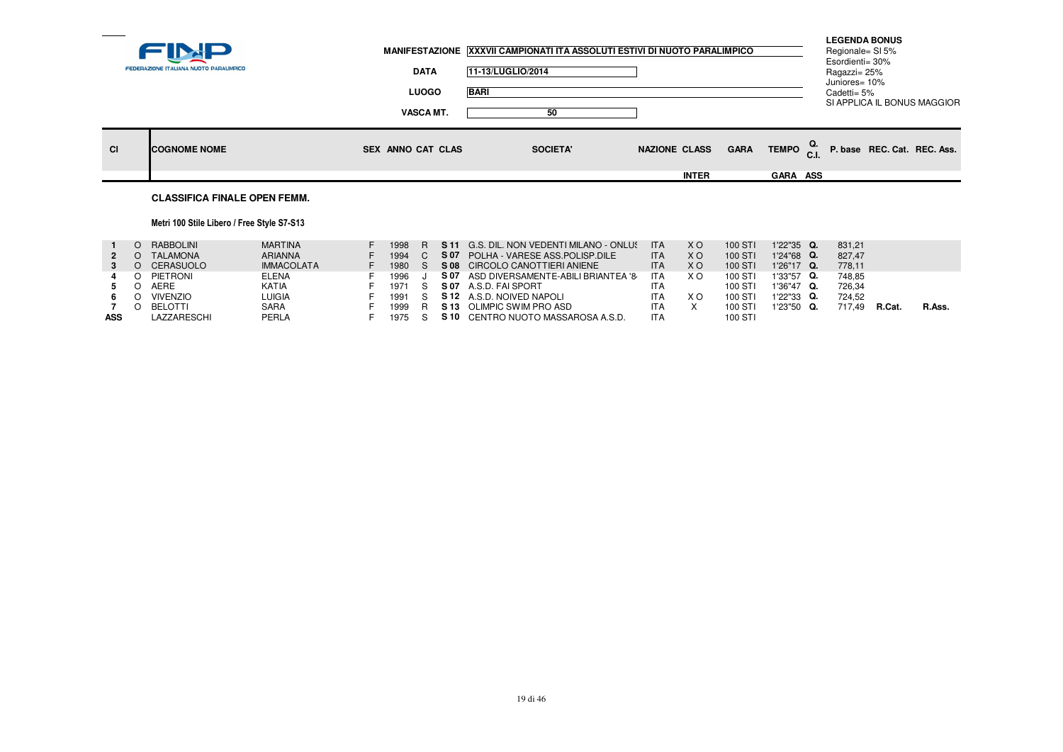|    | FEDERAZIONE ITALIANA NUOTO PARALIMPICO | <b>DATA</b><br><b>LUOGO</b><br><b>VASCA MT.</b> | MANIFESTAZIONE XXXVII CAMPIONATI ITA ASSOLUTI ESTIVI DI NUOTO PARALIMPICO<br>11-13/LUGLIO/2014<br><b>BARI</b><br>50 |                                      |                                                         | <b>LEGENDA BONUS</b><br>Regionale= SI 5%<br>Esordienti= 30%<br>Ragazzi= 25%<br>Juniores= 10%<br>Cadetti= 5% | SI APPLICA IL BONUS MAGGIOR |  |
|----|----------------------------------------|-------------------------------------------------|---------------------------------------------------------------------------------------------------------------------|--------------------------------------|---------------------------------------------------------|-------------------------------------------------------------------------------------------------------------|-----------------------------|--|
| CI | <b>ICOGNOME NOME</b>                   | SEX ANNO CAT CLAS                               | <b>SOCIETA'</b>                                                                                                     | <b>NAZIONE CLASS</b><br><b>INTER</b> | TEMPO <sub>C.I.</sub><br><b>GARA</b><br><b>GARA ASS</b> |                                                                                                             | P. base REC. Cat. REC. Ass. |  |
|    | <b>CLASSIFICA FINALE OPEN FEMM.</b>    |                                                 |                                                                                                                     |                                      |                                                         |                                                                                                             |                             |  |

## Metri 100 Stile Libero / Free Style S7-S13

|            |                  | RABBOLINI        | MARTINA           | 1998   |      | <b>S11</b> G.S. DIL. NON VEDENTI MILANO - ONLUS | <b>ITA</b> | X O            | 100 ST  | 1'22"35 Q.    | 831.21 |              |        |
|------------|------------------|------------------|-------------------|--------|------|-------------------------------------------------|------------|----------------|---------|---------------|--------|--------------|--------|
|            |                  | TALAMONA         | <b>ARIANNA</b>    | 1994   |      | S 07 POLHA - VARESE ASS. POLISP. DILE           | <b>ITA</b> | X <sub>O</sub> | 100 STI | 1'24"68 Q.    | 827.47 |              |        |
|            |                  | <b>CERASUOLO</b> | <b>IMMACOLATA</b> | 1980   |      | S 08 CIRCOLO CANOTTIERI ANIENE                  | <b>ITA</b> | X O            | 100 STI | $1'26"17$ Q.  | 778.11 |              |        |
|            | O.               | PIETRONI         | <b>ELENA</b>      | 1996   | S 07 | ASD DIVERSAMENTE-ABILI BRIANTEA '8              | <b>ITA</b> | X O            | 100 ST  | 1'33"57 Q.    | 748.85 |              |        |
|            |                  | AERE             | KATIA             | 1971 S |      | S07 A.S.D. FAI SPORT                            | ITA        |                | 100 ST  | 1'36"47 Q.    | 726.34 |              |        |
|            |                  | <b>VIVENZIO</b>  | <b>LUIGIA</b>     | 1991   |      | S 12 A.S.D. NOIVED NAPOLI                       | ITA        | X O            | 100 STI | $1'22''33$ Q. | 724.52 |              |        |
|            | $\left( \right)$ | BELOTTI          | <b>SARA</b>       | 1999   |      | S 13 OLIMPIC SWIM PRO ASD                       | ITA        |                | 100 STI | 1'23"50 Q.    | 717.49 | <b>R.Cat</b> | R.Ass. |
| <b>ASS</b> |                  | LAZZARESCHI      | PERLA             | 1975 S |      | S 10 CENTRO NUOTO MASSAROSA A.S.D.              | <b>ITA</b> |                | 100 STI |               |        |              |        |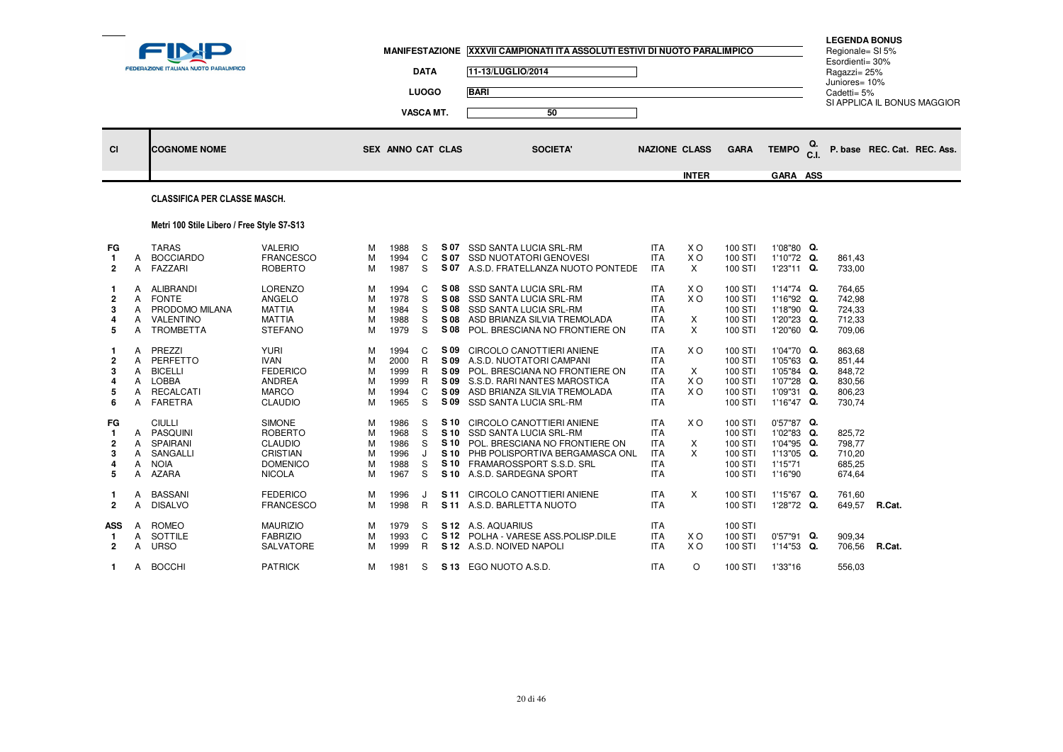|    | FEDERAZIONE ITALIANA NUOTO PARALIMPICO | <b>DATA</b>                      | MANIFESTAZIONE XXXVII CAMPIONATI ITA ASSOLUTI ESTIVI DI NUOTO PARALIMPICO<br>11-13/LUGLIO/2014 |                      |                                            | <b>LEGENDA BONUS</b><br>Regionale= SI 5%<br>Esordienti= 30%<br>Ragazzi= 25%<br>Juniores= 10% |  |
|----|----------------------------------------|----------------------------------|------------------------------------------------------------------------------------------------|----------------------|--------------------------------------------|----------------------------------------------------------------------------------------------|--|
|    |                                        | <b>LUOGO</b><br><b>VASCA MT.</b> | <b>BARI</b><br>50                                                                              |                      |                                            | Cadetti= 5%<br>SI APPLICA IL BONUS MAGGIOR                                                   |  |
| CI | <b>COGNOME NOME</b>                    | SEX ANNO CAT CLAS                | <b>SOCIETA'</b>                                                                                | <b>NAZIONE CLASS</b> | TEMPO $_{\rm C.L}^{\rm Q.}$<br><b>GARA</b> | P. base REC. Cat. REC. Ass.                                                                  |  |
|    |                                        |                                  |                                                                                                | <b>INTER</b>         | <b>GARA ASS</b>                            |                                                                                              |  |

## CLASSIFICA PER CLASSE MASCH.

## Metri 100 Stile Libero / Free Style S7-S13

| FG<br>2                                | A<br>A                     | <b>TARAS</b><br><b>BOCCIARDO</b><br>FAZZARI                                                           | <b>VALERIO</b><br><b>FRANCESCO</b><br><b>ROBERTO</b>                                                     | M<br>M<br>М                | 1988<br>1994<br>1987                         | S<br>C<br>S                | S 07<br>S 07<br>S 07                         | <b>SSD SANTA LUCIA SRL-RM</b><br><b>SSD NUOTATORI GENOVESI</b><br>A.S.D. FRATELLANZA NUOTO PONTEDE                                                                                       | <b>ITA</b><br><b>ITA</b><br><b>ITA</b>                                           | X O<br>X <sub>O</sub><br>X               | 100 STI<br>100 STI<br>100 STI                                  | 1'08"80 Q.<br>1'10"72 Q.<br>1'23"11 Q.                                           | 861.43<br>733,00                                         |       |
|----------------------------------------|----------------------------|-------------------------------------------------------------------------------------------------------|----------------------------------------------------------------------------------------------------------|----------------------------|----------------------------------------------|----------------------------|----------------------------------------------|------------------------------------------------------------------------------------------------------------------------------------------------------------------------------------------|----------------------------------------------------------------------------------|------------------------------------------|----------------------------------------------------------------|----------------------------------------------------------------------------------|----------------------------------------------------------|-------|
| 1.<br>$\overline{2}$<br>3<br>4<br>5    | A<br>A<br>A<br>А           | <b>ALIBRANDI</b><br><b>FONTE</b><br>PRODOMO MILANA<br>VALENTINO<br><b>TROMBETTA</b>                   | <b>LORENZO</b><br><b>ANGELO</b><br><b>MATTIA</b><br><b>MATTIA</b><br><b>STEFANO</b>                      | м<br>M<br>M<br>M<br>M      | 1994<br>1978<br>1984<br>1988<br>1979         | C<br>S<br>S<br>S<br>S      | S 08<br>S 08<br>S 08<br>S 08<br>S 08         | <b>SSD SANTA LUCIA SRL-RM</b><br><b>SSD SANTA LUCIA SRL-RM</b><br><b>SSD SANTA LUCIA SRL-RM</b><br>ASD BRIANZA SILVIA TREMOLADA<br>POL. BRESCIANA NO FRONTIERE ON                        | <b>ITA</b><br><b>ITA</b><br><b>ITA</b><br><b>ITA</b><br><b>ITA</b>               | X O<br>X <sub>O</sub><br>X<br>X          | 100 STI<br>100 STI<br>100 STI<br>100 STI<br>100 STI            | 1'14"74 Q.<br>1'16"92 Q.<br>1'18"90 Q.<br>1'20"23 Q.<br>1'20"60 Q.               | 764,65<br>742,98<br>724,33<br>712,33<br>709,06           |       |
| 1<br>2<br>3<br>4<br>5<br>6             | A<br>A<br>A<br>A<br>A<br>A | PREZZI<br>PERFETTO<br><b>BICELLI</b><br><b>LOBBA</b><br><b>RECALCATI</b><br><b>FARETRA</b>            | <b>YURI</b><br><b>IVAN</b><br><b>FEDERICO</b><br><b>ANDREA</b><br><b>MARCO</b><br><b>CLAUDIO</b>         | м<br>M<br>M<br>M<br>M<br>М | 1994<br>2000<br>1999<br>1999<br>1994<br>1965 | C<br>R<br>R<br>R<br>C<br>S | S 09<br>S 09<br>S 09<br>S 09<br>S 09<br>S 09 | CIRCOLO CANOTTIERI ANIENE<br>A.S.D. NUOTATORI CAMPANI<br>POL. BRESCIANA NO FRONTIERE ON<br>S.S.D. RARI NANTES MAROSTICA<br>ASD BRIANZA SILVIA TREMOLADA<br><b>SSD SANTA LUCIA SRL-RM</b> | <b>ITA</b><br><b>ITA</b><br><b>ITA</b><br><b>ITA</b><br><b>ITA</b><br><b>ITA</b> | X O<br>$\times$<br>X O<br>X <sub>O</sub> | 100 STI<br>100 STI<br>100 STI<br>100 STI<br>100 STI<br>100 STI | 1'04"70 Q.<br>1'05"63 Q.<br>1'05"84 Q.<br>1'07"28 Q.<br>1'09"31 Q.<br>1'16"47 Q. | 863,68<br>851,44<br>848,72<br>830,56<br>806,23<br>730,74 |       |
| FG<br>$\mathbf{1}$<br>2<br>3<br>4<br>5 | A<br>A<br>A<br>A<br>А      | <b>CIULLI</b><br><b>PASQUINI</b><br><b>SPAIRANI</b><br><b>SANGALLI</b><br><b>NOIA</b><br><b>AZARA</b> | <b>SIMONE</b><br><b>ROBERTO</b><br><b>CLAUDIO</b><br><b>CRISTIAN</b><br><b>DOMENICO</b><br><b>NICOLA</b> | м<br>M<br>M<br>M<br>M<br>м | 1986<br>1968<br>1986<br>1996<br>1988<br>1967 | S<br>S<br>S<br>S<br>S      | S 10<br>S 10<br>S 10<br>S 10<br>S 10         | S 10 CIRCOLO CANOTTIERI ANIENE<br>SSD SANTA LUCIA SRL-RM<br>POL. BRESCIANA NO FRONTIERE ON<br>PHB POLISPORTIVA BERGAMASCA ONL<br>FRAMAROSSPORT S.S.D. SRL<br>A.S.D. SARDEGNA SPORT       | <b>ITA</b><br><b>ITA</b><br><b>ITA</b><br><b>ITA</b><br><b>ITA</b><br><b>ITA</b> | X O<br>X<br>X                            | 100 STI<br>100 STI<br>100 STI<br>100 STI<br>100 STI<br>100 STI | $0'57''87$ Q.<br>1'02"83 Q.<br>1'04"95 Q.<br>1'13"05 Q.<br>1'15"71<br>1'16"90    | 825,72<br>798,77<br>710.20<br>685,25<br>674,64           |       |
| 1.<br>$\overline{2}$                   | A<br>A                     | <b>BASSANI</b><br><b>DISALVO</b>                                                                      | <b>FEDERICO</b><br><b>FRANCESCO</b>                                                                      | м<br>М                     | 1996<br>1998                                 | J<br>R.                    | S 11                                         | CIRCOLO CANOTTIERI ANIENE<br>S 11 A.S.D. BARLETTA NUOTO                                                                                                                                  | <b>ITA</b><br><b>ITA</b>                                                         | $\times$                                 | 100 STI<br>100 STI                                             | 1'15"67 Q.<br>1'28"72 Q.                                                         | 761.60<br>649,57                                         | R.Cat |
| <b>ASS</b><br>-1<br>2                  | A<br>A<br>А                | <b>ROMEO</b><br>SOTTILE<br><b>URSO</b>                                                                | <b>MAURIZIO</b><br><b>FABRIZIO</b><br>SALVATORE                                                          | м<br>M<br>м                | 1979<br>1993<br>1999                         | S<br>C<br>R.               | S 12                                         | S 12 A.S. AQUARIUS<br>S 12 POLHA - VARESE ASS. POLISP. DILE<br>A.S.D. NOIVED NAPOLI                                                                                                      | <b>ITA</b><br><b>ITA</b><br><b>ITA</b>                                           | X O<br>X O                               | 100 STI<br>100 STI<br>100 STI                                  | $0'57''91$ Q.<br>1'14"53 Q.                                                      | 909,34<br>706,56                                         | R.Cat |
| $\mathbf 1$                            | A                          | <b>BOCCHI</b>                                                                                         | <b>PATRICK</b>                                                                                           | м                          | 1981                                         | S                          |                                              | S 13 EGO NUOTO A.S.D.                                                                                                                                                                    | <b>ITA</b>                                                                       | $\circ$                                  | 100 STI                                                        | 1'33"16                                                                          | 556.03                                                   |       |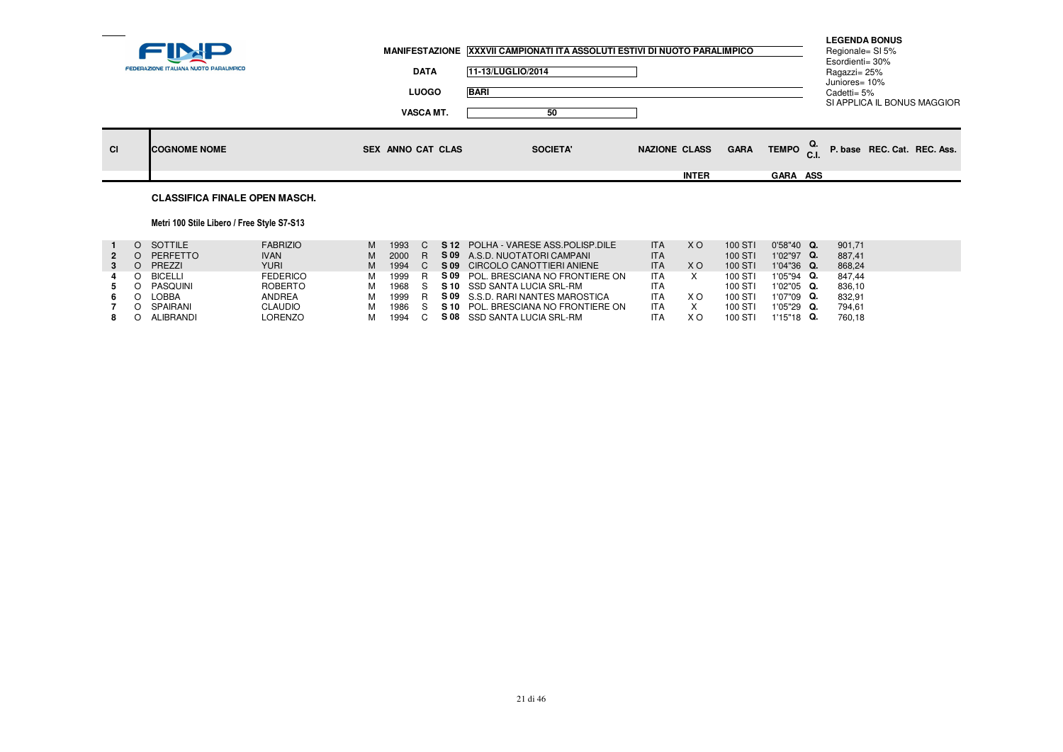|           |                                        |                          | MANIFESTAZIONE XXXVII CAMPIONATI ITA ASSOLUTI ESTIVI DI NUOTO PARALIMPICO |                      |                 | <b>LEGENDA BONUS</b><br>Regionale= SI 5%                       |  |
|-----------|----------------------------------------|--------------------------|---------------------------------------------------------------------------|----------------------|-----------------|----------------------------------------------------------------|--|
|           | FEDERAZIONE ITALIANA NUOTO PARALIMPICO | <b>DATA</b>              | 11-13/LUGLIO/2014                                                         |                      |                 | Esordienti= 30%<br>Ragazzi= 25%<br>Juniores= 10%               |  |
|           |                                        | <b>LUOGO</b>             | <b>BARI</b>                                                               |                      |                 | Cadetti= 5%                                                    |  |
|           |                                        | <b>VASCA MT.</b>         | 50                                                                        |                      |                 | SI APPLICA IL BONUS MAGGIOR                                    |  |
| <b>CI</b> | <b>ICOGNOME NOME</b>                   | <b>SEX ANNO CAT CLAS</b> | <b>SOCIETA'</b>                                                           | <b>NAZIONE CLASS</b> | <b>GARA</b>     | TEMPO $_{\text{C.I.}}^{\text{Q.}}$ P. base REC. Cat. REC. Ass. |  |
|           |                                        |                          |                                                                           | <b>INTER</b>         | <b>GARA ASS</b> |                                                                |  |
|           | <b>CLASSIFICA FINALE OPEN MASCH.</b>   |                          |                                                                           |                      |                 |                                                                |  |

## Metri 100 Stile Libero / Free Style S7-S13

|   | O SOTTILE | <b>FABRIZIO</b> | M | 1993   |     | S 12 POLHA - VARESE ASS POLISP DILE      | <b>ITA</b> | X O | 100 STI | $0'58''40$ Q. | 901.71 |
|---|-----------|-----------------|---|--------|-----|------------------------------------------|------------|-----|---------|---------------|--------|
| 2 | PERFETTO  | <b>IVAN</b>     | м | 2000 R |     | S 09 A.S.D. NUOTATORI CAMPANI            | <b>ITA</b> |     | 100 STI | 1'02"97 Q.    | 887.41 |
|   | PREZZI    | <b>YURI</b>     | м | 1994   |     | S 09 CIRCOLO CANOTTIERI ANIENE           | <b>ITA</b> | X O | 100 STI | $1'04''36$ Q. | 868.24 |
| 4 | O BICELLI | <b>FEDERICO</b> | м | 1999   | – R | S 09 POL. BRESCIANA NO FRONTIERE ON      | <b>ITA</b> |     | 100 STI | 1'05"94 Q.    | 847.44 |
|   | PASQUINI  | <b>ROBERTO</b>  | м | 1968 S |     | S 10 SSD SANTA LUCIA SRL-RM              | <b>ITA</b> |     | 100 STI | 1'02"05 Q.    | 836.10 |
|   | LOBBA     | ANDREA          | м | 1999   | – R | <b>S 09</b> S.S.D. RARI NANTES MAROSTICA | <b>ITA</b> | xо  | 100 STI | 1'07"09 Q.    | 832.91 |
|   | SPAIRANI  | CLAUDIO         | м | 1986 S |     | S 10 POL. BRESCIANA NO FRONTIERE ON      | <b>ITA</b> |     | 100 STI | 1'05"29 Q.    | 794.61 |
|   | ALIBRANDI | LORENZO         | м | 1994 C |     | S 08 SSD SANTA LUCIA SRL-RM              | ITA        | ΧO  | 100 STI | $1'15"18$ Q.  | 760.18 |
|   |           |                 |   |        |     |                                          |            |     |         |               |        |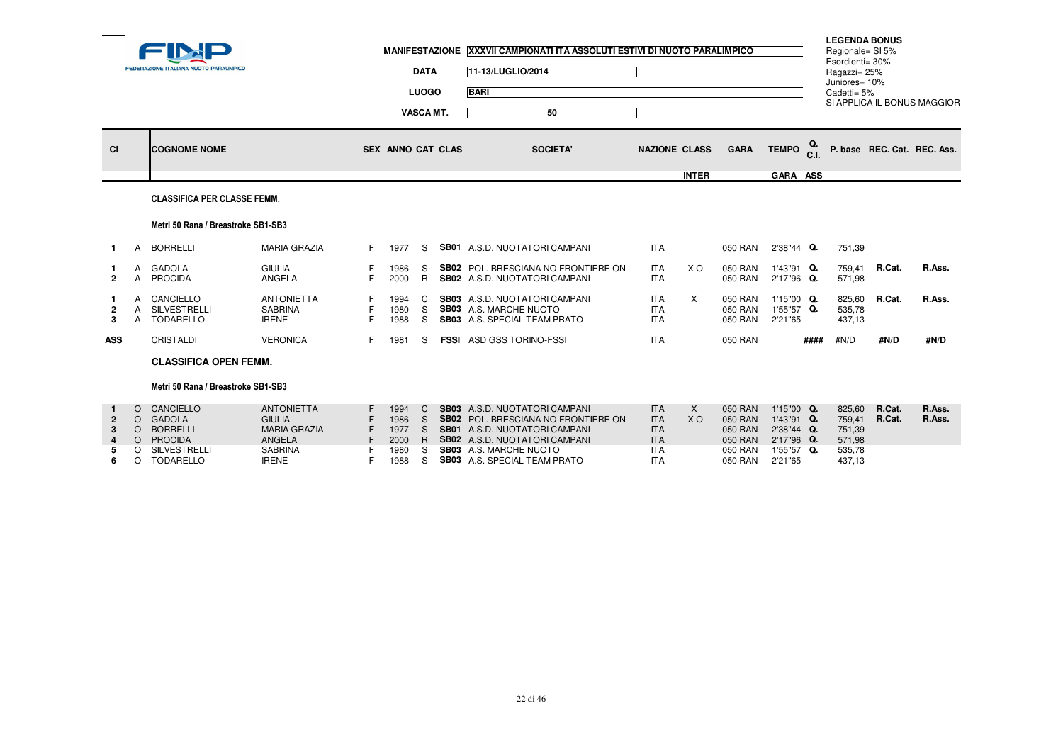|                     |        | <b>FEDERAZIONE ITALIANA NUOTO PARALIMPICO</b> |                                                     |    |                      | <b>DATA</b><br><b>LUOGO</b><br><b>VASCA MT.</b> | MANIFESTAZIONE XXXVII CAMPIONATI ITA ASSOLUTI ESTIVI DI NUOTO PARALIMPICO<br>11-13/LUGLIO/2014<br><b>BARI</b><br>50 |                                        |              |                               |                                     |           | <b>LEGENDA BONUS</b><br>Regionale= SI 5%<br>Esordienti= 30%<br>Ragazzi= 25%<br>Juniores= 10%<br>Cadetti= 5% |        | SI APPLICA IL BONUS MAGGIOR |
|---------------------|--------|-----------------------------------------------|-----------------------------------------------------|----|----------------------|-------------------------------------------------|---------------------------------------------------------------------------------------------------------------------|----------------------------------------|--------------|-------------------------------|-------------------------------------|-----------|-------------------------------------------------------------------------------------------------------------|--------|-----------------------------|
| <b>CI</b>           |        | <b>COGNOME NOME</b>                           |                                                     |    | SEX ANNO CAT CLAS    |                                                 | <b>SOCIETA'</b>                                                                                                     | <b>NAZIONE CLASS</b>                   | <b>INTER</b> | <b>GARA</b>                   | <b>TEMPO</b><br>GARA ASS            | Q.<br>C.I |                                                                                                             |        | P. base REC. Cat. REC. Ass. |
|                     |        | <b>CLASSIFICA PER CLASSE FEMM.</b>            |                                                     |    |                      |                                                 |                                                                                                                     |                                        |              |                               |                                     |           |                                                                                                             |        |                             |
|                     |        | Metri 50 Rana / Breastroke SB1-SB3            |                                                     |    |                      |                                                 |                                                                                                                     |                                        |              |                               |                                     |           |                                                                                                             |        |                             |
| $\mathbf{1}$        | A      | <b>BORRELLI</b>                               | <b>MARIA GRAZIA</b>                                 | F. | 1977                 | S.                                              | <b>SB01</b> A.S.D. NUOTATORI CAMPANI                                                                                | <b>ITA</b>                             |              | 050 RAN                       | 2'38"44 Q.                          |           | 751,39                                                                                                      |        |                             |
| $\overline{2}$      | A<br>A | GADOLA<br><b>PROCIDA</b>                      | <b>GIULIA</b><br>ANGELA                             | F. | 1986<br>2000         | S.<br>R                                         | <b>SB02</b> POL. BRESCIANA NO FRONTIERE ON<br><b>SB02</b> A.S.D. NUOTATORI CAMPANI                                  | <b>ITA</b><br><b>ITA</b>               | X O          | 050 RAN<br>050 RAN            | 1'43"91 Q.<br>2'17"96 Q.            |           | 759,41<br>571,98                                                                                            | R.Cat. | R.Ass.                      |
| $\overline{2}$<br>3 | A      | CANCIELLO<br>SILVESTRELLI<br>TODARELLO        | <b>ANTONIETTA</b><br><b>SABRINA</b><br><b>IRENE</b> |    | 1994<br>1980<br>1988 | C<br>S.<br>S                                    | <b>SB03</b> A.S.D. NUOTATORI CAMPANI<br><b>SB03</b> A.S. MARCHE NUOTO<br><b>SB03</b> A.S. SPECIAL TEAM PRATO        | <b>ITA</b><br><b>ITA</b><br><b>ITA</b> | $\times$     | 050 RAN<br>050 RAN<br>050 RAN | 1'15"00 Q.<br>1'55"57 Q.<br>2'21"65 |           | 825,60<br>535,78<br>437,13                                                                                  | R.Cat. | R.Ass.                      |
| <b>ASS</b>          |        | CRISTALDI                                     | <b>VERONICA</b>                                     | F. | 1981                 | S.                                              | <b>FSSI</b> ASD GSS TORINO-FSSI                                                                                     | <b>ITA</b>                             |              | 050 RAN                       |                                     | ####      | #N/D                                                                                                        | #N/D   | #N/D                        |
|                     |        | <b>CLASSIFICA OPEN FEMM.</b>                  |                                                     |    |                      |                                                 |                                                                                                                     |                                        |              |                               |                                     |           |                                                                                                             |        |                             |
|                     |        | Metri 50 Rana / Breastroke SB1-SB3            |                                                     |    |                      |                                                 |                                                                                                                     |                                        |              |                               |                                     |           |                                                                                                             |        |                             |
|                     |        | O CANCIELLO                                   | <b>ANTONIETTA</b>                                   |    | 1994                 |                                                 | C SB03 A.S.D. NUOTATORI CAMPANI                                                                                     | <b>ITA</b>                             | X            | 050 RAN                       | $1'15"00$ Q.                        |           | 825.60                                                                                                      | R.Cat. | R.Ass.                      |

|             | CANCIELLO        | <b>ANTONIETTA</b> | 1994   | <b>SB03</b> A.S.D. NUOTATORI CAMPANI       | <b>ITA</b> |                | 050 RAN | $1'15"00$ Q.  | 825.60 | R.Cat. | R.Ass. |
|-------------|------------------|-------------------|--------|--------------------------------------------|------------|----------------|---------|---------------|--------|--------|--------|
| $2^{\circ}$ | GADOLA           | <b>GIULIA</b>     | 1986   | <b>SB02</b> POL. BRESCIANA NO FRONTIERE ON | <b>ITA</b> | X <sub>O</sub> | 050 RAN | $1'43''91$ Q. | 759.41 | R.Cat. | R.Ass. |
| 3           | <b>BORRELLI</b>  | MARIA GRAZIA      | 1977 S | <b>SB01</b> A.S.D. NUOTATORI CAMPANI       | <b>ITA</b> |                | 050 RAN | $2'38''44$ Q. | 751.39 |        |        |
|             | <b>PROCIDA</b>   | ANGELA            | 2000 R | <b>SB02</b> A.S.D. NUOTATORI CAMPANI       | <b>ITA</b> |                | 050 RAN | 2'17"96 Q.    | 571.98 |        |        |
| 5 0         | SILVESTRELLI     | SABRINA           | 1980   | <b>SB03</b> A.S. MARCHE NUOTO              | <b>ITA</b> |                | 050 RAN | $1'55''57$ Q. | 535.78 |        |        |
| 6 0         | <b>TODARELLO</b> | <b>IRENE</b>      | 1988   | <b>SB03</b> A.S. SPECIAL TEAM PRATO        | <b>ITA</b> |                | 050 RAN | 2'21"65       | 437,13 |        |        |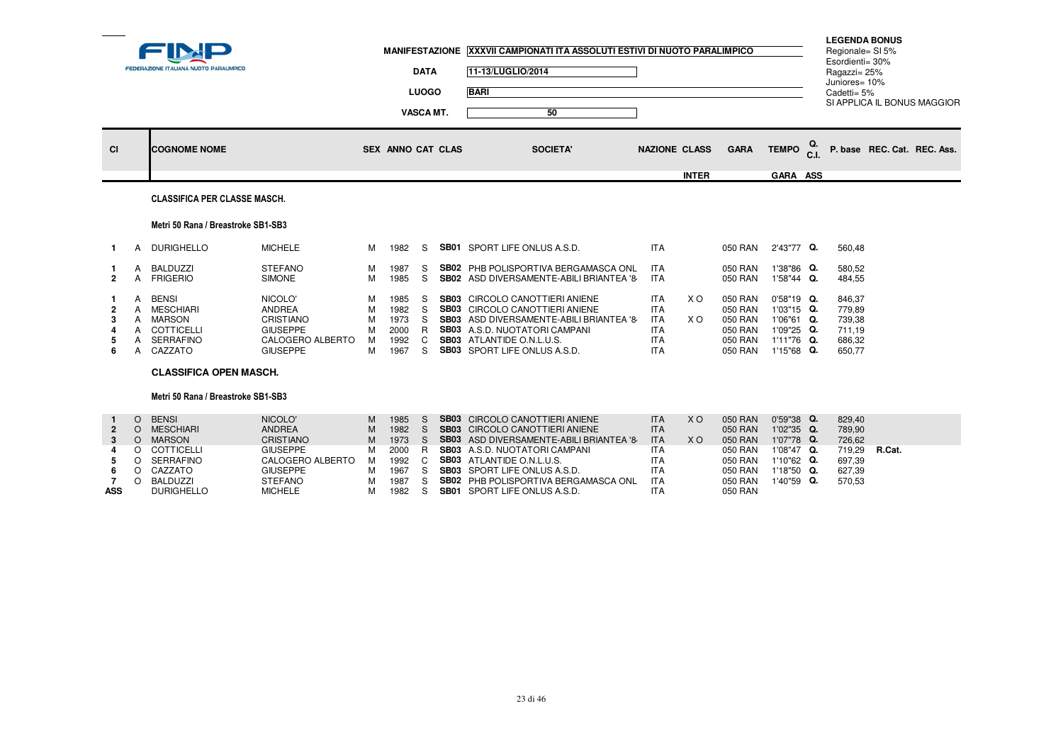|                                                           |                                                          | FEDERAZIONE ITALIANA NUOTO PARALIMPICO                                                                                            |                                                                                                                                            |                                      | <b>MANIFESTAZIONE</b>                                        | <b>DATA</b><br><b>LUOGO</b><br><b>VASCA MT.</b>             | XXXVII CAMPIONATI ITA ASSOLUTI ESTIVI DI NUOTO PARALIMPICO<br>11-13/LUGLIO/2014<br><b>BARI</b><br>50                                                                                                                                                                                                   |                                                                                                              |                        |                                                                                      |                                                                                                |                | <b>LEGENDA BONUS</b><br>Regionale= SI 5%<br>Esordienti= 30%<br>Ragazzi= 25%<br>Juniores= 10%<br>Cadetti= 5% |        | SI APPLICA IL BONUS MAGGIOR |
|-----------------------------------------------------------|----------------------------------------------------------|-----------------------------------------------------------------------------------------------------------------------------------|--------------------------------------------------------------------------------------------------------------------------------------------|--------------------------------------|--------------------------------------------------------------|-------------------------------------------------------------|--------------------------------------------------------------------------------------------------------------------------------------------------------------------------------------------------------------------------------------------------------------------------------------------------------|--------------------------------------------------------------------------------------------------------------|------------------------|--------------------------------------------------------------------------------------|------------------------------------------------------------------------------------------------|----------------|-------------------------------------------------------------------------------------------------------------|--------|-----------------------------|
| <b>CI</b>                                                 |                                                          | <b>COGNOME NOME</b>                                                                                                               |                                                                                                                                            |                                      | SEX ANNO CAT CLAS                                            |                                                             | <b>SOCIETA</b>                                                                                                                                                                                                                                                                                         | <b>NAZIONE CLASS</b>                                                                                         |                        | <b>GARA</b>                                                                          | <b>TEMPO</b>                                                                                   | C <sub>1</sub> |                                                                                                             |        | P. base REC. Cat. REC. Ass. |
|                                                           |                                                          | <b>CLASSIFICA PER CLASSE MASCH.</b>                                                                                               |                                                                                                                                            |                                      |                                                              |                                                             |                                                                                                                                                                                                                                                                                                        |                                                                                                              | <b>INTER</b>           |                                                                                      | GARA ASS                                                                                       |                |                                                                                                             |        |                             |
|                                                           |                                                          |                                                                                                                                   |                                                                                                                                            |                                      |                                                              |                                                             |                                                                                                                                                                                                                                                                                                        |                                                                                                              |                        |                                                                                      |                                                                                                |                |                                                                                                             |        |                             |
|                                                           |                                                          | Metri 50 Rana / Breastroke SB1-SB3                                                                                                |                                                                                                                                            |                                      |                                                              |                                                             |                                                                                                                                                                                                                                                                                                        |                                                                                                              |                        |                                                                                      |                                                                                                |                |                                                                                                             |        |                             |
| $\mathbf{1}$                                              | A                                                        | <b>DURIGHELLO</b>                                                                                                                 | <b>MICHELE</b>                                                                                                                             | м                                    | 1982                                                         | S.                                                          | <b>SB01</b> SPORT LIFE ONLUS A.S.D.                                                                                                                                                                                                                                                                    | <b>ITA</b>                                                                                                   |                        | 050 RAN                                                                              | 2'43"77 Q.                                                                                     |                | 560,48                                                                                                      |        |                             |
| -1<br>$\overline{2}$                                      | A<br>A                                                   | BALDUZZI<br><b>FRIGERIO</b>                                                                                                       | <b>STEFANO</b><br><b>SIMONE</b>                                                                                                            | м<br>M                               | 1987<br>1985                                                 | S<br>S.                                                     | <b>SB02 PHB POLISPORTIVA BERGAMASCA ONL</b><br>SB02 ASD DIVERSAMENTE-ABILI BRIANTEA '8                                                                                                                                                                                                                 | <b>ITA</b><br><b>ITA</b>                                                                                     |                        | 050 RAN<br>050 RAN                                                                   | 1'38"86 Q.<br>1'58"44 Q.                                                                       |                | 580.52<br>484,55                                                                                            |        |                             |
| $\overline{2}$<br>-3<br>$\overline{\mathbf{A}}$<br>5<br>6 | A<br>A<br>A<br>A<br>A<br>A                               | <b>BENSI</b><br><b>MESCHIARI</b><br><b>MARSON</b><br>COTTICELLI<br><b>SERRAFINO</b><br>CAZZATO                                    | NICOLO'<br><b>ANDREA</b><br><b>CRISTIANO</b><br><b>GIUSEPPE</b><br>CALOGERO ALBERTO<br><b>GIUSEPPE</b>                                     | М<br>M<br>M<br>M<br>м<br>м           | 1985<br>1982<br>1973<br>2000<br>1992<br>1967                 | S<br>S<br>S<br>R.<br>$\mathbf{C}$<br>S.                     | SB03 CIRCOLO CANOTTIERI ANIENE<br><b>SB03</b> CIRCOLO CANOTTIERI ANIENE<br>SB03 ASD DIVERSAMENTE-ABILI BRIANTEA '8<br>SB03 A.S.D. NUOTATORI CAMPANI<br><b>SB03</b> ATLANTIDE O.N.L.U.S.<br><b>SB03</b> SPORT LIFE ONLUS A.S.D.                                                                         | <b>ITA</b><br><b>ITA</b><br><b>ITA</b><br><b>ITA</b><br>ITA<br><b>ITA</b>                                    | X O<br>X O             | 050 RAN<br>050 RAN<br>050 RAN<br>050 RAN<br>050 RAN<br>050 RAN                       | 0'58"19 Q.<br>1'03"15 Q.<br>1'06"61 Q.<br>1'09"25 Q.<br>1'11"76 Q.<br>1'15"68 Q.               |                | 846,37<br>779,89<br>739,38<br>711,19<br>686,32<br>650,77                                                    |        |                             |
|                                                           |                                                          | <b>CLASSIFICA OPEN MASCH.</b>                                                                                                     |                                                                                                                                            |                                      |                                                              |                                                             |                                                                                                                                                                                                                                                                                                        |                                                                                                              |                        |                                                                                      |                                                                                                |                |                                                                                                             |        |                             |
|                                                           |                                                          | Metri 50 Rana / Breastroke SB1-SB3                                                                                                |                                                                                                                                            |                                      |                                                              |                                                             |                                                                                                                                                                                                                                                                                                        |                                                                                                              |                        |                                                                                      |                                                                                                |                |                                                                                                             |        |                             |
| $\overline{2}$<br>-3<br>4<br>5<br>6<br>-7<br><b>ASS</b>   | $\circ$<br>$\circ$<br>$\circ$<br>$\circ$<br>O<br>$\circ$ | <b>BENSI</b><br>O MESCHIARI<br><b>MARSON</b><br>COTTICELLI<br><b>SERRAFINO</b><br>CAZZATO<br><b>BALDUZZI</b><br><b>DURIGHELLO</b> | NICOLO'<br><b>ANDREA</b><br><b>CRISTIANO</b><br><b>GIUSEPPE</b><br>CALOGERO ALBERTO<br><b>GIUSEPPE</b><br><b>STEFANO</b><br><b>MICHELE</b> | M<br>M<br>M<br>M<br>м<br>М<br>М<br>м | 1985<br>1982<br>1973<br>2000<br>1992<br>1967<br>1987<br>1982 | S<br><sub>S</sub><br><sub>S</sub><br>R<br>C<br>S.<br>S<br>S | <b>SB03</b> CIRCOLO CANOTTIERI ANIENE<br>SB03 CIRCOLO CANOTTIERI ANIENE<br>SB03 ASD DIVERSAMENTE-ABILI BRIANTEA '8<br>SB03 A.S.D. NUOTATORI CAMPANI<br>SB03 ATLANTIDE O.N.L.U.S.<br><b>SB03</b> SPORT LIFE ONLUS A.S.D.<br>SB02 PHB POLISPORTIVA BERGAMASCA ONL<br><b>SB01</b> SPORT LIFE ONLUS A.S.D. | <b>ITA</b><br><b>ITA</b><br><b>ITA</b><br><b>ITA</b><br><b>ITA</b><br><b>ITA</b><br><b>ITA</b><br><b>ITA</b> | <b>XO</b><br><b>XO</b> | 050 RAN<br>050 RAN<br>050 RAN<br>050 RAN<br>050 RAN<br>050 RAN<br>050 RAN<br>050 RAN | 0'59"38 Q.<br>1'02"35 Q.<br>1'07"78 Q.<br>1'08"47 Q.<br>1'10"62 Q.<br>1'18"50 Q.<br>1'40"59 Q. |                | 829,40<br>789,90<br>726,62<br>719,29<br>697,39<br>627.39<br>570,53                                          | R.Cat. |                             |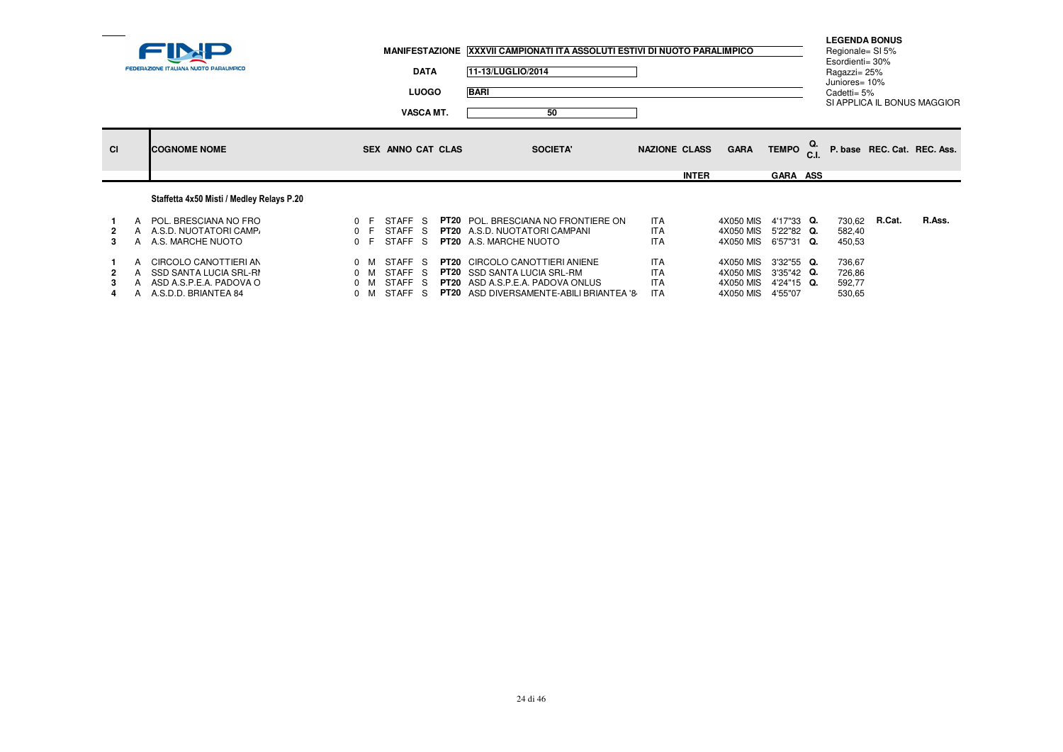|           | <b>FEDERAZIONE ITALIANA NUOTO PARALIMPICO</b>                                                        |                                              |                                        | <b>DATA</b><br><b>LUOGO</b><br><b>VASCA MT.</b> | MANIFESTAZIONE XXXVII CAMPIONATI ITA ASSOLUTI ESTIVI DI NUOTO PARALIMPICO<br>11-13/LUGLIO/2014<br><b>BARI</b><br>50                                                      |                                                      |              |                                                  |                                                   | <b>LEGENDA BONUS</b><br>Regionale= SI 5%<br>Esordienti= 30%<br>Ragazzi= 25%<br>Juniores= 10%<br>Cadetti= 5% |        | SI APPLICA IL BONUS MAGGIOR |
|-----------|------------------------------------------------------------------------------------------------------|----------------------------------------------|----------------------------------------|-------------------------------------------------|--------------------------------------------------------------------------------------------------------------------------------------------------------------------------|------------------------------------------------------|--------------|--------------------------------------------------|---------------------------------------------------|-------------------------------------------------------------------------------------------------------------|--------|-----------------------------|
| <b>CI</b> | <b>COGNOME NOME</b>                                                                                  |                                              | SEX ANNO CAT CLAS                      |                                                 | <b>SOCIETA'</b>                                                                                                                                                          | <b>NAZIONE CLASS</b>                                 | <b>INTER</b> | <b>GARA</b>                                      | TEMPO C.I.<br><b>GARA ASS</b>                     |                                                                                                             |        | P. base REC. Cat. REC. Ass. |
|           | Staffetta 4x50 Misti / Medley Relays P.20                                                            |                                              |                                        |                                                 |                                                                                                                                                                          |                                                      |              |                                                  |                                                   |                                                                                                             |        |                             |
| 3         | A POL. BRESCIANA NO FRO<br>A A.S.D. NUOTATORI CAMP.<br>A A.S. MARCHE NUOTO                           | 0 F<br>0 F<br>0 F                            | STAFF S<br>STAFF S<br>STAFF S          |                                                 | <b>PT20</b> POL. BRESCIANA NO FRONTIERE ON<br><b>PT20</b> A.S.D. NUOTATORI CAMPANI<br><b>PT20</b> A.S. MARCHE NUOTO                                                      | <b>ITA</b><br><b>ITA</b><br><b>ITA</b>               |              | 4X050 MIS<br>4X050 MIS<br>4X050 MIS              | 4'17"33 Q.<br>5'22"82 Q.<br>6'57"31 Q.            | 730,62<br>582,40<br>450,53                                                                                  | R.Cat. | R.Ass.                      |
|           | A CIRCOLO CANOTTIERI AN<br>SSD SANTA LUCIA SRL-RI<br>ASD A.S.P.E.A. PADOVA O<br>A.S.D.D. BRIANTEA 84 | $0 \mathsf{M}$<br>$0 \quad M$<br>$0 \quad M$ | STAFF S<br>STAFF S<br>STAFF S<br>STAFF | - S                                             | <b>PT20 CIRCOLO CANOTTIERI ANIENE</b><br><b>PT20</b> SSD SANTA LUCIA SRL-RM<br><b>PT20</b> ASD A.S.P.E.A. PADOVA ONLUS<br><b>PT20</b> ASD DIVERSAMENTE-ABILI BRIANTEA '8 | <b>ITA</b><br><b>ITA</b><br><b>ITA</b><br><b>ITA</b> |              | 4X050 MIS<br>4X050 MIS<br>4X050 MIS<br>4X050 MIS | 3'32"55 Q.<br>3'35"42 Q.<br>4'24"15 Q.<br>4'55"07 | 736,67<br>726,86<br>592,77<br>530,65                                                                        |        |                             |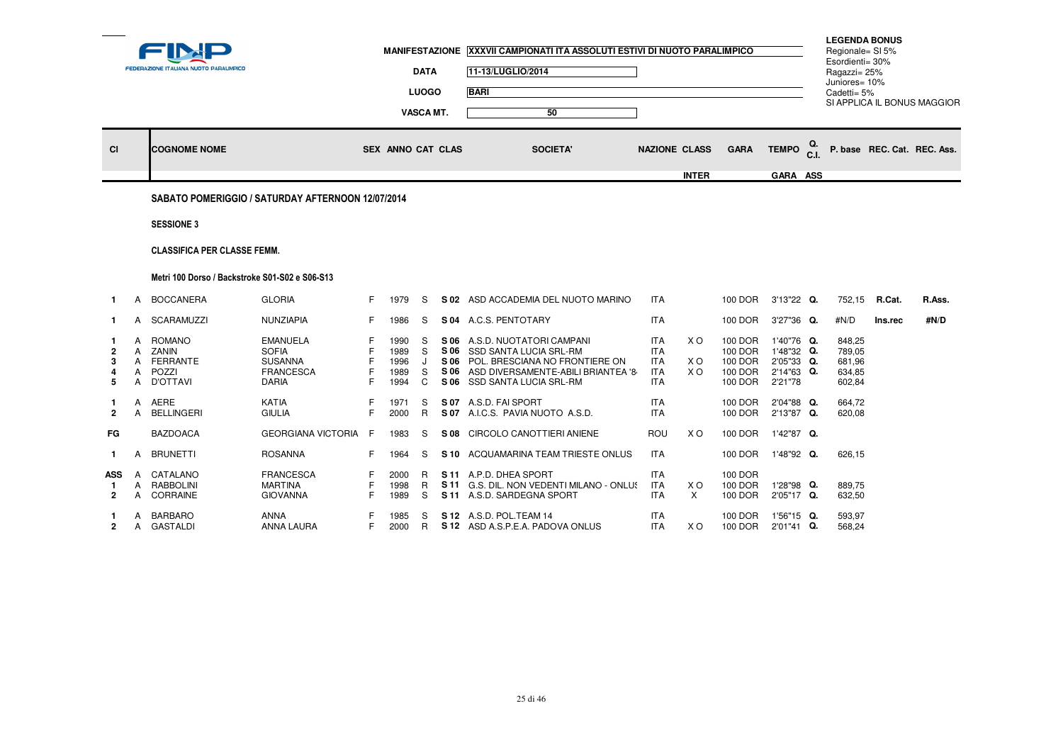| VASCA MT.<br>50<br>Q.<br><b>TEMPO</b><br><b>CI</b><br><b>COGNOME NOME</b><br><b>SEX ANNO CAT CLAS</b><br><b>SOCIETA'</b><br><b>NAZIONE CLASS</b><br><b>GARA</b><br><b>INTER</b><br>GARA ASS<br>SABATO POMERIGGIO / SATURDAY AFTERNOON 12/07/2014<br><b>SESSIONE 3</b>                                                                                                                                                                                                                                                                                                                                                                                                                                                                         | P. base REC. Cat. REC. Ass. |
|-----------------------------------------------------------------------------------------------------------------------------------------------------------------------------------------------------------------------------------------------------------------------------------------------------------------------------------------------------------------------------------------------------------------------------------------------------------------------------------------------------------------------------------------------------------------------------------------------------------------------------------------------------------------------------------------------------------------------------------------------|-----------------------------|
|                                                                                                                                                                                                                                                                                                                                                                                                                                                                                                                                                                                                                                                                                                                                               |                             |
|                                                                                                                                                                                                                                                                                                                                                                                                                                                                                                                                                                                                                                                                                                                                               |                             |
|                                                                                                                                                                                                                                                                                                                                                                                                                                                                                                                                                                                                                                                                                                                                               |                             |
|                                                                                                                                                                                                                                                                                                                                                                                                                                                                                                                                                                                                                                                                                                                                               |                             |
| <b>CLASSIFICA PER CLASSE FEMM.</b>                                                                                                                                                                                                                                                                                                                                                                                                                                                                                                                                                                                                                                                                                                            |                             |
|                                                                                                                                                                                                                                                                                                                                                                                                                                                                                                                                                                                                                                                                                                                                               |                             |
| Metri 100 Dorso / Backstroke S01-S02 e S06-S13                                                                                                                                                                                                                                                                                                                                                                                                                                                                                                                                                                                                                                                                                                |                             |
| <b>GLORIA</b><br><b>BOCCANERA</b><br>F<br>S 02 ASD ACCADEMIA DEL NUOTO MARINO<br><b>ITA</b><br>100 DOR<br>3'13"22 Q.<br>752,15 R.Cat.<br>1979<br>S<br>A<br>$\mathbf{1}$                                                                                                                                                                                                                                                                                                                                                                                                                                                                                                                                                                       | R.Ass.                      |
| A SCARAMUZZI<br>NUNZIAPIA<br>S 04 A.C.S. PENTOTARY<br><b>ITA</b><br>100 DOR<br>3'27"36 Q.<br>#N/D<br>F.<br>1986<br>S<br>-1                                                                                                                                                                                                                                                                                                                                                                                                                                                                                                                                                                                                                    | #N/D<br>Ins.rec             |
| <b>ITA</b><br><b>ROMANO</b><br><b>EMANUELA</b><br>S 06 A.S.D. NUOTATORI CAMPANI<br>X O<br>100 DOR<br>1'40"76 Q.<br>848.25<br>A<br>1990<br>S<br><b>SOFIA</b><br>1989<br>S<br>SSD SANTA LUCIA SRL-RM<br><b>ITA</b><br>100 DOR<br>1'48"32 Q.<br>789.05<br>A<br>ZANIN<br>S 06<br>$\mathbf{2}$<br>FERRANTE<br><b>SUSANNA</b><br>POL. BRESCIANA NO FRONTIERE ON<br><b>ITA</b><br>100 DOR<br>2'05"33 Q.<br>1996<br>J<br>S 06<br>X O<br>681,96<br>3<br>A<br>ASD DIVERSAMENTE-ABILI BRIANTEA '8<br><b>ITA</b><br>100 DOR<br>POZZI<br><b>FRANCESCA</b><br>1989<br>S<br>S 06<br>X O<br>2'14"63 Q.<br>634,85<br>A<br>4<br>D'OTTAVI<br><b>DARIA</b><br>1994<br>C<br>SSD SANTA LUCIA SRL-RM<br><b>ITA</b><br>100 DOR<br>5<br>A<br>S 06<br>2'21"78<br>602,84 |                             |
| AERE<br>KATIA<br>S 07 A.S.D. FAI SPORT<br><b>ITA</b><br>100 DOR<br>2'04"88 Q.<br>664.72<br>A<br>1971<br>S<br>-1<br>$\mathsf{R}$<br>2'13"87 Q.<br><b>BELLINGERI</b><br><b>GIULIA</b><br>2000<br>S 07 A.I.C.S. PAVIA NUOTO A.S.D.<br><b>ITA</b><br>100 DOR<br>620,08<br>$\overline{2}$<br>A<br>F.                                                                                                                                                                                                                                                                                                                                                                                                                                               |                             |
| FG<br><b>BAZDOACA</b><br><b>GEORGIANA VICTORIA</b><br>1983<br>CIRCOLO CANOTTIERI ANIENE<br>ROU<br>X O<br>100 DOR<br>1'42"87 Q.<br>E<br>S<br>S 08                                                                                                                                                                                                                                                                                                                                                                                                                                                                                                                                                                                              |                             |
| <b>ITA</b><br>100 DOR 1'48"92 Q.<br>A BRUNETTI<br><b>ROSANNA</b><br>S 10 ACQUAMARINA TEAM TRIESTE ONLUS<br>626,15<br>F.<br>1964<br>S<br>1.                                                                                                                                                                                                                                                                                                                                                                                                                                                                                                                                                                                                    |                             |
| A CATALANO<br><b>FRANCESCA</b><br>S 11 A.P.D. DHEA SPORT<br><b>ITA</b><br>100 DOR<br>ASS.<br>2000<br>R<br>A RABBOLINI<br><b>MARTINA</b><br>F.<br>R<br><b>ITA</b><br>X O<br>100 DOR<br>1'28"98 Q.<br>1998<br>S 11<br>G.S. DIL. NON VEDENTI MILANO - ONLUS<br>889,75<br>-1<br>A CORRAINE<br>X<br>100 DOR<br>2'05"17 Q.<br>632,50<br><b>GIOVANNA</b><br>1989<br>S<br>S 11 A.S.D. SARDEGNA SPORT<br><b>ITA</b><br>F.<br>2                                                                                                                                                                                                                                                                                                                         |                             |
| S 12 A.S.D. POL.TEAM 14<br><b>ITA</b><br>100 DOR<br>593,97<br>A BARBARO<br>ANNA<br>1985<br>1'56"15 Q.<br>S<br>-1.<br>F.<br>R<br><b>ITA</b><br>X O<br>A GASTALDI<br>ANNA LAURA<br>2000<br>S 12 ASD A.S.P.E.A. PADOVA ONLUS<br>100 DOR<br>2'01"41 Q.<br>568,24<br>$\overline{2}$                                                                                                                                                                                                                                                                                                                                                                                                                                                                |                             |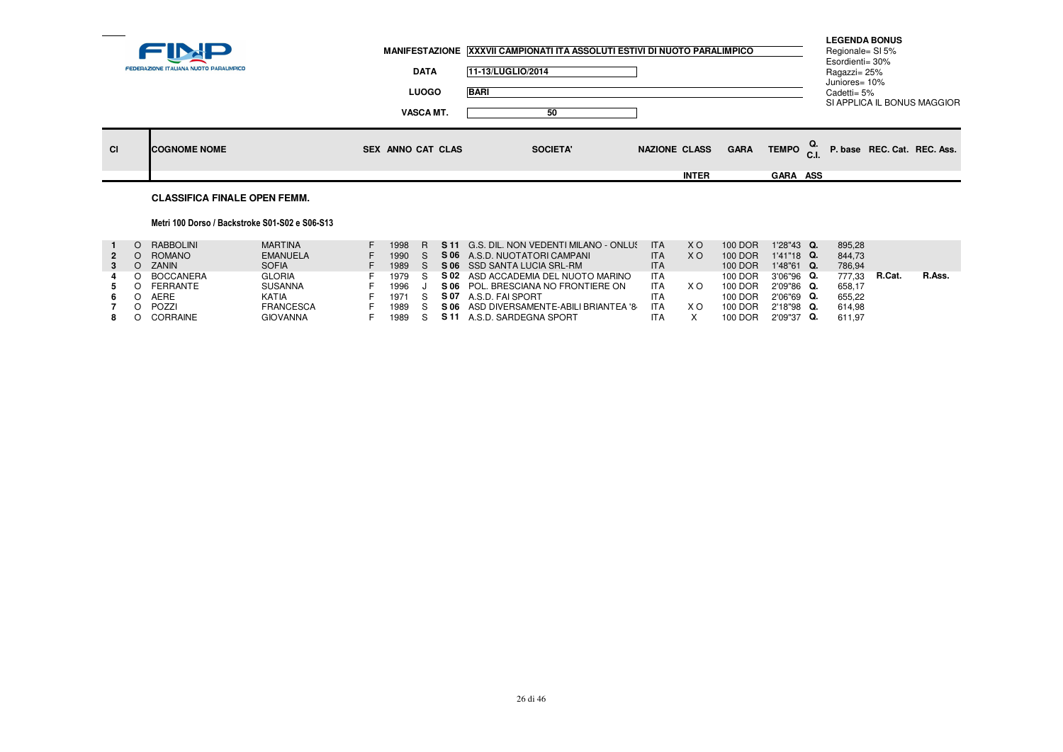|           | <b>FEDERAZIONE ITALIANA NUOTO PARALIMPICO</b> | <b>DATA</b>                      | MANIFESTAZIONE XXXVII CAMPIONATI ITA ASSOLUTI ESTIVI DI NUOTO PARALIMPICO<br>11-13/LUGLIO/2014 |                      |                 | <b>LEGENDA BONUS</b><br>Regionale= SI 5%<br>Esordienti= 30%<br>Ragazzi= 25%<br>Juniores= 10% |  |
|-----------|-----------------------------------------------|----------------------------------|------------------------------------------------------------------------------------------------|----------------------|-----------------|----------------------------------------------------------------------------------------------|--|
|           |                                               | <b>LUOGO</b><br><b>VASCA MT.</b> | <b>BARI</b><br>50                                                                              |                      |                 | Cadetti= 5%<br>SI APPLICA IL BONUS MAGGIOR                                                   |  |
| <b>CI</b> | <b>ICOGNOME NOME</b>                          | SEX ANNO CAT CLAS                | <b>SOCIETA'</b>                                                                                | <b>NAZIONE CLASS</b> | <b>GARA</b>     | TEMPO $_{\text{C.I.}}^{\text{Q.}}$ P. base REC. Cat. REC. Ass.                               |  |
|           |                                               |                                  |                                                                                                | <b>INTER</b>         | <b>GARA ASS</b> |                                                                                              |  |

# **CLASSIFICA FINALE OPEN FEMM.**

### Metri 100 Dorso / Backstroke S01-S02 e S06-S13

| RABBOLINI    | <b>MARTINA</b>   | 1998 |      | <b>S11</b> G.S. DIL. NON VEDENTI MILANO - ONLUS | <b>ITA</b> | X O            | 100 DOR | $1'28''43$ Q. | 895,28 |        |        |
|--------------|------------------|------|------|-------------------------------------------------|------------|----------------|---------|---------------|--------|--------|--------|
| ROMANO       | <b>EMANUELA</b>  | 1990 | S 06 | A.S.D. NUOTATORI CAMPANI                        | ITA        | X <sub>O</sub> | 100 DOR | $1'41''18$ Q. | 844.73 |        |        |
| <b>ZANIN</b> | <b>SOFIA</b>     | 1989 |      | S 06 SSD SANTA LUCIA SRL-RM                     | <b>ITA</b> |                | 100 DOR | $1'48''61$ Q. | 786.94 |        |        |
| BOCCANERA    | <b>GLORIA</b>    | 1979 |      | S 02 ASD ACCADEMIA DEL NUOTO MARINO             | <b>ITA</b> |                | 100 DOR | 3'06"96 Q.    | 777.33 | R.Cat. | R.Ass. |
| FERRANTE     | <b>SUSANNA</b>   | 1996 |      | S 06 POL. BRESCIANA NO FRONTIERE ON             | ITA        | ×с             | 100 DOR | 2'09"86 Q.    | 658.17 |        |        |
| <b>AERE</b>  | KATIA            | 1971 | S 07 | A.S.D. FAI SPORT                                | <b>ITA</b> |                | 100 DOR | 2'06"69 Q.    | 655.22 |        |        |
| POZZI        | <b>FRANCESCA</b> | 1989 | S 06 | ASD DIVERSAMENTE-ABILI BRIANTEA '8              | <b>ITA</b> | ×с             | 100 DOR | $2'18''98$ Q. | 614.98 |        |        |
| CORRAINE     | <b>GIOVANNA</b>  | 1989 | S 11 | A.S.D. SARDEGNA SPORT                           | ITA        |                | 100 DOR | $2'09''37$ Q. | 611.97 |        |        |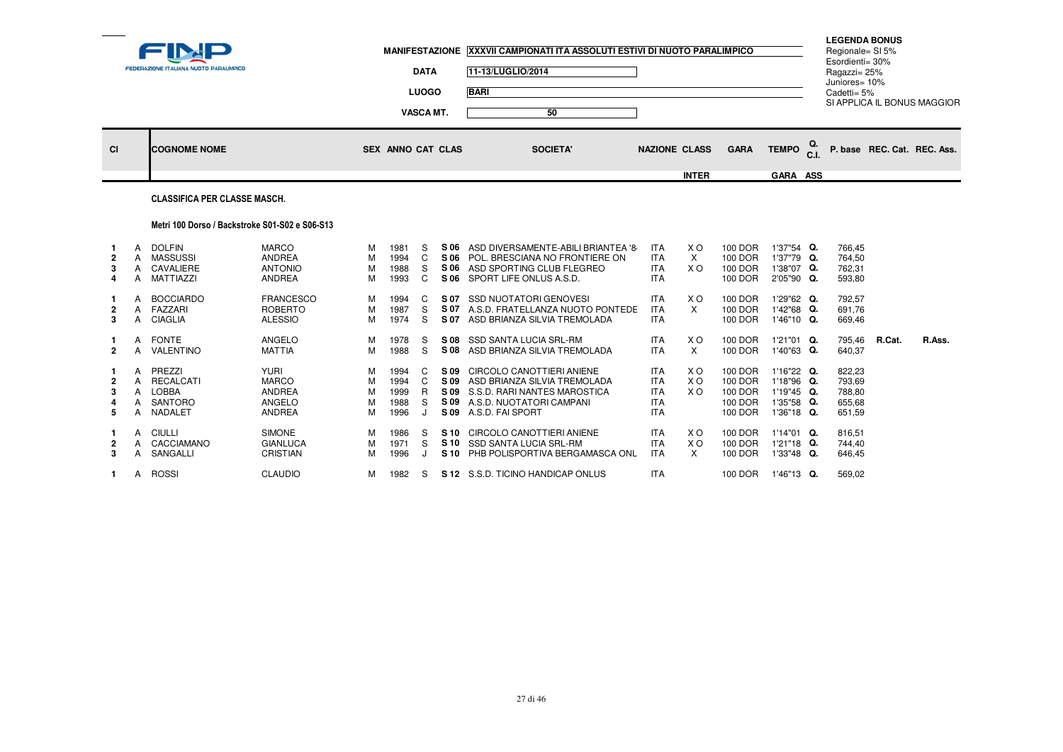|           |                                        |                          | MANIFESTAZIONE XXXVII CAMPIONATI ITA ASSOLUTI ESTIVI DI NUOTO PARALIMPICO |                      |             |                     | <b>LEGENDA BONUS</b><br>Regionale= SI 5%<br>Esordienti= 30% |                             |
|-----------|----------------------------------------|--------------------------|---------------------------------------------------------------------------|----------------------|-------------|---------------------|-------------------------------------------------------------|-----------------------------|
|           | FEDERAZIONE ITALIANA NUOTO PARALIMPICO | <b>DATA</b>              | 11-13/LUGLIO/2014                                                         |                      |             |                     | Ragazzi= 25%                                                |                             |
|           |                                        | <b>LUOGO</b>             | <b>BARI</b>                                                               |                      |             |                     | Juniores= 10%<br>Cadetti= 5%                                |                             |
|           |                                        | <b>VASCA MT.</b>         | 50                                                                        |                      |             |                     |                                                             | SI APPLICA IL BONUS MAGGIOR |
| <b>CI</b> | <b>COGNOME NOME</b>                    | <b>SEX ANNO CAT CLAS</b> | <b>SOCIETA'</b>                                                           | <b>NAZIONE CLASS</b> | <b>GARA</b> | TEMPO <sup>Q.</sup> |                                                             | P. base REC. Cat. REC. Ass. |
|           |                                        |                          |                                                                           | <b>INTER</b>         |             | <b>GARA ASS</b>     |                                                             |                             |
|           | <b>CLASSIFICA PER CLASSE MASCH.</b>    |                          |                                                                           |                      |             |                     |                                                             |                             |

## Metri 100 Dorso / Backstroke S01-S02 e S06-S13

| 2<br>3<br>4      |        | DOLFIN<br><b>MASSUSSI</b><br>CAVALIERE<br>MATTIAZZI       | <b>MARCO</b><br><b>ANDREA</b><br><b>ANTONIO</b><br><b>ANDREA</b>        | M<br>M<br>M<br>M      | 1981<br>1994<br>1988<br>1993         | S.<br>S<br>C     | S 06<br>S 06<br>S 06<br>S 06         | ASD DIVERSAMENTE-ABILI BRIANTEA '8<br>POL. BRESCIANA NO FRONTIERE ON<br>ASD SPORTING CLUB FLEGREO<br>SPORT LIFE ONLUS A.S.D.              | <b>ITA</b><br><b>ITA</b><br><b>ITA</b><br><b>ITA</b>               | X O<br>X<br>X O                       | 100 DOR<br>100 DOR<br>100 DOR<br>100 DOR            | 1'37"54 Q.<br>1'37"79 Q.<br>1'38"07 Q.<br>2'05"90 Q.                  | 766,45<br>764,50<br>762,31<br>593,80           |        |        |
|------------------|--------|-----------------------------------------------------------|-------------------------------------------------------------------------|-----------------------|--------------------------------------|------------------|--------------------------------------|-------------------------------------------------------------------------------------------------------------------------------------------|--------------------------------------------------------------------|---------------------------------------|-----------------------------------------------------|-----------------------------------------------------------------------|------------------------------------------------|--------|--------|
| 2<br>3           |        | <b>BOCCIARDO</b><br>FAZZARI<br><b>CIAGLIA</b>             | <b>FRANCESCO</b><br><b>ROBERTO</b><br><b>ALESSIO</b>                    | м<br>M<br>M           | 1994<br>1987<br>1974                 | C<br>S<br>S      | S 07<br>S 07<br>S 07                 | <b>SSD NUOTATORI GENOVESI</b><br>A.S.D. FRATELLANZA NUOTO PONTEDE<br>ASD BRIANZA SILVIA TREMOLADA                                         | <b>ITA</b><br><b>ITA</b><br><b>ITA</b>                             | X O<br>X                              | 100 DOR<br>100 DOR<br>100 DOR                       | 1'29"62 Q.<br>1'42"68 Q.<br>1'46"10 Q.                                | 792,57<br>691,76<br>669,46                     |        |        |
| $\mathbf{2}$     | A<br>A | FONTE<br>VALENTINO                                        | ANGELO<br><b>MATTIA</b>                                                 | M<br>M                | 1978<br>1988                         | S<br>S           | S 08<br>S 08                         | SSD SANTA LUCIA SRL-RM<br>ASD BRIANZA SILVIA TREMOLADA                                                                                    | <b>ITA</b><br><b>ITA</b>                                           | X O<br>X                              | 100 DOR<br>100 DOR                                  | 1'21"01 Q.<br>1'40"63 Q.                                              | 795,46<br>640,37                               | R.Cat. | R.Ass. |
| 2<br>3<br>4<br>5 | A      | PREZZI<br>RECALCATI<br><b>LOBBA</b><br>SANTORO<br>NADALET | <b>YURI</b><br><b>MARCO</b><br><b>ANDREA</b><br>ANGELO<br><b>ANDREA</b> | M<br>M<br>M<br>M<br>M | 1994<br>1994<br>1999<br>1988<br>1996 | C<br>C<br>R<br>S | S 09<br>S 09<br>S 09<br>S 09<br>S 09 | CIRCOLO CANOTTIERI ANIENE<br>ASD BRIANZA SILVIA TREMOLADA<br>S.S.D. RARI NANTES MAROSTICA<br>A.S.D. NUOTATORI CAMPANI<br>A.S.D. FAI SPORT | <b>ITA</b><br><b>ITA</b><br><b>ITA</b><br><b>ITA</b><br><b>ITA</b> | X O<br>X O<br>X O                     | 100 DOR<br>100 DOR<br>100 DOR<br>100 DOR<br>100 DOR | $1'16''22$ Q.<br>1'18"96 Q.<br>1'19"45 Q.<br>1'35"58 Q.<br>1'36"18 Q. | 822,23<br>793,69<br>788,80<br>655,68<br>651,59 |        |        |
| 2<br>3           | A<br>A | CIULLI<br>CACCIAMANO<br>SANGALLI                          | <b>SIMONE</b><br><b>GIANLUCA</b><br><b>CRISTIAN</b>                     | M<br>M<br>M           | 1986<br>1971<br>1996                 | S.<br>S          | S 10<br>S 10<br>S 10                 | CIRCOLO CANOTTIERI ANIENE<br><b>SSD SANTA LUCIA SRL-RM</b><br>PHB POLISPORTIVA BERGAMASCA ONL                                             | <b>ITA</b><br><b>ITA</b><br><b>ITA</b>                             | X <sub>O</sub><br>X <sub>O</sub><br>X | 100 DOR<br>100 DOR<br>100 DOR                       | $1'14"01$ Q.<br>$1'21"18$ Q.<br>1'33"48 Q.                            | 816,51<br>744,40<br>646,45                     |        |        |
|                  | A      | <b>ROSSI</b>                                              | <b>CLAUDIO</b>                                                          | м                     | 1982                                 | S                |                                      | S 12 S.S.D. TICINO HANDICAP ONLUS                                                                                                         | <b>ITA</b>                                                         |                                       | 100 DOR                                             | 1'46"13 Q.                                                            | 569,02                                         |        |        |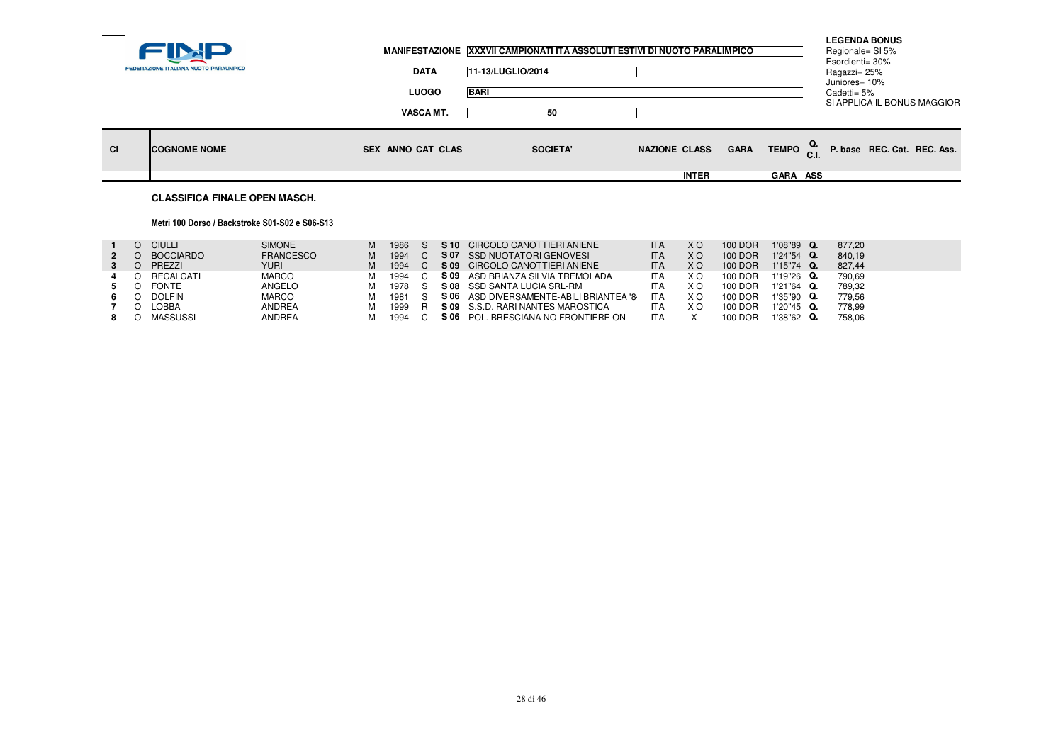| <b>LUOGO</b><br><b>BARI</b><br>Cadetti= 5%<br>SI APPLICA IL BONUS MAGGIOR<br><b>VASCA MT.</b><br>50<br>TEMPO <sup>Q.</sup><br>P. base REC. Cat. REC. Ass.<br><b>NAZIONE CLASS</b><br><b>GARA</b><br><b>CI</b><br><b>COGNOME NOME</b><br>SEX ANNO CAT CLAS<br><b>SOCIETA'</b><br><b>INTER</b><br><b>GARA ASS</b> | <b>FEDERAZIONE ITALIANA NUOTO PARALIMPICO</b> | <b>DATA</b> | 11-13/LUGLIO/2014 | MANIFESTAZIONE XXXVII CAMPIONATI ITA ASSOLUTI ESTIVI DI NUOTO PARALIMPICO | <b>LEGENDA BONUS</b><br>Regionale= SI 5%<br>Esordienti= 30%<br>Ragazzi= 25%<br>Juniores= 10% |  |
|-----------------------------------------------------------------------------------------------------------------------------------------------------------------------------------------------------------------------------------------------------------------------------------------------------------------|-----------------------------------------------|-------------|-------------------|---------------------------------------------------------------------------|----------------------------------------------------------------------------------------------|--|
|                                                                                                                                                                                                                                                                                                                 |                                               |             |                   |                                                                           |                                                                                              |  |
|                                                                                                                                                                                                                                                                                                                 |                                               |             |                   |                                                                           |                                                                                              |  |
|                                                                                                                                                                                                                                                                                                                 |                                               |             |                   |                                                                           |                                                                                              |  |
|                                                                                                                                                                                                                                                                                                                 |                                               |             |                   |                                                                           |                                                                                              |  |

# **CLASSIFICA FINALE OPEN MASCH.**

### Metri 100 Dorso / Backstroke S01-S02 e S06-S13

| $1'24''54$ Q.<br>840.19 |
|-------------------------|
|                         |
| 1'15"74 Q.<br>827.44    |
| 790.69<br>1'19"26 Q.    |
| 789.32<br>$1'21''64$ Q. |
| 1'35"90 Q.<br>779.56    |
| 778.99<br>$1'20''45$ Q. |
| $1'38''62$ Q.<br>758,06 |
|                         |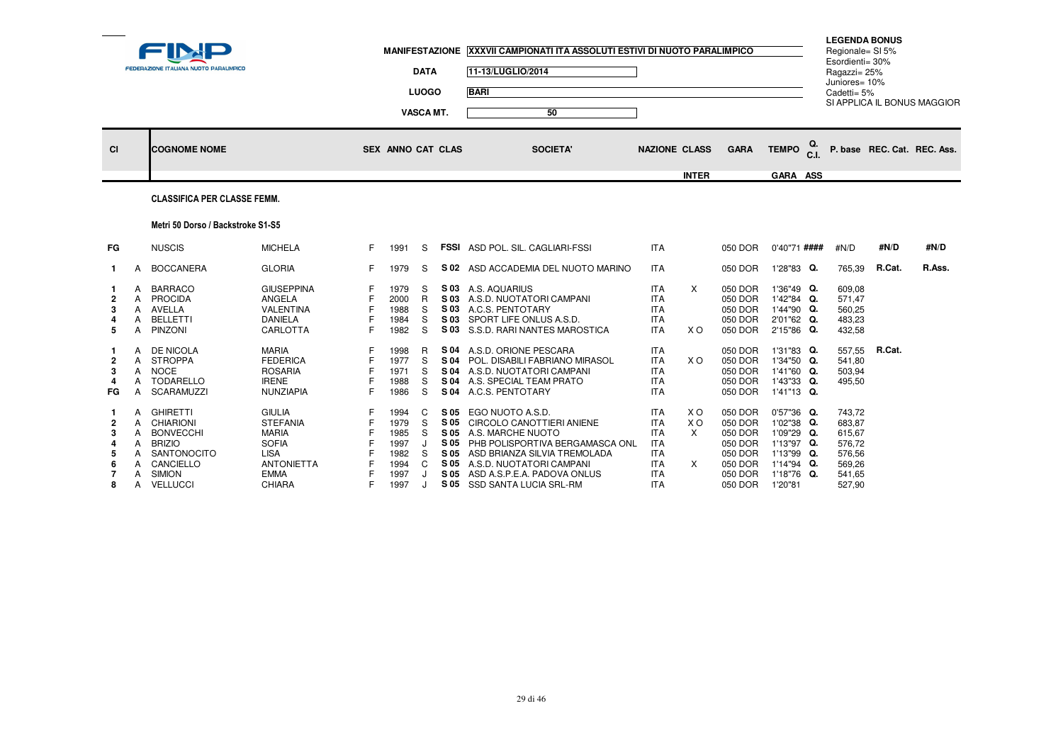|                                          |                                      | FEDERAZIONE ITALIANA NUOTO PARALIMPICO                                                                                            |                                                                                                                               |    | <b>MANIFESTAZIONE</b>                                        | <b>DATA</b><br><b>LUOGO</b><br><b>VASCA MT.</b> |              | XXXVII CAMPIONATI ITA ASSOLUTI ESTIVI DI NUOTO PARALIMPICO<br>11-13/LUGLIO/2014<br><b>BARI</b><br>50                                                                                                                                                     |                                                                                                              |                             |                                                                                      |                                                                                                              | <b>LEGENDA BONUS</b><br>Regionale= SI 5%<br>Esordienti= 30%<br>Ragazzi= 25%<br>Juniores= 10%<br>Cadetti= 5% |        | SI APPLICA IL BONUS MAGGIOR |
|------------------------------------------|--------------------------------------|-----------------------------------------------------------------------------------------------------------------------------------|-------------------------------------------------------------------------------------------------------------------------------|----|--------------------------------------------------------------|-------------------------------------------------|--------------|----------------------------------------------------------------------------------------------------------------------------------------------------------------------------------------------------------------------------------------------------------|--------------------------------------------------------------------------------------------------------------|-----------------------------|--------------------------------------------------------------------------------------|--------------------------------------------------------------------------------------------------------------|-------------------------------------------------------------------------------------------------------------|--------|-----------------------------|
| <b>CI</b>                                |                                      | <b>COGNOME NOME</b>                                                                                                               |                                                                                                                               |    | <b>SEX ANNO CAT CLAS</b>                                     |                                                 |              | <b>SOCIETA'</b>                                                                                                                                                                                                                                          | <b>NAZIONE CLASS</b>                                                                                         | <b>INTER</b>                | <b>GARA</b>                                                                          | <b>TEMPO</b><br>C.I.<br>GARA ASS                                                                             |                                                                                                             |        | P. base REC. Cat. REC. Ass. |
|                                          |                                      | <b>CLASSIFICA PER CLASSE FEMM.</b>                                                                                                |                                                                                                                               |    |                                                              |                                                 |              |                                                                                                                                                                                                                                                          |                                                                                                              |                             |                                                                                      |                                                                                                              |                                                                                                             |        |                             |
|                                          |                                      | Metri 50 Dorso / Backstroke S1-S5                                                                                                 |                                                                                                                               |    |                                                              |                                                 |              |                                                                                                                                                                                                                                                          |                                                                                                              |                             |                                                                                      |                                                                                                              |                                                                                                             |        |                             |
| <b>FG</b>                                |                                      | <b>NUSCIS</b>                                                                                                                     | <b>MICHELA</b>                                                                                                                | F. | 1991                                                         | S                                               |              | <b>FSSI</b> ASD POL. SIL. CAGLIARI-FSSI                                                                                                                                                                                                                  | <b>ITA</b>                                                                                                   |                             | 050 DOR                                                                              | 0'40"71 ####                                                                                                 | #N/D                                                                                                        | #N/D   | #N/D                        |
| $\mathbf{1}$                             | A                                    | <b>BOCCANERA</b>                                                                                                                  | <b>GLORIA</b>                                                                                                                 | F. | 1979                                                         | S                                               | S 02         | ASD ACCADEMIA DEL NUOTO MARINO                                                                                                                                                                                                                           | <b>ITA</b>                                                                                                   |                             | 050 DOR                                                                              | 1'28"83 Q.                                                                                                   | 765,39                                                                                                      | R.Cat. | R.Ass.                      |
| 2<br>3<br>4<br>-5                        | A<br>A<br>A<br>A<br>A                | <b>BARRACO</b><br><b>PROCIDA</b><br>AVELLA<br><b>BELLETTI</b><br><b>PINZONI</b>                                                   | <b>GIUSEPPINA</b><br>ANGELA<br>VALENTINA<br><b>DANIELA</b><br><b>CARLOTTA</b>                                                 |    | 1979<br>2000<br>1988<br>1984<br>1982                         | S<br>R<br>S<br>S<br>S                           |              | S 03 A.S. AQUARIUS<br>S 03 A.S.D. NUOTATORI CAMPANI<br>S 03 A.C.S. PENTOTARY<br>S 03 SPORT LIFE ONLUS A.S.D.<br>S 03 S.S.D. RARI NANTES MAROSTICA                                                                                                        | <b>ITA</b><br><b>ITA</b><br><b>ITA</b><br><b>ITA</b><br><b>ITA</b>                                           | $\times$<br>X O             | 050 DOR<br>050 DOR<br>050 DOR<br>050 DOR<br>050 DOR                                  | 1'36"49 Q.<br>1'42"84 Q.<br>1'44"90 Q.<br>2'01"62 Q.<br>2'15"86 Q.                                           | 609,08<br>571.47<br>560,25<br>483,23<br>432,58                                                              |        |                             |
| $\overline{2}$<br>3<br>4<br>FG           | А<br>A<br>A<br>A<br>A                | DE NICOLA<br><b>STROPPA</b><br><b>NOCE</b><br><b>TODARELLO</b><br><b>SCARAMUZZI</b>                                               | <b>MARIA</b><br><b>FEDERICA</b><br><b>ROSARIA</b><br><b>IRENE</b><br><b>NUNZIAPIA</b>                                         | F  | 1998<br>1977<br>1971<br>1988<br>1986                         | R<br>S<br>S<br>S<br>S                           |              | S 04 A.S.D. ORIONE PESCARA<br>S 04 POL. DISABILI FABRIANO MIRASOL<br>S 04 A.S.D. NUOTATORI CAMPANI<br>S 04 A.S. SPECIAL TEAM PRATO<br>S 04 A.C.S. PENTOTARY                                                                                              | <b>ITA</b><br><b>ITA</b><br><b>ITA</b><br><b>ITA</b><br><b>ITA</b>                                           | X O                         | 050 DOR<br>050 DOR<br>050 DOR<br>050 DOR<br>050 DOR                                  | 1'31"83 Q.<br>1'34"50 Q.<br>1'41"60 Q.<br>1'43"33 Q.<br>1'41"13 Q.                                           | 557,55<br>541.80<br>503,94<br>495,50                                                                        | R.Cat. |                             |
| $\overline{2}$<br>3<br>4<br>-5<br>6<br>8 | A<br>A<br>A<br>A<br>A<br>A<br>A<br>A | <b>GHIRETTI</b><br>CHIARIONI<br><b>BONVECCHI</b><br><b>BRIZIO</b><br>SANTONOCITO<br>CANCIELLO<br><b>SIMION</b><br><b>VELLUCCI</b> | <b>GIULIA</b><br><b>STEFANIA</b><br><b>MARIA</b><br><b>SOFIA</b><br>LISA<br><b>ANTONIETTA</b><br><b>EMMA</b><br><b>CHIARA</b> |    | 1994<br>1979<br>1985<br>1997<br>1982<br>1994<br>1997<br>1997 | C<br>S<br>S<br>J<br>S<br>C                      | S 05<br>S 05 | EGO NUOTO A.S.D.<br>S 05 CIRCOLO CANOTTIERI ANIENE<br>S 05 A.S. MARCHE NUOTO<br>S 05 PHB POLISPORTIVA BERGAMASCA ONL<br>S 05 ASD BRIANZA SILVIA TREMOLADA<br>S 05 A.S.D. NUOTATORI CAMPANI<br>ASD A.S.P.E.A. PADOVA ONLUS<br>S 05 SSD SANTA LUCIA SRL-RM | <b>ITA</b><br><b>ITA</b><br><b>ITA</b><br><b>ITA</b><br><b>ITA</b><br><b>ITA</b><br><b>ITA</b><br><b>ITA</b> | X O<br>X O<br>X<br>$\times$ | 050 DOR<br>050 DOR<br>050 DOR<br>050 DOR<br>050 DOR<br>050 DOR<br>050 DOR<br>050 DOR | $0'57''36$ Q.<br>1'02"38 Q.<br>1'09"29 Q.<br>1'13"97 Q.<br>1'13"99 Q.<br>1'14"94 Q.<br>1'18"76 Q.<br>1'20"81 | 743,72<br>683.87<br>615,67<br>576,72<br>576,56<br>569,26<br>541,65<br>527,90                                |        |                             |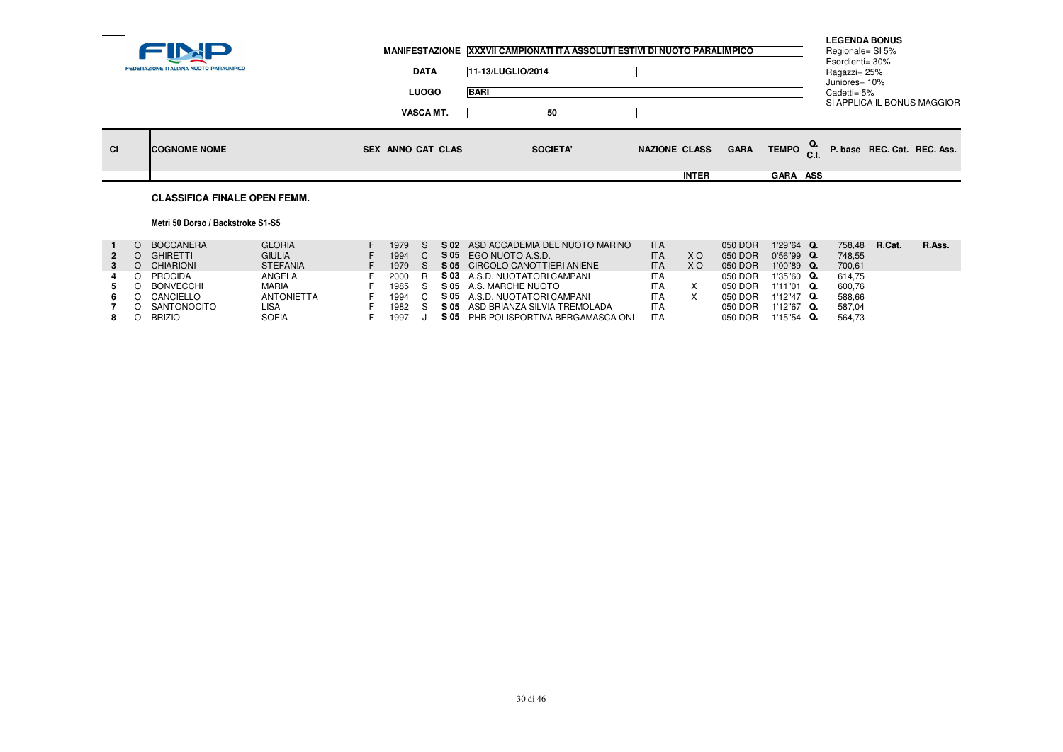|           |                                        |                          | MANIFESTAZIONE XXXVII CAMPIONATI ITA ASSOLUTI ESTIVI DI NUOTO PARALIMPICO |                      |                                    | <b>LEGENDA BONUS</b><br>Regionale= SI 5%<br>Esordienti= 30% |  |
|-----------|----------------------------------------|--------------------------|---------------------------------------------------------------------------|----------------------|------------------------------------|-------------------------------------------------------------|--|
|           | FEDERAZIONE ITALIANA NUOTO PARALIMPICO | <b>DATA</b>              | 11-13/LUGLIO/2014                                                         |                      |                                    | Ragazzi= 25%<br>Juniores= 10%                               |  |
|           |                                        | <b>LUOGO</b>             | <b>BARI</b>                                                               |                      |                                    | Cadetti= 5%<br>SI APPLICA IL BONUS MAGGIOR                  |  |
|           |                                        | <b>VASCA MT.</b>         | 50                                                                        |                      |                                    |                                                             |  |
| <b>CI</b> | <b>ICOGNOME NOME</b>                   | <b>SEX ANNO CAT CLAS</b> | <b>SOCIETA'</b>                                                           | <b>NAZIONE CLASS</b> | TEMPO <sup>Q.</sup><br><b>GARA</b> | P. base REC. Cat. REC. Ass.                                 |  |
|           |                                        |                          |                                                                           | <b>INTER</b>         | GARA ASS                           |                                                             |  |
|           | <b>CLASSIFICA FINALE OPEN FEMM.</b>    |                          |                                                                           |                      |                                    |                                                             |  |

# Metri 50 Dorso / Backstroke S1-S5

| 2  | BOCCANERA<br><b>GHIRETTI</b><br>CHIARIONI                                | <b>GLORIA</b><br><b>GIULIA</b><br><b>STEFANIA</b>            | 1979<br>1994<br>1979                   | S 05 | S 02 ASD ACCADEMIA DEL NUOTO MARINO<br>EGO NUOTO A.S.D.<br>S 05 CIRCOLO CANOTTIERI ANIENE                                                                           | <b>ITA</b><br><b>ITA</b><br><b>ITA</b>                             | X O<br>X O | 050 DOR<br>050 DOR<br>050 DOR                       | 1'29"64 Q.<br>$0'56''99$ Q.<br>$1'00''89$ Q.                          | 758.48<br>748.55<br>700.61                     | R.Cat. | R.Ass. |
|----|--------------------------------------------------------------------------|--------------------------------------------------------------|----------------------------------------|------|---------------------------------------------------------------------------------------------------------------------------------------------------------------------|--------------------------------------------------------------------|------------|-----------------------------------------------------|-----------------------------------------------------------------------|------------------------------------------------|--------|--------|
| 6. | PROCIDA<br><b>BONVECCHI</b><br>CANCIELLO<br>SANTONOCITO<br><b>BRIZIO</b> | ANGELA<br><b>MARIA</b><br><b>ANTONIETTA</b><br>LISA<br>SOFIA | 2000<br>1985 S<br>1994<br>1982<br>1997 | S 05 | S 03 A.S.D. NUOTATORI CAMPANI<br>S 05 A.S. MARCHE NUOTO<br>S 05 A.S.D. NUOTATORI CAMPANI<br>ASD BRIANZA SILVIA TREMOLADA<br>PHB POLISPORTIVA BERGAMASCA ONL<br>S 05 | <b>ITA</b><br><b>ITA</b><br><b>ITA</b><br><b>ITA</b><br><b>ITA</b> |            | 050 DOR<br>050 DOR<br>050 DOR<br>050 DOR<br>050 DOR | 1'35"60 Q.<br>$1'11''01$ Q.<br>1'12"47 Q.<br>1'12"67 Q.<br>1'15"54 Q. | 614.75<br>600.76<br>588.66<br>587.04<br>564.73 |        |        |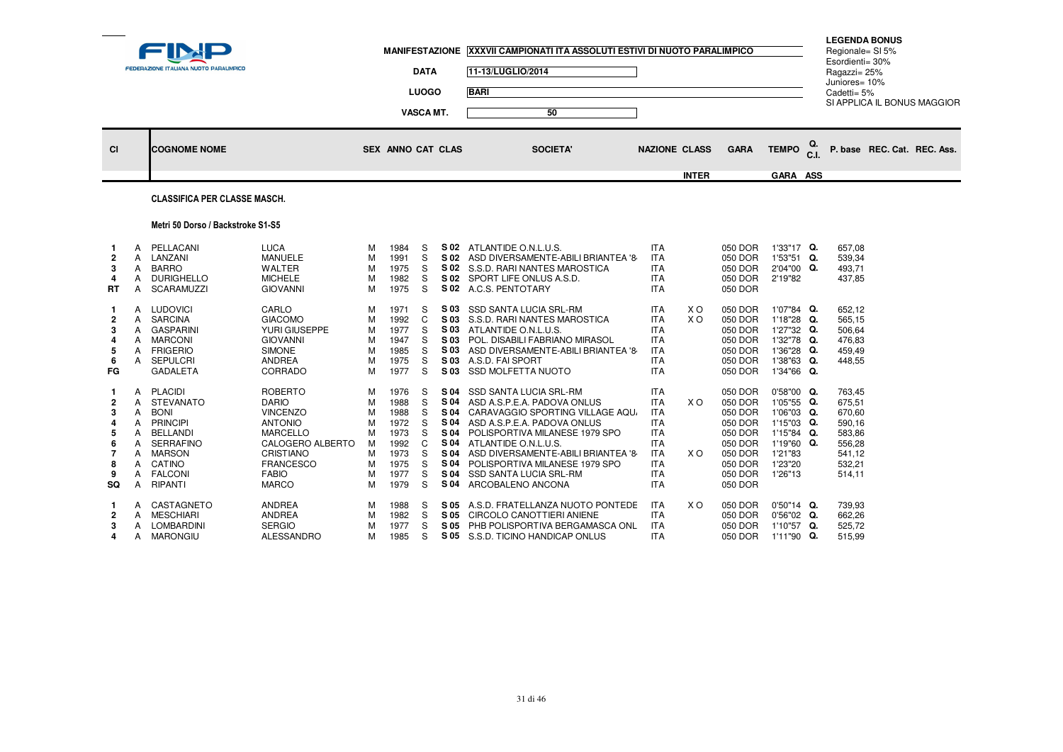| <b>LUOGO</b><br><b>BARI</b><br>Cadetti= 5%<br>SI APPLICA IL BONUS MAGGIOR<br><b>VASCA MT.</b><br>50<br>TEMPO $_{\text{C.I.}}^{\text{Q.}}$<br>P. base REC. Cat. REC. Ass.<br><b>NAZIONE CLASS</b><br><b>GARA</b><br><b>CI</b><br><b>COGNOME NOME</b><br>SEX ANNO CAT CLAS<br><b>SOCIETA'</b><br><b>INTER</b><br><b>GARA ASS</b> | FEDERAZIONE ITALIANA NUOTO PARALIMPICO | <b>DATA</b> | 11-13/LUGLIO/2014 | MANIFESTAZIONE XXXVII CAMPIONATI ITA ASSOLUTI ESTIVI DI NUOTO PARALIMPICO |  | Esordienti= 30%<br>Ragazzi= 25%<br>Juniores= 10% | <b>LEGENDA BONUS</b><br>Regionale= SI 5% |  |
|--------------------------------------------------------------------------------------------------------------------------------------------------------------------------------------------------------------------------------------------------------------------------------------------------------------------------------|----------------------------------------|-------------|-------------------|---------------------------------------------------------------------------|--|--------------------------------------------------|------------------------------------------|--|
|                                                                                                                                                                                                                                                                                                                                |                                        |             |                   |                                                                           |  |                                                  |                                          |  |
|                                                                                                                                                                                                                                                                                                                                |                                        |             |                   |                                                                           |  |                                                  |                                          |  |
|                                                                                                                                                                                                                                                                                                                                |                                        |             |                   |                                                                           |  |                                                  |                                          |  |
|                                                                                                                                                                                                                                                                                                                                |                                        |             |                   |                                                                           |  |                                                  |                                          |  |

### CLASSIFICA PER CLASSE MASCH.

### Metri 50 Dorso / Backstroke S1-S5

| $\overline{2}$<br>3<br>4<br>RT                | A<br>A<br>A<br>A<br>A                          | PELLACANI<br>LANZANI<br><b>BARRO</b><br><b>DURIGHELLO</b><br><b>SCARAMUZZI</b>                                                                                      | <b>LUCA</b><br><b>MANUELE</b><br><b>WALTER</b><br><b>MICHELE</b><br><b>GIOVANNI</b>                                                                                                | м<br>М<br>М<br>м<br>м                          | 1984<br>1991<br>1975<br>1982<br>1975                                         | S<br>S<br>S<br>S<br>S.                         | S 02<br>S 02<br>S 02<br>S 02                                                 | ATLANTIDE O.N.L.U.S.<br>ASD DIVERSAMENTE-ABILI BRIANTEA '8<br>S.S.D. RARI NANTES MAROSTICA<br>SPORT LIFE ONLUS A.S.D.<br>S 02 A.C.S. PENTOTARY                                                                                                                                                                   | <b>ITA</b><br><b>ITA</b><br><b>ITA</b><br><b>ITA</b><br><b>ITA</b>                                                                       |            | 050 DOR<br>050 DOR<br>050 DOR<br>050 DOR<br>050 DOR                                                        | $1'33"17$ Q.<br>1'53"51<br>2'04"00<br>2'19"82                                                                | Q.<br>Q.             | 657,08<br>539,34<br>493,71<br>437,85                                                   |
|-----------------------------------------------|------------------------------------------------|---------------------------------------------------------------------------------------------------------------------------------------------------------------------|------------------------------------------------------------------------------------------------------------------------------------------------------------------------------------|------------------------------------------------|------------------------------------------------------------------------------|------------------------------------------------|------------------------------------------------------------------------------|------------------------------------------------------------------------------------------------------------------------------------------------------------------------------------------------------------------------------------------------------------------------------------------------------------------|------------------------------------------------------------------------------------------------------------------------------------------|------------|------------------------------------------------------------------------------------------------------------|--------------------------------------------------------------------------------------------------------------|----------------------|----------------------------------------------------------------------------------------|
| $\overline{2}$<br>3<br>5<br>6<br>FG           | A<br>A<br>A<br>A<br>A<br>A                     | <b>LUDOVICI</b><br><b>SARCINA</b><br><b>GASPARINI</b><br><b>MARCONI</b><br><b>FRIGERIO</b><br><b>SEPULCRI</b><br><b>GADALETA</b>                                    | CARLO<br><b>GIACOMO</b><br>YURI GIUSEPPE<br><b>GIOVANNI</b><br><b>SIMONE</b><br><b>ANDREA</b><br>CORRADO                                                                           | м<br>м<br>M<br>м<br>M<br>м<br>м                | 1971<br>1992<br>1977<br>1947<br>1985<br>1975<br>1977                         | S<br>C<br>S<br>S<br>S<br>S<br>S                | S 03<br>S 03<br>S 03<br>S 03<br>S 03<br>S 03<br>S 03                         | <b>SSD SANTA LUCIA SRL-RM</b><br>S.S.D. RARI NANTES MAROSTICA<br>ATLANTIDE O.N.L.U.S.<br>POL. DISABILI FABRIANO MIRASOL<br>ASD DIVERSAMENTE-ABILI BRIANTEA '8<br>A.S.D. FAI SPORT<br><b>SSD MOLFETTA NUOTO</b>                                                                                                   | <b>ITA</b><br><b>ITA</b><br><b>ITA</b><br><b>ITA</b><br><b>ITA</b><br><b>ITA</b><br><b>ITA</b>                                           | X O<br>X O | 050 DOR<br>050 DOR<br>050 DOR<br>050 DOR<br>050 DOR<br>050 DOR<br>050 DOR                                  | 1'07"84 Q.<br>$1'18''28$ Q.<br>1'27"32<br>1'32"78<br>1'36"28<br>1'38"63<br>1'34"66 Q.                        | Q.<br>Q.<br>Q.<br>Q. | 652,12<br>565,15<br>506,64<br>476,83<br>459,49<br>448,55                               |
| $\overline{2}$<br>3<br>5<br>6<br>8<br>9<br>SQ | A<br>A<br>A<br>A<br>А<br>A<br>А<br>A<br>A<br>А | <b>PLACIDI</b><br><b>STEVANATO</b><br><b>BONI</b><br><b>PRINCIPI</b><br><b>BELLANDI</b><br><b>SERRAFINO</b><br><b>MARSON</b><br>CATINO<br><b>FALCONI</b><br>RIPANTI | <b>ROBERTO</b><br><b>DARIO</b><br><b>VINCENZO</b><br><b>ANTONIO</b><br><b>MARCELLO</b><br>CALOGERO ALBERTO<br><b>CRISTIANO</b><br><b>FRANCESCO</b><br><b>FABIO</b><br><b>MARCO</b> | м<br>м<br>м<br>м<br>м<br>м<br>м<br>м<br>м<br>м | 1976<br>1988<br>1988<br>1972<br>1973<br>1992<br>1973<br>1975<br>1977<br>1979 | S<br>S<br>S<br>S<br>S<br>C<br>S<br>S<br>S<br>S | S 04<br>S 04<br>S 04<br>S 04<br>S 04<br>S 04<br>S 04<br>S 04<br>S 04<br>S 04 | <b>SSD SANTA LUCIA SRL-RM</b><br>ASD A.S.P.E.A. PADOVA ONLUS<br>CARAVAGGIO SPORTING VILLAGE AQU.<br>ASD A.S.P.E.A. PADOVA ONLUS<br>POLISPORTIVA MILANESE 1979 SPO<br>ATLANTIDE O.N.L.U.S.<br>ASD DIVERSAMENTE-ABILI BRIANTEA '8<br>POLISPORTIVA MILANESE 1979 SPO<br>SSD SANTA LUCIA SRL-RM<br>ARCOBALENO ANCONA | <b>ITA</b><br><b>ITA</b><br><b>ITA</b><br><b>ITA</b><br><b>ITA</b><br><b>ITA</b><br><b>ITA</b><br><b>ITA</b><br><b>ITA</b><br><b>ITA</b> | X O<br>X O | 050 DOR<br>050 DOR<br>050 DOR<br>050 DOR<br>050 DOR<br>050 DOR<br>050 DOR<br>050 DOR<br>050 DOR<br>050 DOR | $0'58"00$ Q.<br>$1'05"55$ Q.<br>1'06"03<br>1'15"03<br>1'15"84 Q.<br>1'19"60<br>1'21"83<br>1'23"20<br>1'26"13 | Q.<br>Q.<br>Q.       | 763,45<br>675,51<br>670,60<br>590,16<br>583,86<br>556,28<br>541,12<br>532,21<br>514.11 |
| $\overline{2}$<br>3<br>4                      | A<br>A<br>А<br>A                               | CASTAGNETO<br><b>MESCHIARI</b><br><b>LOMBARDINI</b><br><b>MARONGIU</b>                                                                                              | <b>ANDREA</b><br><b>ANDREA</b><br><b>SERGIO</b><br><b>ALESSANDRO</b>                                                                                                               | м<br>м<br>M<br>м                               | 1988<br>1982<br>1977<br>1985                                                 | S<br>S<br>S<br>S                               | S 05<br>S 05<br>S 05<br>S 05                                                 | A.S.D. FRATELLANZA NUOTO PONTEDE<br>CIRCOLO CANOTTIERI ANIENE<br>PHB POLISPORTIVA BERGAMASCA ONL<br>S.S.D. TICINO HANDICAP ONLUS                                                                                                                                                                                 | <b>ITA</b><br><b>ITA</b><br><b>ITA</b><br><b>ITA</b>                                                                                     | X O        | 050 DOR<br>050 DOR<br>050 DOR<br>050 DOR                                                                   | $0'50"14$ Q.<br>$0'56''02$ Q.<br>1'10"57<br>1'11"90                                                          | Q.<br>Q.             | 739.93<br>662,26<br>525,72<br>515,99                                                   |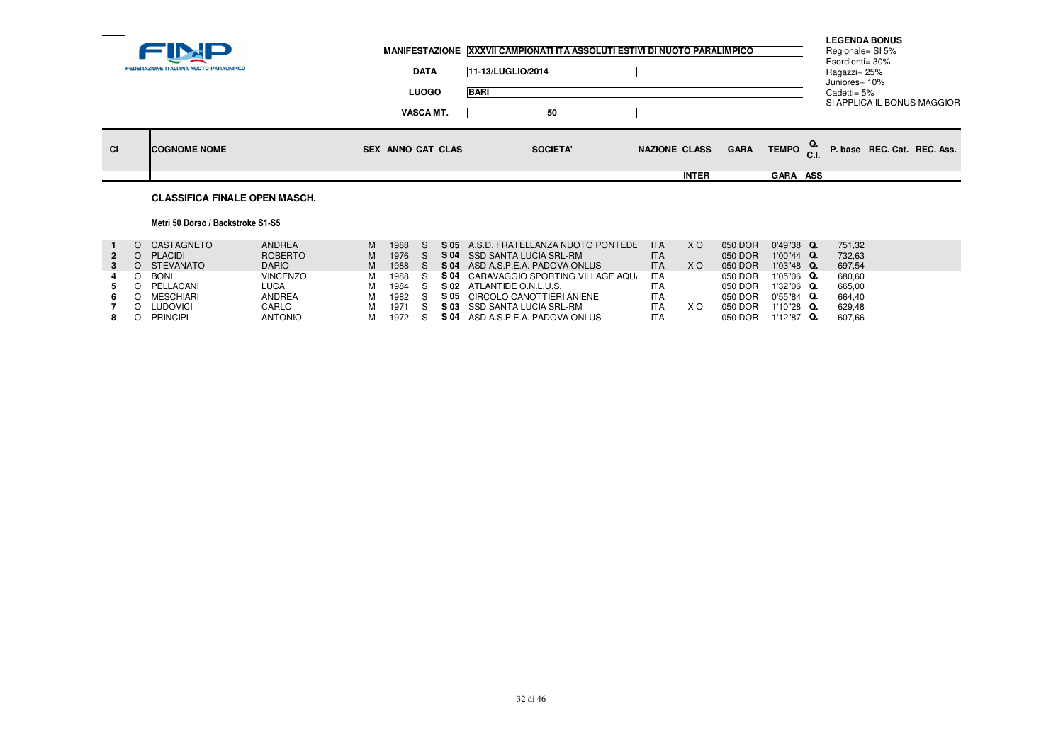|           | FEDERAZIONE ITALIANA NUOTO PARALIMPICO | <b>DATA</b>       | MANIFESTAZIONE XXXVII CAMPIONATI ITA ASSOLUTI ESTIVI DI NUOTO PARALIMPICO<br>11-13/LUGLIO/2014 |                                     |                                    | <b>LEGENDA BONUS</b><br>Regionale= SI 5%<br>Esordienti= 30%<br>Ragazzi= 25%<br>Juniores= 10% |  |
|-----------|----------------------------------------|-------------------|------------------------------------------------------------------------------------------------|-------------------------------------|------------------------------------|----------------------------------------------------------------------------------------------|--|
|           |                                        | <b>LUOGO</b>      | <b>BARI</b>                                                                                    |                                     |                                    | Cadetti= 5%<br>SI APPLICA IL BONUS MAGGIOR                                                   |  |
|           |                                        | VASCA MT.         | 50                                                                                             |                                     |                                    |                                                                                              |  |
| <b>CI</b> | <b>ICOGNOME NOME</b>                   | SEX ANNO CAT CLAS | <b>SOCIETA'</b>                                                                                | <b>GARA</b><br><b>NAZIONE CLASS</b> | TEMPO $_{\text{C.I.}}^{\text{Q.}}$ | P. base REC. Cat. REC. Ass.                                                                  |  |
|           |                                        |                   |                                                                                                | <b>INTER</b>                        | <b>GARA ASS</b>                    |                                                                                              |  |
|           |                                        |                   |                                                                                                |                                     |                                    |                                                                                              |  |

# **CLASSIFICA FINALE OPEN MASCH.**

### Metri 50 Dorso / Backstroke S1-S5

|   | CASTAGNETO      | ANDREA          | M | 1988   |      | <b>S 05</b> A.S.D. FRATELLANZA NUOTO PONTEDE | <b>ITA</b> | X O | 050 DOR | $0'49''38$ Q. | 751.32 |
|---|-----------------|-----------------|---|--------|------|----------------------------------------------|------------|-----|---------|---------------|--------|
|   | PLACIDI         | ROBERTO         | M | 1976 S |      | S 04 SSD SANTA LUCIA SRL-RM                  | <b>ITA</b> |     | 050 DOR | $1'00''44$ Q. | 732.63 |
|   | O STEVANATO     | <b>DARIO</b>    | M | 1988 S |      | S 04 ASD A.S.P.E.A. PADOVA ONLUS             | <b>ITA</b> | X O | 050 DOR | $1'03''48$ Q. | 697.54 |
| 4 | <b>BONI</b>     | <b>VINCENZO</b> | м | 1988 S | S 04 | CARAVAGGIO SPORTING VILLAGE AQU.             | <b>ITA</b> |     | 050 DOR | 1'05"06 Q.    | 680,60 |
|   | PELLACANI       | LUCA            |   | 1984 S |      | S 02 ATLANTIDE O.N.L.U.S.                    | <b>ITA</b> |     | 050 DOR | $1'32''06$ Q. | 665.00 |
|   | MESCHIARI       | ANDREA          | м | 1982 S |      | S 05 CIRCOLO CANOTTIERI ANIENE               | <b>ITA</b> |     | 050 DOR | $0'55''84$ Q. | 664.40 |
|   | LUDOVICI        | CARLO           | м | 1971 S |      | S 03 SSD SANTA LUCIA SRL-RM                  | <b>ITA</b> | X O | 050 DOR | $1'10''28$ Q. | 629.48 |
|   | <b>PRINCIPI</b> | <b>ANTONIO</b>  | м | 1972 S |      | <b>S 04</b> ASD A.S.P.E.A. PADOVA ONLUS      | <b>ITA</b> |     | 050 DOR | $1'12''87$ Q. | 607.66 |
|   |                 |                 |   |        |      |                                              |            |     |         |               |        |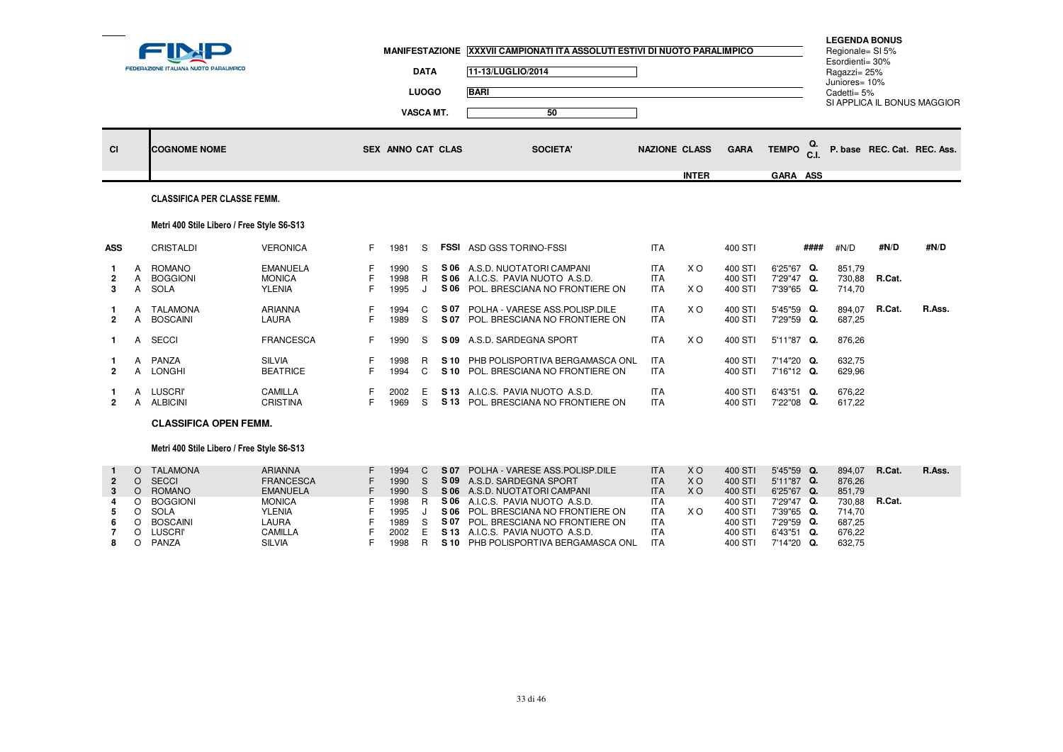|                          |                                             | <b>FEDERAZIONE ITALIANA NUOTO PARALIMPICO</b>                                 |                                                                                         |                | <b>MANIFESTAZIONE</b>                | <b>DATA</b><br><b>LUOGO</b><br>VASCA MT. |              | XXXVII CAMPIONATI ITA ASSOLUTI ESTIVI DI NUOTO PARALIMPICO<br>11-13/LUGLIO/2014<br><b>BARI</b><br>50                                                                |                                                                    |                                      |                                                     |                                                                    |                      | <b>LEGENDA BONUS</b><br>Regionale= SI 5%<br>Esordienti= 30%<br>Ragazzi= 25%<br>Juniores= 10%<br>Cadetti= 5% |                  | SI APPLICA IL BONUS MAGGIOR |
|--------------------------|---------------------------------------------|-------------------------------------------------------------------------------|-----------------------------------------------------------------------------------------|----------------|--------------------------------------|------------------------------------------|--------------|---------------------------------------------------------------------------------------------------------------------------------------------------------------------|--------------------------------------------------------------------|--------------------------------------|-----------------------------------------------------|--------------------------------------------------------------------|----------------------|-------------------------------------------------------------------------------------------------------------|------------------|-----------------------------|
| <b>CI</b>                |                                             | <b>COGNOME NOME</b>                                                           |                                                                                         |                | SEX ANNO CAT CLAS                    |                                          |              | <b>SOCIETA'</b>                                                                                                                                                     |                                                                    | <b>NAZIONE CLASS</b><br><b>INTER</b> | <b>GARA</b>                                         | <b>TEMPO</b><br>GARA ASS                                           | Q.<br>C <sub>1</sub> |                                                                                                             |                  | P. base REC. Cat. REC. Ass. |
|                          |                                             | <b>CLASSIFICA PER CLASSE FEMM.</b>                                            |                                                                                         |                |                                      |                                          |              |                                                                                                                                                                     |                                                                    |                                      |                                                     |                                                                    |                      |                                                                                                             |                  |                             |
|                          |                                             | Metri 400 Stile Libero / Free Style S6-S13                                    |                                                                                         |                |                                      |                                          |              |                                                                                                                                                                     |                                                                    |                                      |                                                     |                                                                    |                      |                                                                                                             |                  |                             |
| <b>ASS</b>               |                                             | CRISTALDI                                                                     | <b>VERONICA</b>                                                                         | F.             | 1981                                 | S                                        |              | <b>FSSI ASD GSS TORINO-FSSI</b>                                                                                                                                     | <b>ITA</b>                                                         |                                      | 400 STI                                             |                                                                    | ####                 | #N/D                                                                                                        | #N/D             | #N/D                        |
| $\overline{2}$<br>3      | A<br>A<br>A                                 | <b>ROMANO</b><br><b>BOGGIONI</b><br>SOLA                                      | <b>EMANUELA</b><br><b>MONICA</b><br><b>YLENIA</b>                                       | F.             | 1990<br>1998<br>1995                 | S<br>R<br>$\mathbf{J}$                   |              | S 06 A.S.D. NUOTATORI CAMPANI<br>S 06 A.I.C.S. PAVIA NUOTO A.S.D.<br>S 06 POL. BRESCIANA NO FRONTIERE ON                                                            | <b>ITA</b><br><b>ITA</b><br><b>ITA</b>                             | X <sub>O</sub><br>X O                | 400 STI<br>400 STI<br>400 STI                       | 6'25"67 Q.<br>7'29"47 Q.<br>7'39"65 Q.                             |                      | 851,79<br>730,88<br>714,70                                                                                  | R.Cat.           |                             |
| $\overline{2}$           | A<br>A                                      | TALAMONA<br><b>BOSCAINI</b>                                                   | ARIANNA<br>LAURA                                                                        |                | 1994<br>1989                         | C<br>S                                   | S 07<br>S 07 | POLHA - VARESE ASS.POLISP.DILE<br>POL. BRESCIANA NO FRONTIERE ON                                                                                                    | <b>ITA</b><br><b>ITA</b>                                           | X O                                  | 400 STI<br>400 STI                                  | 5'45"59 Q.<br>7'29"59 Q.                                           |                      | 894,07<br>687,25                                                                                            | R.Cat.           | R.Ass.                      |
| $\mathbf{1}$             | Α                                           | <b>SECCI</b>                                                                  | <b>FRANCESCA</b>                                                                        |                | 1990                                 | S                                        |              | S 09 A.S.D. SARDEGNA SPORT                                                                                                                                          | <b>ITA</b>                                                         | X O                                  | 400 STI                                             | 5'11"87 Q.                                                         |                      | 876,26                                                                                                      |                  |                             |
| $\overline{2}$           | A<br>A                                      | PANZA<br>LONGHI                                                               | <b>SILVIA</b><br><b>BEATRICE</b>                                                        |                | 1998<br>1994                         | R.<br>$\mathsf{C}$                       |              | S 10 PHB POLISPORTIVA BERGAMASCA ONL<br>S 10 POL. BRESCIANA NO FRONTIERE ON                                                                                         | <b>ITA</b><br><b>ITA</b>                                           |                                      | 400 STI<br>400 STI                                  | 7'14"20 Q.<br>7'16"12 Q.                                           |                      | 632,75<br>629,96                                                                                            |                  |                             |
| $\overline{2}$           | A<br>A                                      | <b>LUSCRI</b><br><b>ALBICINI</b>                                              | CAMILLA<br><b>CRISTINA</b>                                                              | F.             | 2002<br>1969                         | Е<br>S                                   |              | S 13 A.I.C.S. PAVIA NUOTO A.S.D.<br>S 13 POL. BRESCIANA NO FRONTIERE ON                                                                                             | <b>ITA</b><br><b>ITA</b>                                           |                                      | 400 STI<br>400 STI                                  | 6'43"51 Q.<br>7'22"08 Q.                                           |                      | 676,22<br>617.22                                                                                            |                  |                             |
|                          |                                             | <b>CLASSIFICA OPEN FEMM.</b>                                                  |                                                                                         |                |                                      |                                          |              |                                                                                                                                                                     |                                                                    |                                      |                                                     |                                                                    |                      |                                                                                                             |                  |                             |
|                          |                                             | Metri 400 Stile Libero / Free Style S6-S13                                    |                                                                                         |                |                                      |                                          |              |                                                                                                                                                                     |                                                                    |                                      |                                                     |                                                                    |                      |                                                                                                             |                  |                             |
| $\overline{2}$<br>3<br>5 | $\Omega$<br>$\circ$<br>$\Omega$<br>$\Omega$ | <b>TALAMONA</b><br><b>SECCI</b><br><b>ROMANO</b><br>O BOGGIONI<br><b>SOLA</b> | <b>ARIANNA</b><br><b>FRANCESCA</b><br><b>EMANUELA</b><br><b>MONICA</b><br><b>YLENIA</b> | F              | 1994<br>1990<br>1990<br>1998<br>1995 | C<br><sub>S</sub><br>S<br>R.             | S 07<br>S 06 | POLHA - VARESE ASS.POLISP.DILE<br>S 09 A.S.D. SARDEGNA SPORT<br>S 06 A.S.D. NUOTATORI CAMPANI<br>S 06 A.I.C.S. PAVIA NUOTO A.S.D.<br>POL. BRESCIANA NO FRONTIERE ON | <b>ITA</b><br><b>ITA</b><br><b>ITA</b><br><b>ITA</b><br><b>ITA</b> | XO.<br><b>XO</b><br><b>XO</b><br>X O | 400 STI<br>400 STI<br>400 STI<br>400 STI<br>400 STI | 5'45"59 Q.<br>5'11"87 Q.<br>6'25"67 Q.<br>7'29"47 Q.<br>7'39"65 Q. |                      | 894,07<br>876,26<br>851,79<br>730,88<br>714,70                                                              | R.Cat.<br>R.Cat. | R.Ass.                      |
| 6                        | $\circ$                                     | <b>BOSCAINI</b>                                                               | <b>LAURA</b><br>$\sim$ $\sim$ $\sim$ $\sim$ $\sim$                                      | $\overline{ }$ | 1989<br>0.000                        | S<br>$\overline{a}$                      | 0.40         | S 07 POL. BRESCIANA NO FRONTIERE ON                                                                                                                                 | <b>ITA</b><br>$-$                                                  |                                      | 400 STI<br>100.071                                  | 7'29"59 Q.<br>0.100021                                             |                      | 687.25<br>270.00                                                                                            |                  |                             |

LUSCRI' CAMILLA <sup>F</sup> <sup>2002</sup> <sup>E</sup> **S 13** A.I.C.S. PAVIA NUOTO A.S.D. ITA 400 STI 6'43"51 **Q.** 676,22

PANZA CONDET A SILVIA F 1998 R SILVIA PHB POLISPORTIVA BERGAMASCA ONL ITA

**7** <sup>O</sup>

**8** <sup>O</sup>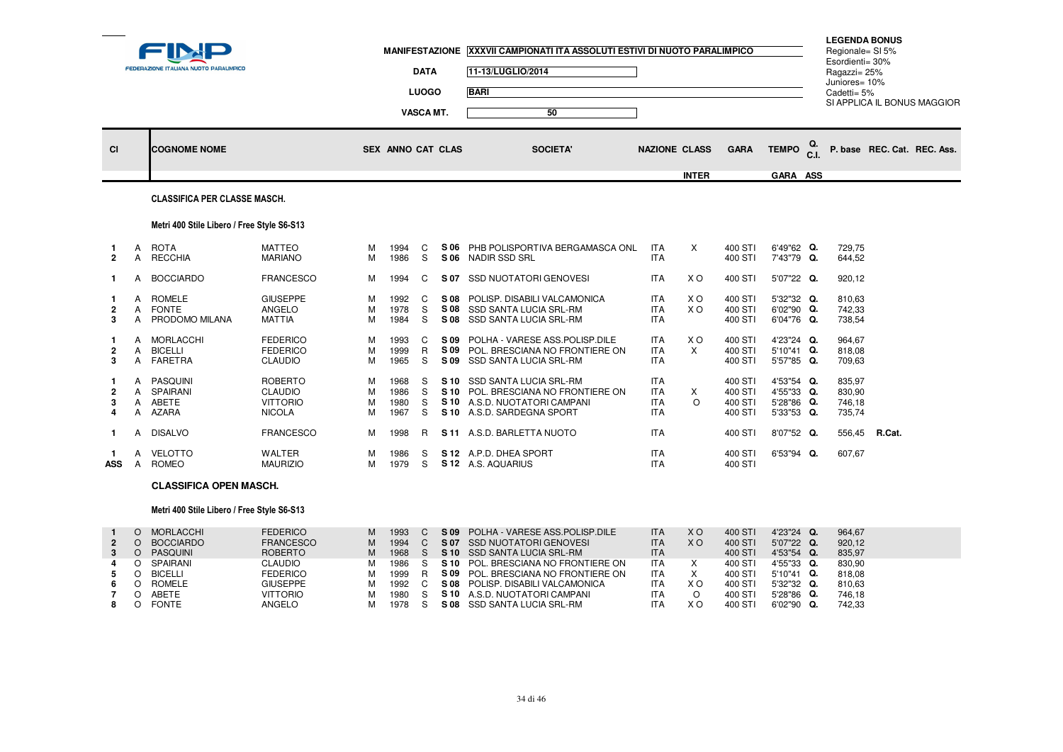| --                   |              | FEDERAZIONE ITALIANA NUOTO PARALIMPICO              |                                                                      |                  |                              | <b>DATA</b><br><b>LUOGO</b><br>VASCA MT. |      | MANIFESTAZIONE XXXVII CAMPIONATI ITA ASSOLUTI ESTIVI DI NUOTO PARALIMPICO<br>11-13/LUGLIO/2014<br><b>BARI</b><br>50               |                                                      |                      |                                          |                                                      |    | <b>LEGENDA BONUS</b><br>Regionale= SI 5%<br>Esordienti= 30%<br>Ragazzi= 25%<br>Juniores= 10%<br>Cadetti= 5% |        | SI APPLICA IL BONUS MAGGIOR |
|----------------------|--------------|-----------------------------------------------------|----------------------------------------------------------------------|------------------|------------------------------|------------------------------------------|------|-----------------------------------------------------------------------------------------------------------------------------------|------------------------------------------------------|----------------------|------------------------------------------|------------------------------------------------------|----|-------------------------------------------------------------------------------------------------------------|--------|-----------------------------|
| CI                   |              | <b>COGNOME NOME</b>                                 |                                                                      |                  | SEX ANNO CAT CLAS            |                                          |      | <b>SOCIETA'</b>                                                                                                                   |                                                      | <b>NAZIONE CLASS</b> | <b>GARA</b>                              | <b>TEMPO</b>                                         | Q. |                                                                                                             |        | P. base REC. Cat. REC. Ass. |
|                      |              | <b>CLASSIFICA PER CLASSE MASCH.</b>                 |                                                                      |                  |                              |                                          |      |                                                                                                                                   |                                                      | <b>INTER</b>         |                                          | GARA ASS                                             |    |                                                                                                             |        |                             |
|                      |              | Metri 400 Stile Libero / Free Style S6-S13          |                                                                      |                  |                              |                                          |      |                                                                                                                                   |                                                      |                      |                                          |                                                      |    |                                                                                                             |        |                             |
| 1.<br>$\overline{2}$ | A<br>A       | <b>ROTA</b><br><b>RECCHIA</b>                       | <b>MATTEO</b><br><b>MARIANO</b>                                      | м<br>м           | 1994<br>1986                 | C<br>S                                   |      | S 06 PHB POLISPORTIVA BERGAMASCA ONL<br>S 06 NADIR SSD SRL                                                                        | <b>ITA</b><br><b>ITA</b>                             | $\times$             | 400 STI<br>400 STI                       | 6'49"62 Q.<br>7'43"79 Q.                             |    | 729,75<br>644,52                                                                                            |        |                             |
|                      | A            | <b>BOCCIARDO</b>                                    | <b>FRANCESCO</b>                                                     | м                | 1994                         | C                                        |      | S 07 SSD NUOTATORI GENOVESI                                                                                                       | <b>ITA</b>                                           | X O                  | 400 STI                                  | 5'07"22 Q.                                           |    | 920,12                                                                                                      |        |                             |
| $\overline{2}$<br>3  |              | A ROMELE<br>A FONTE<br>A PRODOMO MILANA             | <b>GIUSEPPE</b><br>ANGELO<br><b>MATTIA</b>                           | м<br>M<br>м      | 1992<br>1978<br>1984         | C<br>S<br>S                              |      | S 08 POLISP. DISABILI VALCAMONICA<br>S 08 SSD SANTA LUCIA SRL-RM<br>S 08 SSD SANTA LUCIA SRL-RM                                   | <b>ITA</b><br><b>ITA</b><br><b>ITA</b>               | X O<br>X O           | 400 STI<br>400 STI<br>400 STI            | 5'32"32 Q.<br>6'02"90 Q.<br>6'04"76 Q.               |    | 810.63<br>742,33<br>738,54                                                                                  |        |                             |
| $\overline{2}$<br>3  | A<br>A       | MORLACCHI<br><b>BICELLI</b><br>A FARETRA            | <b>FEDERICO</b><br><b>FEDERICO</b><br><b>CLAUDIO</b>                 | м<br>м<br>м      | 1993<br>1999<br>1965         | C<br>R.<br>S                             | S 09 | POLHA - VARESE ASS.POLISP.DILE<br>S 09 POL. BRESCIANA NO FRONTIERE ON<br>S 09 SSD SANTA LUCIA SRL-RM                              | <b>ITA</b><br><b>ITA</b><br><b>ITA</b>               | X O<br>$\mathsf{x}$  | 400 STI<br>400 STI<br>400 STI            | 4'23"24 Q.<br>5'10"41 Q.<br>5'57"85 Q.               |    | 964.67<br>818,08<br>709,63                                                                                  |        |                             |
| $\overline{2}$<br>3  | $\mathsf{A}$ | <b>PASQUINI</b><br>A SPAIRANI<br>A ABETE<br>A AZARA | <b>ROBERTO</b><br><b>CLAUDIO</b><br><b>VITTORIO</b><br><b>NICOLA</b> | м<br>M<br>M<br>м | 1968<br>1986<br>1980<br>1967 | S<br>S<br>S<br>S.                        |      | S 10 SSD SANTA LUCIA SRL-RM<br>S 10 POL. BRESCIANA NO FRONTIERE ON<br>S 10 A.S.D. NUOTATORI CAMPANI<br>S 10 A.S.D. SARDEGNA SPORT | <b>ITA</b><br><b>ITA</b><br><b>ITA</b><br><b>ITA</b> | $\times$<br>$\Omega$ | 400 STI<br>400 STI<br>400 STI<br>400 STI | 4'53"54 Q.<br>4'55"33 Q.<br>5'28"86 Q.<br>5'33"53 Q. |    | 835.97<br>830,90<br>746,18<br>735,74                                                                        |        |                             |
| $\mathbf 1$          | А            | <b>DISALVO</b>                                      | <b>FRANCESCO</b>                                                     | м                | 1998                         | R                                        |      | S 11 A.S.D. BARLETTA NUOTO                                                                                                        | <b>ITA</b>                                           |                      | 400 STI                                  | 8'07"52 Q.                                           |    | 556,45                                                                                                      | R.Cat. |                             |
| ASS                  |              | A VELOTTO<br>A ROMEO                                | <b>WALTER</b><br><b>MAURIZIO</b>                                     | м                | 1986<br>1979                 | S<br>S                                   |      | S 12 A.P.D. DHEA SPORT<br>S 12 A.S. AQUARIUS                                                                                      | <b>ITA</b><br><b>ITA</b>                             |                      | 400 STI<br>400 STI                       | 6'53"94 Q.                                           |    | 607.67                                                                                                      |        |                             |

## **CLASSIFICA OPEN MASCH.**

## Metri 400 Stile Libero / Free Style S6-S13

|             | MORLACCHI        | <b>FEDERICO</b>  | м | 1993 |  | S 09 POLHA - VARESE ASS. POLISP. DILE | <b>ITA</b> | ΧO  | 400 STI | 4'23"24 Q.    | 964.67 |
|-------------|------------------|------------------|---|------|--|---------------------------------------|------------|-----|---------|---------------|--------|
| $2^{\circ}$ | <b>BOCCIARDO</b> | <b>FRANCESCO</b> | м | 1994 |  | S 07 SSD NUOTATORI GENOVESI           | <b>ITA</b> | X O | 400 STI | 5'07"22 Q.    | 920.12 |
|             | PASQUINI         | <b>ROBERTO</b>   | м | 1968 |  | S 10 SSD SANTA LUCIA SRL-RM           | <b>ITA</b> |     | 400 STI | $4'53''54$ Q. | 835.97 |
|             | SPAIRANI         | <b>CLAUDIO</b>   | м | 1986 |  | S 10 POL. BRESCIANA NO FRONTIERE ON   | <b>ITA</b> |     | 400 STI | 4'55"33 Q.    | 830.90 |
|             | BICELLI          | <b>FEDERICO</b>  | м | 1999 |  | S 09 POL. BRESCIANA NO FRONTIERE ON   | <b>ITA</b> |     | 400 STI | $5'10''41$ Q. | 818.08 |
|             | ROMELE           | GIUSEPPE         | м | 1992 |  | S 08 POLISP. DISABILI VALCAMONICA     | <b>ITA</b> | X O | 400 ST  | 5'32"32 Q.    | 810.63 |
|             | ABETE            | <b>VITTORIO</b>  |   | 1980 |  | S 10 A.S.D. NUOTATORI CAMPANI         | <b>ITA</b> |     | 400 ST  | $5'28''86$ Q. | 746.18 |
|             | <b>FONTE</b>     | ANGELO           |   | 1978 |  | S 08 SSD SANTA LUCIA SRL-RM           | <b>ITA</b> | ΧO  | 400 ST  | 6'02"90 Q.    | 742,33 |
|             |                  |                  |   |      |  |                                       |            |     |         |               |        |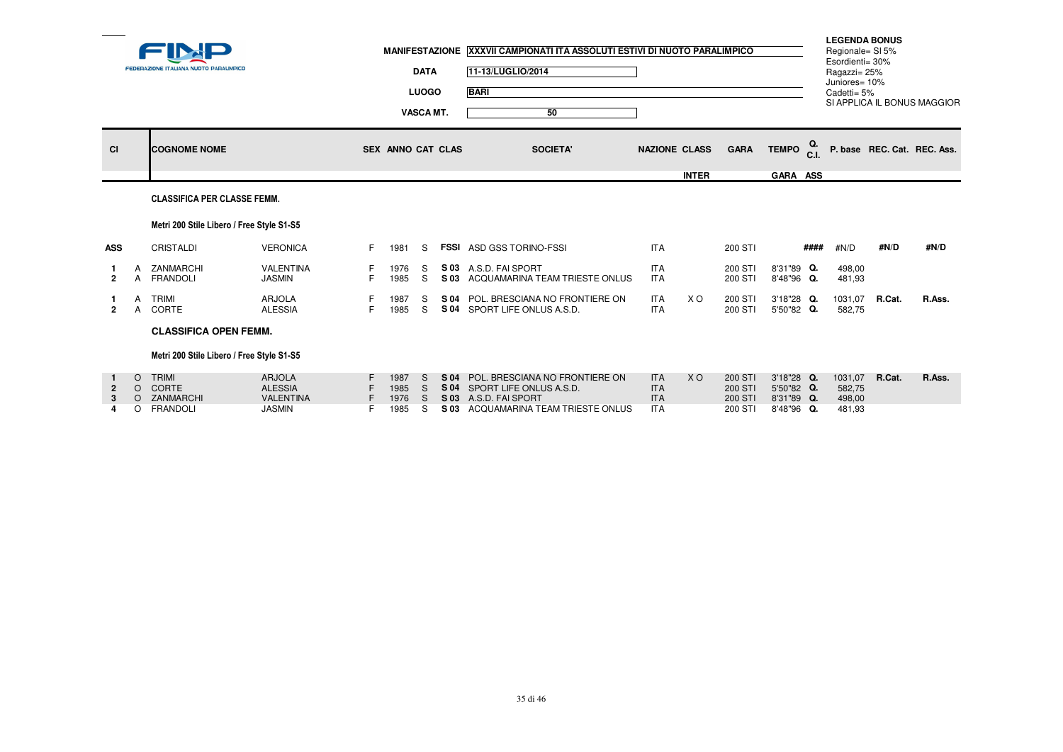|                |                               | FEDERAZIONE ITALIANA NUOTO PARALIMPICO                  |                                                                      |    | <b>MANIFESTAZIONE</b>        | <b>DATA</b><br><b>LUOGO</b><br>VASCA MT. |                      | XXXVII CAMPIONATI ITA ASSOLUTI ESTIVI DI NUOTO PARALIMPICO<br>11-13/LUGLIO/2014<br><b>BARI</b><br>50                 |                                                      |              |                                          |                                                      |      | <b>LEGENDA BONUS</b><br>Regionale= SI 5%<br>Esordienti= 30%<br>Ragazzi= 25%<br>Juniores= 10%<br>Cadetti= 5% |        | SI APPLICA IL BONUS MAGGIOR |
|----------------|-------------------------------|---------------------------------------------------------|----------------------------------------------------------------------|----|------------------------------|------------------------------------------|----------------------|----------------------------------------------------------------------------------------------------------------------|------------------------------------------------------|--------------|------------------------------------------|------------------------------------------------------|------|-------------------------------------------------------------------------------------------------------------|--------|-----------------------------|
| <b>CI</b>      |                               | <b>COGNOME NOME</b>                                     |                                                                      |    | SEX ANNO CAT CLAS            |                                          |                      | <b>SOCIETA'</b>                                                                                                      | <b>NAZIONE CLASS</b>                                 |              | <b>GARA</b>                              | TEMPO C.I.                                           |      |                                                                                                             |        | P. base REC. Cat. REC. Ass. |
|                |                               | <b>CLASSIFICA PER CLASSE FEMM.</b>                      |                                                                      |    |                              |                                          |                      |                                                                                                                      |                                                      | <b>INTER</b> |                                          | GARA ASS                                             |      |                                                                                                             |        |                             |
|                |                               | Metri 200 Stile Libero / Free Style S1-S5               |                                                                      |    |                              |                                          |                      |                                                                                                                      |                                                      |              |                                          |                                                      |      |                                                                                                             |        |                             |
| <b>ASS</b>     |                               | CRISTALDI                                               | <b>VERONICA</b>                                                      | F. | 1981                         | S                                        |                      | <b>FSSI ASD GSS TORINO-FSSI</b>                                                                                      | <b>ITA</b>                                           |              | 200 STI                                  |                                                      | #### | #N/D                                                                                                        | #N/D   | #N/D                        |
| $\overline{2}$ |                               | ZANMARCHI<br><b>FRANDOLI</b>                            | <b>VALENTINA</b><br><b>JASMIN</b>                                    | F. | 1976<br>1985                 | S<br>S.                                  | S 03                 | S 03 A.S.D. FAI SPORT<br>ACQUAMARINA TEAM TRIESTE ONLUS                                                              | <b>ITA</b><br><b>ITA</b>                             |              | 200 STI<br>200 STI                       | 8'31"89 Q.<br>8'48"96 Q.                             |      | 498,00<br>481,93                                                                                            |        |                             |
| $\overline{2}$ | A<br>$\mathsf{A}$             | TRIMI<br>CORTE                                          | <b>ARJOLA</b><br><b>ALESSIA</b>                                      | F. | 1987<br>1985                 | S.<br>S.                                 |                      | S 04 POL. BRESCIANA NO FRONTIERE ON<br>S 04 SPORT LIFE ONLUS A.S.D.                                                  | <b>ITA</b><br><b>ITA</b>                             | X O          | 200 STI<br>200 STI                       | 3'18"28 Q.<br>5'50"82 Q.                             |      | 1031,07<br>582,75                                                                                           | R.Cat. | R.Ass.                      |
|                |                               | <b>CLASSIFICA OPEN FEMM.</b>                            |                                                                      |    |                              |                                          |                      |                                                                                                                      |                                                      |              |                                          |                                                      |      |                                                                                                             |        |                             |
|                |                               | Metri 200 Stile Libero / Free Style S1-S5               |                                                                      |    |                              |                                          |                      |                                                                                                                      |                                                      |              |                                          |                                                      |      |                                                                                                             |        |                             |
|                | $\circ$<br>$\circ$<br>$\circ$ | <b>TRIMI</b><br>O CORTE<br>ZANMARCHI<br><b>FRANDOLI</b> | <b>ARJOLA</b><br><b>ALESSIA</b><br><b>VALENTINA</b><br><b>JASMIN</b> |    | 1987<br>1985<br>1976<br>1985 | S.<br><sub>S</sub><br>S.<br>S            | S 04<br>S 03<br>S 03 | POL. BRESCIANA NO FRONTIERE ON<br>S 04 SPORT LIFE ONLUS A.S.D.<br>A.S.D. FAI SPORT<br>ACQUAMARINA TEAM TRIESTE ONLUS | <b>ITA</b><br><b>ITA</b><br><b>ITA</b><br><b>ITA</b> | <b>XO</b>    | 200 STI<br>200 STI<br>200 STI<br>200 STI | 3'18"28 Q.<br>5'50"82 Q.<br>8'31"89 Q.<br>8'48"96 Q. |      | 1031,07<br>582,75<br>498,00<br>481,93                                                                       | R.Cat. | R.Ass.                      |
|                |                               |                                                         |                                                                      |    |                              |                                          |                      |                                                                                                                      |                                                      |              |                                          |                                                      |      |                                                                                                             |        |                             |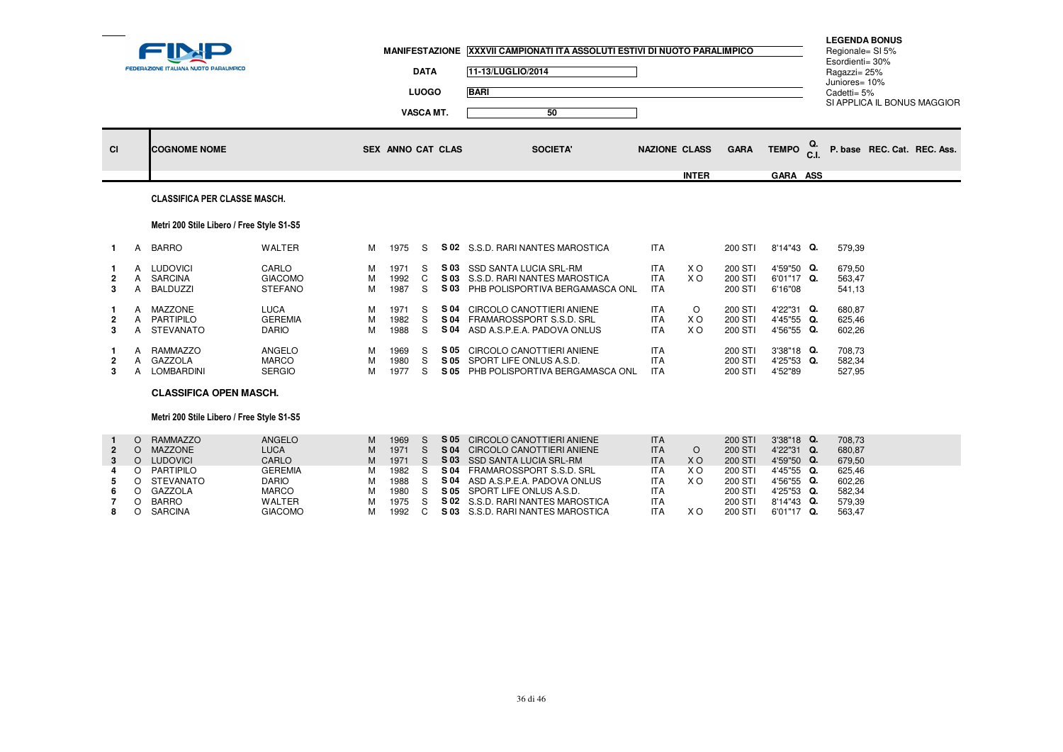|                                    |                                 | <b>FEDERAZIONE ITALIANA NUOTO PARALIMPICO</b>                       |                                                  |                  |                              | <b>DATA</b><br><b>LUOGO</b><br><b>VASCA MT.</b> |      | MANIFESTAZIONE XXXVII CAMPIONATI ITA ASSOLUTI ESTIVI DI NUOTO PARALIMPICO<br>11-13/LUGLIO/2014<br><b>BARI</b><br>50                |                                                      |                             |                                          |                                                      |     | <b>LEGENDA BONUS</b><br>Regionale= SI 5%<br>Esordienti= 30%<br>Ragazzi= 25%<br>Juniores= 10%<br>Cadetti= $5%$ | SI APPLICA IL BONUS MAGGIOR |
|------------------------------------|---------------------------------|---------------------------------------------------------------------|--------------------------------------------------|------------------|------------------------------|-------------------------------------------------|------|------------------------------------------------------------------------------------------------------------------------------------|------------------------------------------------------|-----------------------------|------------------------------------------|------------------------------------------------------|-----|---------------------------------------------------------------------------------------------------------------|-----------------------------|
| <b>CI</b>                          |                                 | <b>COGNOME NOME</b>                                                 |                                                  |                  | <b>SEX ANNO CAT CLAS</b>     |                                                 |      | <b>SOCIETA'</b>                                                                                                                    | <b>NAZIONE CLASS</b>                                 |                             | <b>GARA</b>                              | <b>TEMPO</b>                                         | C.L |                                                                                                               | P. base REC. Cat. REC. Ass. |
|                                    |                                 |                                                                     |                                                  |                  |                              |                                                 |      |                                                                                                                                    |                                                      | <b>INTER</b>                |                                          | GARA ASS                                             |     |                                                                                                               |                             |
|                                    |                                 | <b>CLASSIFICA PER CLASSE MASCH.</b>                                 |                                                  |                  |                              |                                                 |      |                                                                                                                                    |                                                      |                             |                                          |                                                      |     |                                                                                                               |                             |
|                                    |                                 | Metri 200 Stile Libero / Free Style S1-S5                           |                                                  |                  |                              |                                                 |      |                                                                                                                                    |                                                      |                             |                                          |                                                      |     |                                                                                                               |                             |
| $\mathbf{1}$                       | A                               | <b>BARRO</b>                                                        | WALTER                                           | м                | 1975                         | S                                               |      | S 02 S.S.D. RARI NANTES MAROSTICA                                                                                                  | <b>ITA</b>                                           |                             | 200 STI                                  | 8'14"43 Q.                                           |     | 579,39                                                                                                        |                             |
| $\overline{2}$<br>3                | A<br>A<br>Α                     | <b>LUDOVICI</b><br>SARCINA<br><b>BALDUZZI</b>                       | CARLO<br><b>GIACOMO</b><br><b>STEFANO</b>        | м<br>M<br>м      | 1971<br>1992<br>1987         | S<br>C<br>S                                     |      | S 03 SSD SANTA LUCIA SRL-RM<br>S 03 S.S.D. RARI NANTES MAROSTICA<br>S 03 PHB POLISPORTIVA BERGAMASCA ONL                           | <b>ITA</b><br><b>ITA</b><br><b>ITA</b>               | X O<br>X O                  | 200 STI<br>200 STI<br>200 STI            | 4'59"50 Q.<br>6'01"17 Q.<br>6'16"08                  |     | 679.50<br>563,47<br>541,13                                                                                    |                             |
| -1<br>$\overline{2}$<br>3          | A<br>A<br>A                     | <b>MAZZONE</b><br>PARTIPILO<br><b>STEVANATO</b>                     | <b>LUCA</b><br><b>GEREMIA</b><br><b>DARIO</b>    | м<br>M<br>м      | 1971<br>1982<br>1988         | S<br>S<br>S                                     | S 04 | S 04 CIRCOLO CANOTTIERI ANIENE<br>S 04 FRAMAROSSPORT S.S.D. SRL<br>ASD A.S.P.E.A. PADOVA ONLUS                                     | <b>ITA</b><br><b>ITA</b><br><b>ITA</b>               | $\circ$<br><b>XO</b><br>X O | 200 STI<br>200 STI<br>200 STI            | 4'22"31 Q.<br>4'45"55 Q.<br>4'56"55 Q.               |     | 680,87<br>625,46<br>602,26                                                                                    |                             |
| -1<br>$\overline{\mathbf{2}}$<br>3 | A<br>A<br>A                     | <b>RAMMAZZO</b><br>GAZZOLA<br>LOMBARDINI                            | ANGELO<br><b>MARCO</b><br><b>SERGIO</b>          | м<br>M<br>м      | 1969<br>1980<br>1977         | S<br>S.<br>S.                                   |      | S 05 CIRCOLO CANOTTIERI ANIENE<br>S 05 SPORT LIFE ONLUS A.S.D.<br>S 05 PHB POLISPORTIVA BERGAMASCA ONL                             | <b>ITA</b><br><b>ITA</b><br><b>ITA</b>               |                             | 200 STI<br>200 STI<br>200 STI            | 3'38"18 Q.<br>4'25"53 Q.<br>4'52"89                  |     | 708,73<br>582,34<br>527,95                                                                                    |                             |
|                                    |                                 | <b>CLASSIFICA OPEN MASCH.</b>                                       |                                                  |                  |                              |                                                 |      |                                                                                                                                    |                                                      |                             |                                          |                                                      |     |                                                                                                               |                             |
|                                    |                                 | Metri 200 Stile Libero / Free Style S1-S5                           |                                                  |                  |                              |                                                 |      |                                                                                                                                    |                                                      |                             |                                          |                                                      |     |                                                                                                               |                             |
| $\overline{2}$<br>3                | $\circ$<br>$\circ$<br>$\circ$   | <b>RAMMAZZO</b><br><b>MAZZONE</b><br>O LUDOVICI<br><b>PARTIPILO</b> | ANGELO<br><b>LUCA</b><br>CARLO<br><b>GEREMIA</b> | М<br>M<br>M<br>М | 1969<br>1971<br>1971<br>1982 | S<br><sub>S</sub><br>S<br>S                     | S 05 | <b>CIRCOLO CANOTTIERI ANIENE</b><br>S 04 CIRCOLO CANOTTIERI ANIENE<br>S 03 SSD SANTA LUCIA SRL-RM<br>S 04 FRAMAROSSPORT S.S.D. SRL | <b>ITA</b><br><b>ITA</b><br><b>ITA</b><br><b>ITA</b> | $\circ$<br><b>XO</b><br>X O | 200 STI<br>200 STI<br>200 STI<br>200 STI | 3'38"18 Q.<br>4'22"31 Q.<br>4'59"50 Q.<br>4'45"55 Q. |     | 708,73<br>680.87<br>679,50<br>625,46                                                                          |                             |
| 6<br>7                             | $\Omega$<br>$\circ$<br>$\Omega$ | <b>STEVANATO</b><br>GAZZOLA<br><b>BARRO</b>                         | <b>DARIO</b><br><b>MARCO</b><br>WALTER           | М<br>М<br>м      | 1988<br>1980<br>1975         | S<br>S<br>S.                                    | S 04 | ASD A.S.P.E.A. PADOVA ONLUS<br>S 05 SPORT LIFE ONLUS A.S.D.<br>S 02 S.S.D. RARI NANTES MAROSTICA                                   | <b>ITA</b><br><b>ITA</b><br><b>ITA</b>               | X O                         | 200 STI<br>200 STI<br>200 STI            | 4'56"55 Q.<br>4'25"53 Q.<br>8'14"43 Q.               |     | 602,26<br>582.34<br>579,39                                                                                    |                             |

1992 C **S 03** S.S.D. RARI NANTES MAROSTICA

<sup>1975</sup> <sup>S</sup> **S 02** S.S.D. RARI NANTES MAROSTICA ITA 200 STI 8'14"43 **Q.** 579,39

**8**

<sup>O</sup> BARRO WALTER <sup>M</sup>

<sup>O</sup> SARCINA GIACOMO <sup>M</sup>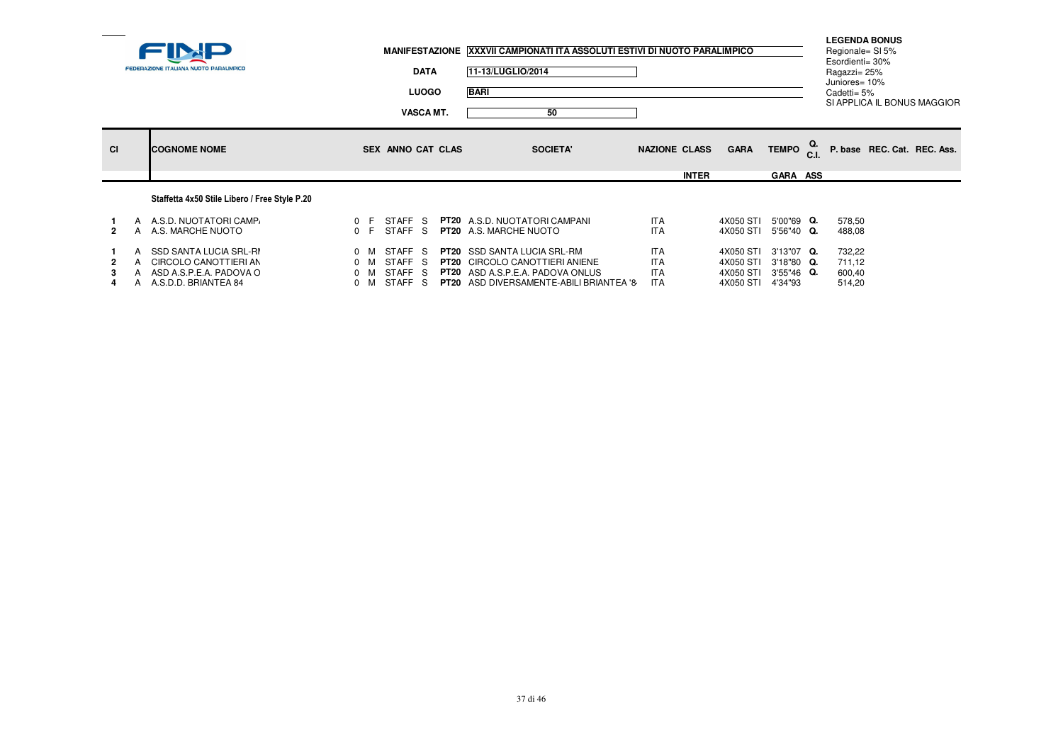|           | <b>FEDERAZIONE ITALIANA NUOTO PARALIMPICO</b>                                                            |                                                          |                              | <b>DATA</b><br><b>LUOGO</b><br><b>VASCA MT.</b> |                   | MANIFESTAZIONE XXXVII CAMPIONATI ITA ASSOLUTI ESTIVI DI NUOTO PARALIMPICO<br>11-13/LUGLIO/2014<br><b>BARI</b><br>50                                                      |                                                      |              |                                                  |                                                   | Esordienti= 30%<br>Ragazzi= 25%<br>Juniores= 10%<br>Cadetti= 5% | <b>LEGENDA BONUS</b><br>Regionale= SI 5% | SI APPLICA IL BONUS MAGGIOR |
|-----------|----------------------------------------------------------------------------------------------------------|----------------------------------------------------------|------------------------------|-------------------------------------------------|-------------------|--------------------------------------------------------------------------------------------------------------------------------------------------------------------------|------------------------------------------------------|--------------|--------------------------------------------------|---------------------------------------------------|-----------------------------------------------------------------|------------------------------------------|-----------------------------|
| <b>CI</b> | <b>COGNOME NOME</b>                                                                                      |                                                          |                              |                                                 | SEX ANNO CAT CLAS | <b>SOCIETA'</b>                                                                                                                                                          | <b>NAZIONE CLASS</b>                                 | <b>INTER</b> | <b>GARA</b>                                      | TEMPO $_{\rm C.L}^{\rm Q.}$<br><b>GARA ASS</b>    |                                                                 |                                          | P. base REC. Cat. REC. Ass. |
|           | Staffetta 4x50 Stile Libero / Free Style P.20                                                            |                                                          |                              |                                                 |                   |                                                                                                                                                                          |                                                      |              |                                                  |                                                   |                                                                 |                                          |                             |
| 2         | A A.S.D. NUOTATORI CAMP<br>A A.S. MARCHE NUOTO                                                           | 0 F<br>0 F                                               |                              | STAFF S<br>STAFF S                              |                   | <b>PT20</b> A.S.D. NUOTATORI CAMPANI<br><b>PT20</b> A.S. MARCHE NUOTO                                                                                                    | <b>ITA</b><br><b>ITA</b>                             |              | 4X050 STI<br>4X050 STI                           | 5'00"69 Q.<br>5'56"40 Q.                          | 578,50<br>488,08                                                |                                          |                             |
|           | A SSD SANTA LUCIA SRL-RI<br>A CIRCOLO CANOTTIERI AN<br>ASD A.S.P.E.A. PADOVA O<br>A A.S.D.D. BRIANTEA 84 | $0 \t M$<br>$0 \quad M$<br>$0 \quad M$<br>$0 \mathsf{M}$ | <b>STAFF</b><br><b>STAFF</b> | STAFF S<br>-S<br>STAFF S<br>-S                  |                   | <b>PT20</b> SSD SANTA LUCIA SRL-RM<br><b>PT20</b> CIRCOLO CANOTTIERI ANIENE<br><b>PT20</b> ASD A.S.P.E.A. PADOVA ONLUS<br><b>PT20</b> ASD DIVERSAMENTE-ABILI BRIANTEA '8 | <b>ITA</b><br><b>ITA</b><br><b>ITA</b><br><b>ITA</b> |              | 4X050 STI<br>4X050 STI<br>4X050 STI<br>4X050 STI | 3'13"07 Q.<br>3'18"80 Q.<br>3'55"46 Q.<br>4'34"93 | 732,22<br>711,12<br>600,40<br>514,20                            |                                          |                             |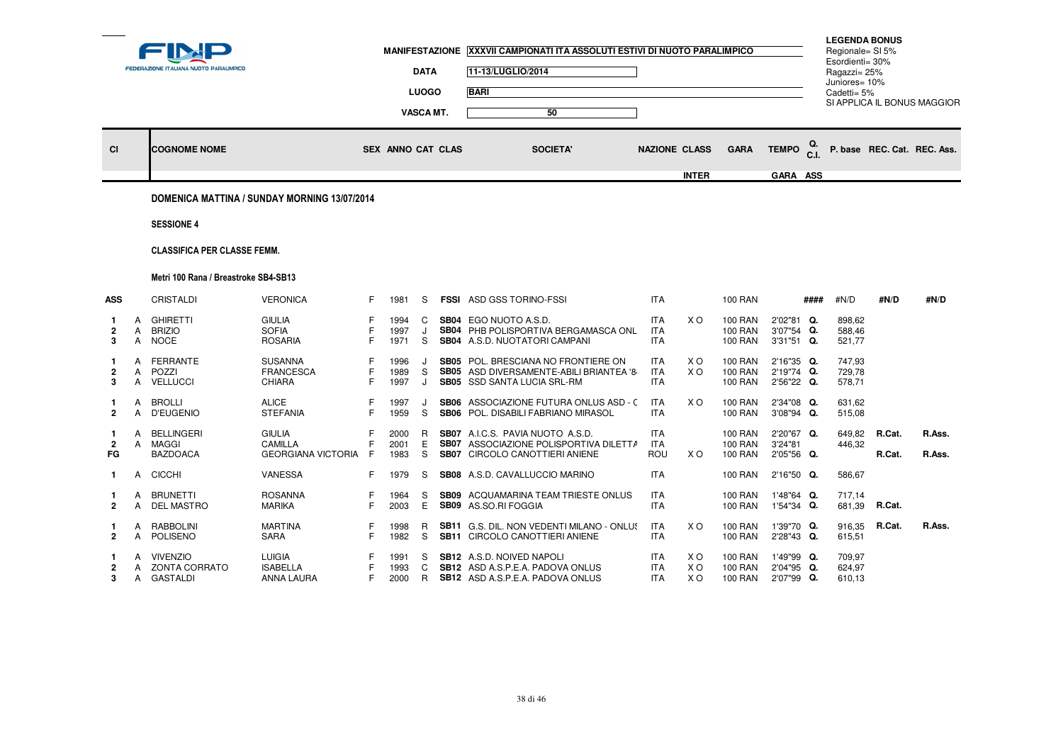|                            |        | FEDERAZIONE ITALIANA NUOTO PARALIMPICO           |                                                       |         | <b>MANIFESTAZIONE</b>    | <b>DATA</b><br><b>LUOGO</b> | XXXVII CAMPIONATI ITA ASSOLUTI ESTIVI DI NUOTO PARALIMPICO<br>11-13/LUGLIO/2014<br><b>BARI</b>                                    |                                        |                       |                                             |                                        |            | <b>LEGENDA BONUS</b><br>Regionale= SI 5%<br>Esordienti= 30%<br>Ragazzi= 25%<br>Juniores= 10%<br>Cadetti = $5%$ |                  | SI APPLICA IL BONUS MAGGIOR |
|----------------------------|--------|--------------------------------------------------|-------------------------------------------------------|---------|--------------------------|-----------------------------|-----------------------------------------------------------------------------------------------------------------------------------|----------------------------------------|-----------------------|---------------------------------------------|----------------------------------------|------------|----------------------------------------------------------------------------------------------------------------|------------------|-----------------------------|
| <b>CI</b>                  |        | <b>COGNOME NOME</b>                              |                                                       |         | <b>SEX ANNO CAT CLAS</b> | <b>VASCA MT.</b>            | 50<br><b>SOCIETA'</b>                                                                                                             |                                        | <b>NAZIONE CLASS</b>  | <b>GARA</b>                                 | <b>TEMPO</b>                           | Q.<br>C.I. |                                                                                                                |                  | P. base REC. Cat. REC. Ass. |
|                            |        |                                                  | DOMENICA MATTINA / SUNDAY MORNING 13/07/2014          |         |                          |                             |                                                                                                                                   |                                        | <b>INTER</b>          |                                             | GARA ASS                               |            |                                                                                                                |                  |                             |
|                            |        | <b>SESSIONE 4</b>                                |                                                       |         |                          |                             |                                                                                                                                   |                                        |                       |                                             |                                        |            |                                                                                                                |                  |                             |
|                            |        | <b>CLASSIFICA PER CLASSE FEMM.</b>               |                                                       |         |                          |                             |                                                                                                                                   |                                        |                       |                                             |                                        |            |                                                                                                                |                  |                             |
|                            |        | Metri 100 Rana / Breastroke SB4-SB13             |                                                       |         |                          |                             |                                                                                                                                   |                                        |                       |                                             |                                        |            |                                                                                                                |                  |                             |
| <b>ASS</b>                 |        | <b>CRISTALDI</b>                                 | <b>VERONICA</b>                                       | F.      | 1981                     | S                           | <b>FSSI ASD GSS TORINO-FSSI</b>                                                                                                   | <b>ITA</b>                             |                       | <b>100 RAN</b>                              |                                        | ####       | #N/D                                                                                                           | #N/D             | #N/D                        |
| $\overline{2}$<br>3        | A<br>A | <b>GHIRETTI</b><br><b>BRIZIO</b><br>A NOCE       | <b>GIULIA</b><br><b>SOFIA</b><br><b>ROSARIA</b>       | F<br>F  | 1994<br>1997<br>1971     | C<br>J<br>S.                | <b>SB04</b> EGO NUOTO A.S.D.<br>SB04 PHB POLISPORTIVA BERGAMASCA ONL<br><b>SB04</b> A.S.D. NUOTATORI CAMPANI                      | ITA.<br><b>ITA</b><br><b>ITA</b>       | X O                   | 100 RAN<br><b>100 RAN</b><br>100 RAN        | 2'02"81 Q.<br>3'07"54 Q.<br>3'31"51 Q. |            | 898.62<br>588,46<br>521,77                                                                                     |                  |                             |
| 2<br>3                     | A<br>A | FERRANTE<br>POZZI<br>A VELLUCCI                  | <b>SUSANNA</b><br><b>FRANCESCA</b><br><b>CHIARA</b>   | F       | 1996<br>1989<br>1997     | S<br>J                      | <b>SB05</b> POL. BRESCIANA NO FRONTIERE ON<br>SB05 ASD DIVERSAMENTE-ABILI BRIANTEA '8-<br>SB05 SSD SANTA LUCIA SRL-RM             | <b>ITA</b><br><b>ITA</b><br><b>ITA</b> | X <sub>O</sub><br>X O | <b>100 RAN</b><br><b>100 RAN</b><br>100 RAN | 2'16"35 Q.<br>2'19"74 Q.<br>2'56"22 Q. |            | 747.93<br>729,78<br>578,71                                                                                     |                  |                             |
| 1.<br>$\mathbf{2}$         | A<br>A | <b>BROLLI</b><br><b>D'EUGENIO</b>                | <b>ALICE</b><br><b>STEFANIA</b>                       | F       | 1997<br>1959             | J<br>S                      | SB06 ASSOCIAZIONE FUTURA ONLUS ASD - C<br>SB06 POL. DISABILI FABRIANO MIRASOL                                                     | <b>ITA</b><br><b>ITA</b>               | X O                   | <b>100 RAN</b><br><b>100 RAN</b>            | 2'34"08 Q.<br>3'08"94 Q.               |            | 631,62<br>515,08                                                                                               |                  |                             |
| -1<br>$\overline{2}$<br>FG | A<br>A | BELLINGERI<br>MAGGI<br><b>BAZDOACA</b>           | <b>GIULIA</b><br>CAMILLA<br><b>GEORGIANA VICTORIA</b> | F<br>-F | 2000<br>2001<br>1983     | R<br>Е<br>S                 | <b>SB07</b> A.I.C.S. PAVIA NUOTO A.S.D.<br><b>SB07</b> ASSOCIAZIONE POLISPORTIVA DILETTA<br><b>SB07</b> CIRCOLO CANOTTIERI ANIENE | <b>ITA</b><br><b>ITA</b><br><b>ROU</b> | X O                   | 100 RAN<br><b>100 RAN</b><br>100 RAN        | 2'20"67 Q.<br>3'24"81<br>2'05"56 Q.    |            | 649,82<br>446,32                                                                                               | R.Cat.<br>R.Cat. | R.Ass.<br>R.Ass.            |
| 1.                         | A      | <b>CICCHI</b>                                    | <b>VANESSA</b>                                        | F       | 1979                     | S                           | SB08 A.S.D. CAVALLUCCIO MARINO                                                                                                    | <b>ITA</b>                             |                       | <b>100 RAN</b>                              | 2'16"50 Q.                             |            | 586,67                                                                                                         |                  |                             |
| $\overline{2}$             | A<br>A | <b>BRUNETTI</b><br><b>DEL MASTRO</b>             | <b>ROSANNA</b><br><b>MARIKA</b>                       | F<br>F. | 1964<br>2003             | S<br>E.                     | <b>SB09</b> ACQUAMARINA TEAM TRIESTE ONLUS<br>SB09 AS.SO.RI FOGGIA                                                                | <b>ITA</b><br><b>ITA</b>               |                       | <b>100 RAN</b><br>100 RAN                   | 1'48"64 Q.<br>1'54"34 Q.               |            | 717,14<br>681,39                                                                                               | R.Cat.           |                             |
| 2                          | А<br>A | <b>RABBOLINI</b><br>POLISENO                     | <b>MARTINA</b><br><b>SARA</b>                         | F<br>F  | 1998<br>1982             | R<br>S                      | <b>SB11</b> G.S. DIL. NON VEDENTI MILANO - ONLUS<br>SB11 CIRCOLO CANOTTIERI ANIENE                                                | <b>ITA</b><br><b>ITA</b>               | X O                   | 100 RAN<br><b>100 RAN</b>                   | 1'39"70 Q.<br>2'28"43 Q.               |            | 916,35<br>615,51                                                                                               | R.Cat.           | R.Ass.                      |
| 2<br>3                     | A      | <b>VIVENZIO</b><br>A ZONTA CORRATO<br>A GASTALDI | <b>LUIGIA</b><br><b>ISABELLA</b><br>ANNA LAURA        | F.      | 1991<br>1993<br>2000     | S<br>C<br>R                 | <b>SB12</b> A.S.D. NOIVED NAPOLI<br><b>SB12</b> ASD A.S.P.E.A. PADOVA ONLUS<br><b>SB12</b> ASD A.S.P.E.A. PADOVA ONLUS            | ITA.<br><b>ITA</b><br><b>ITA</b>       | X O<br>X O<br>X O     | 100 RAN<br>100 RAN<br>100 RAN               | 1'49"99 Q.<br>2'04"95 Q.<br>2'07"99 Q. |            | 709,97<br>624.97<br>610,13                                                                                     |                  |                             |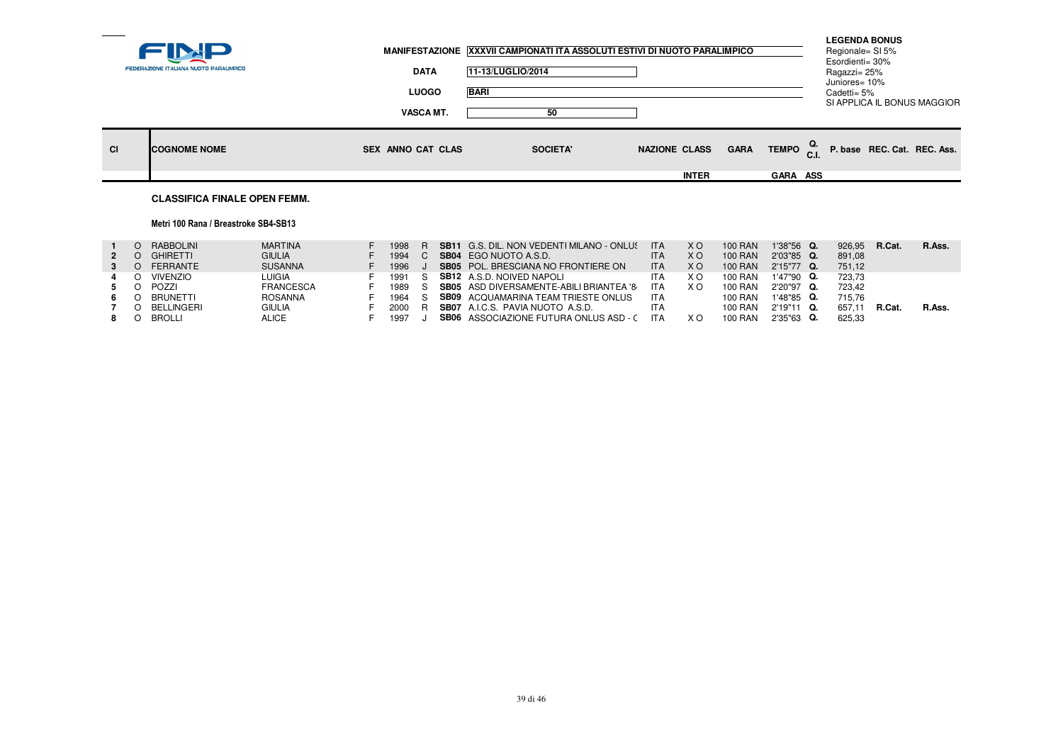|                           | <b>LUOGO</b>                          | <b>BARI</b>           |                                      |             |                                                | Ragazzi= 25%<br>Juniores= 10%<br>Cadetti= 5% | SI APPLICA IL BONUS MAGGIOR |
|---------------------------|---------------------------------------|-----------------------|--------------------------------------|-------------|------------------------------------------------|----------------------------------------------|-----------------------------|
| CI<br><b>COGNOME NOME</b> | <b>VASCA MT.</b><br>SEX ANNO CAT CLAS | 50<br><b>SOCIETA'</b> | <b>NAZIONE CLASS</b><br><b>INTER</b> | <b>GARA</b> | TEMPO $_{\rm C.L}^{\rm Q.}$<br><b>GARA ASS</b> |                                              | P. base REC. Cat. REC. Ass. |

#### **CLASSIFICA FINALE OPEN FEMM.**

### Metri 100 Rana / Breastroke SB4-SB13

|              | RABBOLINI       | <b>MARTINA</b>   | 1998 |     | <b>SB11</b> G.S. DIL. NON VEDENTI MILANO - ONLUS | <b>ITA</b> | X O | <b>100 RAN</b> | 1'38"56 Q.    | 926.95 | R.Cat. | R.Ass. |
|--------------|-----------------|------------------|------|-----|--------------------------------------------------|------------|-----|----------------|---------------|--------|--------|--------|
| $\mathbf{2}$ | <b>GHIRETTI</b> | <b>GIULIA</b>    | 1994 |     | <b>SB04</b> EGO NUOTO A.S.D.                     | <b>ITA</b> | ΧO  | 100 RAN        | 2'03"85 Q.    | 891.08 |        |        |
|              | FERRANTE        | <b>SUSANNA</b>   | 1996 |     | <b>SB05</b> POL. BRESCIANA NO FRONTIERE ON       | <b>ITA</b> | ΧO  | 100 RAN        | $2'15''77$ Q. | 751.12 |        |        |
|              | VIVENZIO        | <b>LUIGIA</b>    | 1991 |     | <b>SB12</b> A.S.D. NOIVED NAPOLI                 | <b>ITA</b> | ХC  | 100 RAN        | 1'47"90 Q.    | 723.73 |        |        |
|              | POZZI           | <b>FRANCESCA</b> | 1989 |     | <b>SB05</b> ASD DIVERSAMENTE-ABILI BRIANTEA '8   | <b>ITA</b> | ×с  | 100 RAN        | 2'20"97 Q.    | 723.42 |        |        |
| 6.           | BRUNETTI        | ROSANNA          | 1964 |     | <b>SB09</b> ACQUAMARINA TEAM TRIESTE ONLUS       | ITA        |     | 100 RAN        | $1'48''85$ Q. | 715.76 |        |        |
|              | BELLINGERI      | <b>GIULIA</b>    | 2000 | – R | <b>SB07</b> A.I.C.S. PAVIA NUOTO A.S.D.          | <b>ITA</b> |     | 100 RAN        | 2'19"11 Q.    | 657.1  | R.Cat. | R.Ass. |
|              | <b>BROLLI</b>   | <b>ALICE</b>     | 1997 |     | <b>SB06</b> ASSOCIAZIONE FUTURA ONLUS ASD - C    | <b>ITA</b> | ХC  | 100 RAN        | 2'35"63 Q.    | 625.33 |        |        |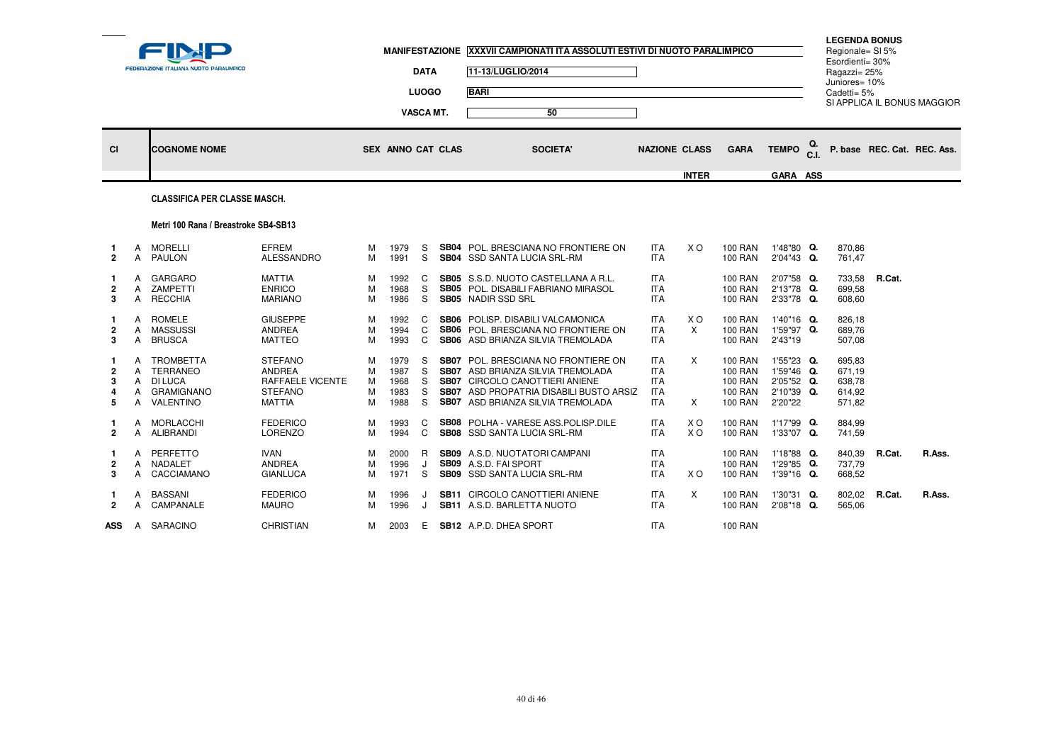|                                        |                                  | FEDERAZIONE ITALIANA NUOTO PARALIMPICO                      |                                                                                        |                       |                                      | <b>DATA</b><br><b>LUOGO</b><br>VASCA MT. | MANIFESTAZIONE XXXVII CAMPIONATI ITA ASSOLUTI ESTIVI DI NUOTO PARALIMPICO<br>11-13/LUGLIO/2014<br><b>BARI</b><br>50                                                                                      |                                                                    |                       |                                                                                        |                                                                 |    | <b>LEGENDA BONUS</b><br>Regionale= SI 5%<br>Esordienti= 30%<br>Ragazzi= 25%<br>Juniores= 10%<br>Cadetti= $5%$ |        | SI APPLICA IL BONUS MAGGIOR |
|----------------------------------------|----------------------------------|-------------------------------------------------------------|----------------------------------------------------------------------------------------|-----------------------|--------------------------------------|------------------------------------------|----------------------------------------------------------------------------------------------------------------------------------------------------------------------------------------------------------|--------------------------------------------------------------------|-----------------------|----------------------------------------------------------------------------------------|-----------------------------------------------------------------|----|---------------------------------------------------------------------------------------------------------------|--------|-----------------------------|
| <b>CI</b>                              |                                  | <b>COGNOME NOME</b>                                         |                                                                                        |                       | <b>SEX ANNO CAT CLAS</b>             |                                          | <b>SOCIETA'</b>                                                                                                                                                                                          | <b>NAZIONE CLASS</b>                                               | <b>INTER</b>          | <b>GARA</b>                                                                            | <b>TEMPO</b><br>GARA ASS                                        | Q. |                                                                                                               |        | P. base REC. Cat. REC. Ass. |
|                                        |                                  | <b>CLASSIFICA PER CLASSE MASCH.</b>                         |                                                                                        |                       |                                      |                                          |                                                                                                                                                                                                          |                                                                    |                       |                                                                                        |                                                                 |    |                                                                                                               |        |                             |
|                                        |                                  | Metri 100 Rana / Breastroke SB4-SB13                        |                                                                                        |                       |                                      |                                          |                                                                                                                                                                                                          |                                                                    |                       |                                                                                        |                                                                 |    |                                                                                                               |        |                             |
| 1.<br>$\overline{2}$                   | A<br>A                           | MORELLI<br><b>PAULON</b>                                    | <b>EFREM</b><br>ALESSANDRO                                                             | м<br>м                | 1979<br>1991                         | S<br>S                                   | <b>SB04</b> POL. BRESCIANA NO FRONTIERE ON<br><b>SB04</b> SSD SANTA LUCIA SRL-RM                                                                                                                         | ITA<br><b>ITA</b>                                                  | X O                   | <b>100 RAN</b><br><b>100 RAN</b>                                                       | 1'48"80 Q.<br>2'04"43 Q.                                        |    | 870,86<br>761,47                                                                                              |        |                             |
| -1<br>2<br>3                           | A<br>A<br>A                      | GARGARO<br>ZAMPETTI<br><b>RECCHIA</b>                       | <b>MATTIA</b><br><b>ENRICO</b><br><b>MARIANO</b>                                       | м<br>M<br>м           | 1992<br>1968<br>1986                 | C<br>S<br>S                              | <b>SB05</b> S.S.D. NUOTO CASTELLANA A R.L.<br><b>SB05</b> POL. DISABILI FABRIANO MIRASOL<br><b>SB05</b> NADIR SSD SRL                                                                                    | <b>ITA</b><br><b>ITA</b><br><b>ITA</b>                             |                       | <b>100 RAN</b><br><b>100 RAN</b><br><b>100 RAN</b>                                     | 2'07"58 Q.<br>2'13"78 Q.<br>2'33"78 Q.                          |    | 733,58<br>699.58<br>608,60                                                                                    | R.Cat. |                             |
| $\overline{\mathbf{2}}$<br>3           | A<br>$\mathsf{A}$<br>A           | ROMELE<br>MASSUSSI<br><b>BRUSCA</b>                         | <b>GIUSEPPE</b><br><b>ANDREA</b><br><b>MATTEO</b>                                      | м<br>M<br>м           | 1992<br>1994<br>1993                 | C<br>C<br>C                              | <b>SB06</b> POLISP. DISABILI VALCAMONICA<br>SB06 POL. BRESCIANA NO FRONTIERE ON<br>SB06 ASD BRIANZA SILVIA TREMOLADA                                                                                     | <b>ITA</b><br><b>ITA</b><br><b>ITA</b>                             | X O<br>$\times$       | <b>100 RAN</b><br><b>100 RAN</b><br><b>100 RAN</b>                                     | 1'40"16 Q.<br>1'59"97 Q.<br>2'43"19                             |    | 826,18<br>689,76<br>507,08                                                                                    |        |                             |
| $\overline{\mathbf{2}}$<br>з<br>4<br>5 | А<br>$\mathsf{A}$<br>A<br>A<br>A | TROMBETTA<br>TERRANEO<br>DI LUCA<br>GRAMIGNANO<br>VALENTINO | <b>STEFANO</b><br>ANDREA<br><b>RAFFAELE VICENTE</b><br><b>STEFANO</b><br><b>MATTIA</b> | м<br>м<br>м<br>M<br>м | 1979<br>1987<br>1968<br>1983<br>1988 | S.<br>S<br>S<br>S<br>S.                  | <b>SB07</b> POL. BRESCIANA NO FRONTIERE ON<br>SB07 ASD BRIANZA SILVIA TREMOLADA<br>SB07 CIRCOLO CANOTTIERI ANIENE<br><b>SB07</b> ASD PROPATRIA DISABILI BUSTO ARSIZ<br>SB07 ASD BRIANZA SILVIA TREMOLADA | <b>ITA</b><br><b>ITA</b><br><b>ITA</b><br><b>ITA</b><br><b>ITA</b> | $\times$<br>X         | <b>100 RAN</b><br><b>100 RAN</b><br><b>100 RAN</b><br><b>100 RAN</b><br><b>100 RAN</b> | 1'55"23 Q.<br>1'59"46 Q.<br>2'05"52 Q.<br>2'10"39 Q.<br>2'20"22 |    | 695.83<br>671,19<br>638,78<br>614,92<br>571,82                                                                |        |                             |
| 1.<br>$\overline{2}$                   | A                                | A MORLACCHI<br>ALIBRANDI                                    | <b>FEDERICO</b><br><b>LORENZO</b>                                                      | м<br>M                | 1993<br>1994                         | C<br>$\mathsf{C}$                        | SB08 POLHA - VARESE ASS.POLISP.DILE<br>SB08 SSD SANTA LUCIA SRL-RM                                                                                                                                       | <b>ITA</b><br><b>ITA</b>                                           | X O<br>X <sub>O</sub> | <b>100 RAN</b><br><b>100 RAN</b>                                                       | 1'17"99 Q.<br>1'33"07 Q.                                        |    | 884,99<br>741,59                                                                                              |        |                             |
| 2<br>3                                 | A<br>A                           | PERFETTO<br>A NADALET<br>CACCIAMANO                         | <b>IVAN</b><br><b>ANDREA</b><br><b>GIANLUCA</b>                                        | м<br>M<br>м           | 2000<br>1996<br>1971                 | R.<br>J<br>S                             | <b>SB09</b> A.S.D. NUOTATORI CAMPANI<br>SB09 A.S.D. FAI SPORT<br>SB09 SSD SANTA LUCIA SRL-RM                                                                                                             | <b>ITA</b><br><b>ITA</b><br><b>ITA</b>                             | X O                   | <b>100 RAN</b><br><b>100 RAN</b><br><b>100 RAN</b>                                     | 1'18"88 Q.<br>1'29"85 Q.<br>1'39"16 Q.                          |    | 840,39<br>737,79<br>668,52                                                                                    | R.Cat. | R.Ass.                      |
| $\mathbf{2}$                           | A                                | <b>BASSANI</b><br>A CAMPANALE                               | <b>FEDERICO</b><br><b>MAURO</b>                                                        | м<br>м                | 1996<br>1996                         | J<br>J                                   | <b>SB11 CIRCOLO CANOTTIERI ANIENE</b><br><b>SB11</b> A.S.D. BARLETTA NUOTO                                                                                                                               | <b>ITA</b><br><b>ITA</b>                                           | $\times$              | <b>100 RAN</b><br><b>100 RAN</b>                                                       | 1'30"31 Q.<br>2'08"18 Q.                                        |    | 802,02<br>565,06                                                                                              | R.Cat. | R.Ass.                      |
|                                        |                                  | ASS A SARACINO                                              | <b>CHRISTIAN</b>                                                                       | м                     | 2003                                 | E                                        | <b>SB12</b> A.P.D. DHEA SPORT                                                                                                                                                                            | <b>ITA</b>                                                         |                       | <b>100 RAN</b>                                                                         |                                                                 |    |                                                                                                               |        |                             |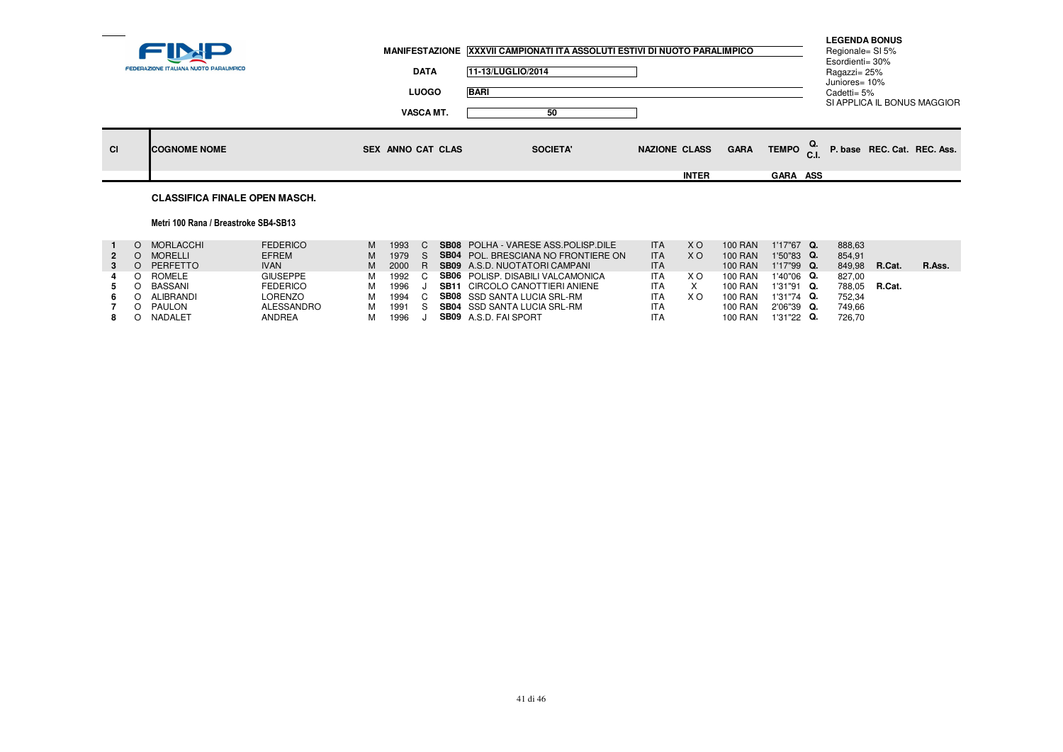|           | FEDERAZIONE ITALIANA NUOTO PARALIMPICO | <b>DATA</b>       | MANIFESTAZIONE XXXVII CAMPIONATI ITA ASSOLUTI ESTIVI DI NUOTO PARALIMPICO<br>11-13/LUGLIO/2014 |                      |             |                                    | <b>LEGENDA BONUS</b><br>Regionale= SI 5%<br>Esordienti= 30%<br>Ragazzi= 25%<br>Juniores= 10% |                             |  |
|-----------|----------------------------------------|-------------------|------------------------------------------------------------------------------------------------|----------------------|-------------|------------------------------------|----------------------------------------------------------------------------------------------|-----------------------------|--|
|           |                                        | <b>LUOGO</b>      | <b>BARI</b>                                                                                    |                      |             |                                    | Cadetti= 5%                                                                                  |                             |  |
|           |                                        | <b>VASCA MT.</b>  | 50                                                                                             |                      |             |                                    |                                                                                              | SI APPLICA IL BONUS MAGGIOR |  |
| <b>CI</b> | <b>ICOGNOME NOME</b>                   | SEX ANNO CAT CLAS | <b>SOCIETA'</b>                                                                                | <b>NAZIONE CLASS</b> | <b>GARA</b> | TEMPO $_{\text{C.I.}}^{\text{Q.}}$ |                                                                                              | P. base REC. Cat. REC. Ass. |  |
|           |                                        |                   |                                                                                                | <b>INTER</b>         |             | <b>GARA ASS</b>                    |                                                                                              |                             |  |
|           |                                        |                   |                                                                                                |                      |             |                                    |                                                                                              |                             |  |

#### **CLASSIFICA FINALE OPEN MASCH.**

#### Metri 100 Rana / Breastroke SB4-SB13

|             | O MORLACCHI    | <b>FEDERICO</b> | M | 1993   | <b>SB08</b> POLHA - VARESE ASS POLISP DILE | <b>ITA</b> | X O | <b>100 RAN</b> | 1'17"67 Q.    | 888.63               |        |        |
|-------------|----------------|-----------------|---|--------|--------------------------------------------|------------|-----|----------------|---------------|----------------------|--------|--------|
| $2^{\circ}$ | <b>MORELLI</b> | <b>EFREM</b>    | M | 1979   | <b>SB04</b> POL. BRESCIANA NO FRONTIERE ON | <b>ITA</b> | X O | <b>100 RAN</b> | $1'50''83$ Q. | 854.91               |        |        |
|             | PERFETTO       | <b>IVAN</b>     |   |        | 2000 R SB09 A.S.D. NUOTATORI CAMPANI       | <b>ITA</b> |     | <b>100 RAN</b> | 1'17"99 Q.    | 849.98               | R.Cat. | R.Ass. |
| 4           | ROMELE         | <b>GIUSEPPE</b> | м | 1992 C | <b>SB06</b> POLISP. DISABILI VALCAMONICA   | <b>ITA</b> | xо  | 100 RAN        | $1'40''06$ Q. | 827.00               |        |        |
|             | BASSANI        | <b>FEDERICO</b> | м | 1996   | <b>SB11 CIRCOLO CANOTTIERI ANIENE</b>      | <b>ITA</b> |     | 100 RAN        | $1'31''91$ Q. | 788.05 <b>R.Cat.</b> |        |        |
|             | ALIBRANDI      | LORENZO         | м | 1994   | <b>SB08</b> SSD SANTA LUCIA SRL-RM         | <b>ITA</b> | X O | 100 RAN        | $1'31''74$ Q. | 752.34               |        |        |
|             | PAULON         | ALESSANDRO      | м | 1991   | <b>SB04</b> SSD SANTA LUCIA SRL-RM         | <b>ITA</b> |     | 100 RAN        | $2'06''39$ Q. | 749.66               |        |        |
|             | NADALET        | ANDREA          |   | 1996   | <b>SB09</b> A.S.D. FAI SPORT               | <b>ITA</b> |     | <b>100 RAN</b> | 1'31"22 Q.    | 726.70               |        |        |
|             |                |                 |   |        |                                            |            |     |                |               |                      |        |        |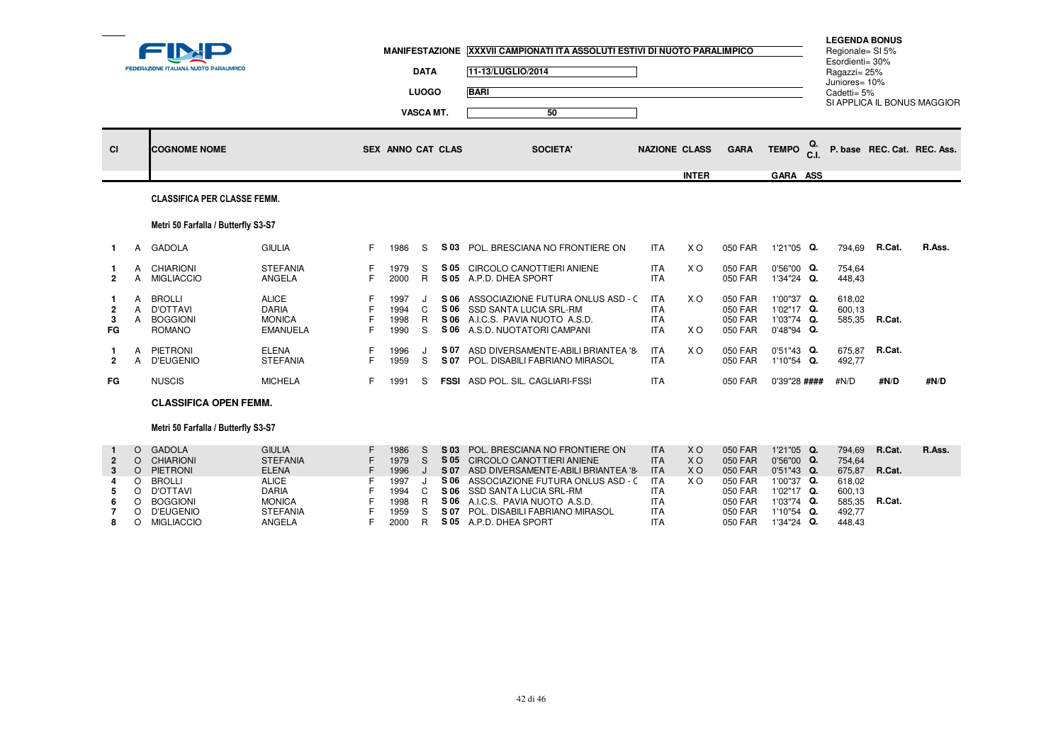| SI APPLICA IL BONUS MAGGIOR<br>50<br><b>VASCA MT.</b><br>Q.<br><b>TEMPO</b><br><b>CI</b><br><b>COGNOME NOME</b><br><b>SEX ANNO CAT CLAS</b><br><b>SOCIETA'</b><br><b>NAZIONE CLASS</b><br><b>GARA</b><br>P. base REC. Cat. REC. Ass.<br><b>INTER</b><br>GARA ASS<br><b>CLASSIFICA PER CLASSE FEMM.</b><br>Metri 50 Farfalla / Butterfly S3-S7<br><b>GIULIA</b><br><b>ITA</b><br>GADOLA<br>F.<br>S<br>POL. BRESCIANA NO FRONTIERE ON<br>X O<br>050 FAR<br>1'21"05 Q.<br>794,69<br>R.Cat.<br>1986<br>S 03<br>$\mathbf{1}$<br>A<br><b>ITA</b><br><b>STEFANIA</b><br><b>CHIARIONI</b><br>S 05<br>CIRCOLO CANOTTIERI ANIENE<br>X O<br>050 FAR<br>0'56"00 Q.<br>754,64<br>1979<br>S<br>A<br>F.<br>$\mathsf{R}$<br><b>ITA</b><br><b>MIGLIACCIO</b><br>ANGELA<br>2000<br>S 05 A.P.D. DHEA SPORT<br>050 FAR<br>1'34"24 Q.<br>448,43<br>$\overline{2}$<br>$\mathsf{A}$<br><b>ALICE</b><br>ASSOCIAZIONE FUTURA ONLUS ASD - C<br><b>ITA</b><br>X O<br>050 FAR<br>1'00"37 Q.<br>618,02<br>$\mathsf{A}$<br>BROLLI<br>1997<br>S 06<br>J<br>-1<br><b>DARIA</b><br>$\mathsf{C}$<br>S 06<br>SSD SANTA LUCIA SRL-RM<br><b>ITA</b><br>050 FAR<br>1'02"17 Q.<br>600,13<br>$\mathsf{A}$<br>D'OTTAVI<br>1994<br>$\mathbf{2}$<br>585,35 R.Cat.<br>1'03"74 Q.<br>A BOGGIONI<br><b>MONICA</b><br>1998<br>R<br>S 06<br>A.I.C.S. PAVIA NUOTO A.S.D.<br><b>ITA</b><br>050 FAR<br>3<br>X O<br>FG<br><b>ROMANO</b><br><b>EMANUELA</b><br>F<br>1990<br>S<br>A.S.D. NUOTATORI CAMPANI<br><b>ITA</b><br>050 FAR<br>0'48"94 Q.<br>S 06<br><b>ELENA</b><br><b>ITA</b><br>R.Cat.<br>PIETRONI<br>S 07<br>ASD DIVERSAMENTE-ABILI BRIANTEA '8<br>X O<br>050 FAR<br>$0'51''43$ Q.<br>675.87<br>1996<br>A<br>J<br>-1<br>S<br>1'10"54 Q.<br>A D'EUGENIO<br><b>STEFANIA</b><br>1959<br>S 07 POL. DISABILI FABRIANO MIRASOL<br><b>ITA</b><br>050 FAR<br>492,77<br>$\overline{2}$<br>F.<br><b>ITA</b><br><b>NUSCIS</b><br><b>MICHELA</b><br>F.<br>FSSI ASD POL. SIL. CAGLIARI-FSSI<br>#N/D<br>#N/D<br>FG<br>1991<br>S<br>050 FAR<br>0'39"28 ####<br><b>CLASSIFICA OPEN FEMM.</b><br>Metri 50 Farfalla / Butterfly S3-S7<br>R.Cat.<br><b>GADOLA</b><br><b>GIULIA</b><br>POL. BRESCIANA NO FRONTIERE ON<br><b>ITA</b><br>050 FAR<br>1'21"05 Q.<br>794,69<br>1986<br>S 03<br>X <sub>O</sub><br>$\circ$<br>S<br>$\mathbf{1}$<br><b>CHIARIONI</b><br><b>STEFANIA</b><br>1979<br>S<br>S 05 CIRCOLO CANOTTIERI ANIENE<br><b>ITA</b><br><b>XO</b><br>050 FAR<br>0'56"00 Q.<br>754,64<br>$\overline{2}$<br>$\circ$<br><b>ELENA</b><br>S 07 ASD DIVERSAMENTE-ABILI BRIANTEA '8<br>675,87<br>R.Cat.<br>O PIETRONI<br>1996<br>J<br><b>ITA</b><br><b>XO</b><br>050 FAR<br>0'51"43 Q.<br>3<br>1'00"37 Q.<br>$\circ$<br><b>BROLLI</b><br><b>ALICE</b><br>1997<br>S 06<br>ASSOCIAZIONE FUTURA ONLUS ASD - C<br><b>ITA</b><br>X O<br>050 FAR<br>618,02<br>J<br>4<br>SSD SANTA LUCIA SRL-RM<br>D'OTTAVI<br><b>DARIA</b><br>1994<br>C<br>S 06<br><b>ITA</b><br>050 FAR<br>1'02"17 Q.<br>600,13<br>5<br>$\circ$<br>R.Cat.<br><b>BOGGIONI</b><br><b>MONICA</b><br>1998<br>R.<br>S 06 A.I.C.S. PAVIA NUOTO A.S.D.<br><b>ITA</b><br>050 FAR<br>1'03"74 Q.<br>585,35<br>$\circ$<br>6<br><b>D'EUGENIO</b><br>S 07 POL. DISABILI FABRIANO MIRASOL<br>1'10"54 Q.<br>$\circ$<br>$\overline{7}$ |  | <b>FEDERAZIONE ITALIANA NUOTO PARALIMPICO</b> |                 |      | <b>DATA</b><br><b>LUOGO</b> | MANIFESTAZIONE XXXVII CAMPIONATI ITA ASSOLUTI ESTIVI DI NUOTO PARALIMPICO<br>11-13/LUGLIO/2014<br><b>BARI</b> |            |         |  | <b>LEGENDA BONUS</b><br>Regionale= SI 5%<br>Esordienti= 30%<br>Ragazzi= 25%<br>Juniores= 10%<br>Cadetti= 5% |        |
|----------------------------------------------------------------------------------------------------------------------------------------------------------------------------------------------------------------------------------------------------------------------------------------------------------------------------------------------------------------------------------------------------------------------------------------------------------------------------------------------------------------------------------------------------------------------------------------------------------------------------------------------------------------------------------------------------------------------------------------------------------------------------------------------------------------------------------------------------------------------------------------------------------------------------------------------------------------------------------------------------------------------------------------------------------------------------------------------------------------------------------------------------------------------------------------------------------------------------------------------------------------------------------------------------------------------------------------------------------------------------------------------------------------------------------------------------------------------------------------------------------------------------------------------------------------------------------------------------------------------------------------------------------------------------------------------------------------------------------------------------------------------------------------------------------------------------------------------------------------------------------------------------------------------------------------------------------------------------------------------------------------------------------------------------------------------------------------------------------------------------------------------------------------------------------------------------------------------------------------------------------------------------------------------------------------------------------------------------------------------------------------------------------------------------------------------------------------------------------------------------------------------------------------------------------------------------------------------------------------------------------------------------------------------------------------------------------------------------------------------------------------------------------------------------------------------------------------------------------------------------------------------------------------------------------------------------------------------------------------------------------------------------------------------------------------------------------------------------------------------------------------------------------------------------------------------------------------------|--|-----------------------------------------------|-----------------|------|-----------------------------|---------------------------------------------------------------------------------------------------------------|------------|---------|--|-------------------------------------------------------------------------------------------------------------|--------|
|                                                                                                                                                                                                                                                                                                                                                                                                                                                                                                                                                                                                                                                                                                                                                                                                                                                                                                                                                                                                                                                                                                                                                                                                                                                                                                                                                                                                                                                                                                                                                                                                                                                                                                                                                                                                                                                                                                                                                                                                                                                                                                                                                                                                                                                                                                                                                                                                                                                                                                                                                                                                                                                                                                                                                                                                                                                                                                                                                                                                                                                                                                                                                                                                                      |  |                                               |                 |      |                             |                                                                                                               |            |         |  |                                                                                                             |        |
|                                                                                                                                                                                                                                                                                                                                                                                                                                                                                                                                                                                                                                                                                                                                                                                                                                                                                                                                                                                                                                                                                                                                                                                                                                                                                                                                                                                                                                                                                                                                                                                                                                                                                                                                                                                                                                                                                                                                                                                                                                                                                                                                                                                                                                                                                                                                                                                                                                                                                                                                                                                                                                                                                                                                                                                                                                                                                                                                                                                                                                                                                                                                                                                                                      |  |                                               |                 |      |                             |                                                                                                               |            |         |  |                                                                                                             |        |
|                                                                                                                                                                                                                                                                                                                                                                                                                                                                                                                                                                                                                                                                                                                                                                                                                                                                                                                                                                                                                                                                                                                                                                                                                                                                                                                                                                                                                                                                                                                                                                                                                                                                                                                                                                                                                                                                                                                                                                                                                                                                                                                                                                                                                                                                                                                                                                                                                                                                                                                                                                                                                                                                                                                                                                                                                                                                                                                                                                                                                                                                                                                                                                                                                      |  |                                               |                 |      |                             |                                                                                                               |            |         |  |                                                                                                             |        |
|                                                                                                                                                                                                                                                                                                                                                                                                                                                                                                                                                                                                                                                                                                                                                                                                                                                                                                                                                                                                                                                                                                                                                                                                                                                                                                                                                                                                                                                                                                                                                                                                                                                                                                                                                                                                                                                                                                                                                                                                                                                                                                                                                                                                                                                                                                                                                                                                                                                                                                                                                                                                                                                                                                                                                                                                                                                                                                                                                                                                                                                                                                                                                                                                                      |  |                                               |                 |      |                             |                                                                                                               |            |         |  |                                                                                                             |        |
|                                                                                                                                                                                                                                                                                                                                                                                                                                                                                                                                                                                                                                                                                                                                                                                                                                                                                                                                                                                                                                                                                                                                                                                                                                                                                                                                                                                                                                                                                                                                                                                                                                                                                                                                                                                                                                                                                                                                                                                                                                                                                                                                                                                                                                                                                                                                                                                                                                                                                                                                                                                                                                                                                                                                                                                                                                                                                                                                                                                                                                                                                                                                                                                                                      |  |                                               |                 |      |                             |                                                                                                               |            |         |  |                                                                                                             |        |
|                                                                                                                                                                                                                                                                                                                                                                                                                                                                                                                                                                                                                                                                                                                                                                                                                                                                                                                                                                                                                                                                                                                                                                                                                                                                                                                                                                                                                                                                                                                                                                                                                                                                                                                                                                                                                                                                                                                                                                                                                                                                                                                                                                                                                                                                                                                                                                                                                                                                                                                                                                                                                                                                                                                                                                                                                                                                                                                                                                                                                                                                                                                                                                                                                      |  |                                               |                 |      |                             |                                                                                                               |            |         |  |                                                                                                             | R.Ass. |
|                                                                                                                                                                                                                                                                                                                                                                                                                                                                                                                                                                                                                                                                                                                                                                                                                                                                                                                                                                                                                                                                                                                                                                                                                                                                                                                                                                                                                                                                                                                                                                                                                                                                                                                                                                                                                                                                                                                                                                                                                                                                                                                                                                                                                                                                                                                                                                                                                                                                                                                                                                                                                                                                                                                                                                                                                                                                                                                                                                                                                                                                                                                                                                                                                      |  |                                               |                 |      |                             |                                                                                                               |            |         |  |                                                                                                             |        |
|                                                                                                                                                                                                                                                                                                                                                                                                                                                                                                                                                                                                                                                                                                                                                                                                                                                                                                                                                                                                                                                                                                                                                                                                                                                                                                                                                                                                                                                                                                                                                                                                                                                                                                                                                                                                                                                                                                                                                                                                                                                                                                                                                                                                                                                                                                                                                                                                                                                                                                                                                                                                                                                                                                                                                                                                                                                                                                                                                                                                                                                                                                                                                                                                                      |  |                                               |                 |      |                             |                                                                                                               |            |         |  |                                                                                                             |        |
|                                                                                                                                                                                                                                                                                                                                                                                                                                                                                                                                                                                                                                                                                                                                                                                                                                                                                                                                                                                                                                                                                                                                                                                                                                                                                                                                                                                                                                                                                                                                                                                                                                                                                                                                                                                                                                                                                                                                                                                                                                                                                                                                                                                                                                                                                                                                                                                                                                                                                                                                                                                                                                                                                                                                                                                                                                                                                                                                                                                                                                                                                                                                                                                                                      |  |                                               |                 |      |                             |                                                                                                               |            |         |  |                                                                                                             |        |
|                                                                                                                                                                                                                                                                                                                                                                                                                                                                                                                                                                                                                                                                                                                                                                                                                                                                                                                                                                                                                                                                                                                                                                                                                                                                                                                                                                                                                                                                                                                                                                                                                                                                                                                                                                                                                                                                                                                                                                                                                                                                                                                                                                                                                                                                                                                                                                                                                                                                                                                                                                                                                                                                                                                                                                                                                                                                                                                                                                                                                                                                                                                                                                                                                      |  |                                               |                 |      |                             |                                                                                                               |            |         |  |                                                                                                             | #N/D   |
|                                                                                                                                                                                                                                                                                                                                                                                                                                                                                                                                                                                                                                                                                                                                                                                                                                                                                                                                                                                                                                                                                                                                                                                                                                                                                                                                                                                                                                                                                                                                                                                                                                                                                                                                                                                                                                                                                                                                                                                                                                                                                                                                                                                                                                                                                                                                                                                                                                                                                                                                                                                                                                                                                                                                                                                                                                                                                                                                                                                                                                                                                                                                                                                                                      |  |                                               |                 |      |                             |                                                                                                               |            |         |  |                                                                                                             |        |
|                                                                                                                                                                                                                                                                                                                                                                                                                                                                                                                                                                                                                                                                                                                                                                                                                                                                                                                                                                                                                                                                                                                                                                                                                                                                                                                                                                                                                                                                                                                                                                                                                                                                                                                                                                                                                                                                                                                                                                                                                                                                                                                                                                                                                                                                                                                                                                                                                                                                                                                                                                                                                                                                                                                                                                                                                                                                                                                                                                                                                                                                                                                                                                                                                      |  |                                               |                 |      |                             |                                                                                                               |            |         |  |                                                                                                             |        |
| <b>MIGLIACCIO</b><br>$\mathsf{R}$<br>S 05 A.P.D. DHEA SPORT<br>1'34"24 Q.<br>$\circ$<br>ANGELA<br>F.<br>2000<br><b>ITA</b><br>050 FAR<br>448.43<br>8                                                                                                                                                                                                                                                                                                                                                                                                                                                                                                                                                                                                                                                                                                                                                                                                                                                                                                                                                                                                                                                                                                                                                                                                                                                                                                                                                                                                                                                                                                                                                                                                                                                                                                                                                                                                                                                                                                                                                                                                                                                                                                                                                                                                                                                                                                                                                                                                                                                                                                                                                                                                                                                                                                                                                                                                                                                                                                                                                                                                                                                                 |  |                                               | <b>STEFANIA</b> | 1959 | S                           |                                                                                                               | <b>ITA</b> | 050 FAR |  | 492,77                                                                                                      | R.Ass. |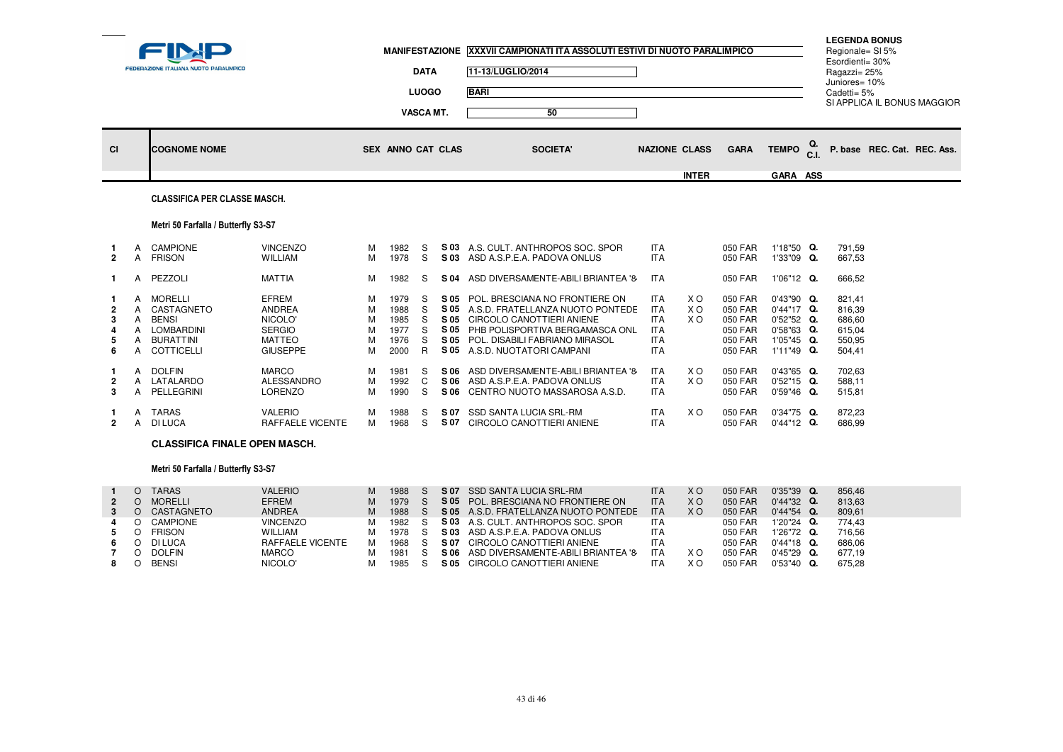|                |                            | <b>FEDERAZIONE ITALIANA NUOTO PARALIMPICO</b>                                                              |                                                                                               |                            | <b>MANIFESTAZIONE</b>                        | <b>DATA</b><br><b>LUOGO</b><br>VASCA MT. |                                      | XXXVII CAMPIONATI ITA ASSOLUTI ESTIVI DI NUOTO PARALIMPICO<br>11-13/LUGLIO/2014<br><b>BARI</b><br>50                                                                                                         |                                                                                  |                              |                                                                |                                                                                    |                      | Esordienti= 30%<br>Ragazzi= 25%<br>Juniores= 10%<br>Cadetti= 5% | <b>LEGENDA BONUS</b><br>Regionale= SI 5%<br>SI APPLICA IL BONUS MAGGIOR |
|----------------|----------------------------|------------------------------------------------------------------------------------------------------------|-----------------------------------------------------------------------------------------------|----------------------------|----------------------------------------------|------------------------------------------|--------------------------------------|--------------------------------------------------------------------------------------------------------------------------------------------------------------------------------------------------------------|----------------------------------------------------------------------------------|------------------------------|----------------------------------------------------------------|------------------------------------------------------------------------------------|----------------------|-----------------------------------------------------------------|-------------------------------------------------------------------------|
| <b>CI</b>      |                            | <b>COGNOME NOME</b>                                                                                        |                                                                                               |                            | SEX ANNO CAT CLAS                            |                                          |                                      | <b>SOCIETA'</b>                                                                                                                                                                                              | <b>NAZIONE CLASS</b>                                                             | <b>INTER</b>                 | <b>GARA</b>                                                    | <b>TEMPO</b><br>GARA ASS                                                           | Q.<br>C <sub>1</sub> |                                                                 | P. base REC. Cat. REC. Ass.                                             |
|                |                            | <b>CLASSIFICA PER CLASSE MASCH.</b>                                                                        |                                                                                               |                            |                                              |                                          |                                      |                                                                                                                                                                                                              |                                                                                  |                              |                                                                |                                                                                    |                      |                                                                 |                                                                         |
|                |                            | Metri 50 Farfalla / Butterfly S3-S7                                                                        |                                                                                               |                            |                                              |                                          |                                      |                                                                                                                                                                                                              |                                                                                  |                              |                                                                |                                                                                    |                      |                                                                 |                                                                         |
| $\overline{2}$ | A<br>A                     | <b>CAMPIONE</b><br><b>FRISON</b>                                                                           | <b>VINCENZO</b><br><b>WILLIAM</b>                                                             | м<br>M                     | 1982<br>1978                                 | S<br>S                                   | S 03                                 | S 03 A.S. CULT. ANTHROPOS SOC. SPOR<br>ASD A.S.P.E.A. PADOVA ONLUS                                                                                                                                           | <b>ITA</b><br><b>ITA</b>                                                         |                              | 050 FAR<br>050 FAR                                             | 1'18"50 Q.<br>1'33"09 Q.                                                           |                      | 791.59<br>667,53                                                |                                                                         |
| 1.             | A                          | PEZZOLI                                                                                                    | <b>MATTIA</b>                                                                                 | м                          | 1982                                         | S.                                       | S 04                                 | ASD DIVERSAMENTE-ABILI BRIANTEA '8                                                                                                                                                                           | <b>ITA</b>                                                                       |                              | 050 FAR                                                        | 1'06"12 Q.                                                                         |                      | 666,52                                                          |                                                                         |
| 6              | A<br>A<br>A<br>A<br>A<br>A | <b>MORELLI</b><br>CASTAGNETO<br><b>BENSI</b><br><b>LOMBARDINI</b><br><b>BURATTINI</b><br><b>COTTICELLI</b> | <b>EFREM</b><br><b>ANDREA</b><br>NICOLO'<br><b>SERGIO</b><br><b>MATTEO</b><br><b>GIUSEPPE</b> | М<br>M<br>M<br>M<br>M<br>M | 1979<br>1988<br>1985<br>1977<br>1976<br>2000 | S<br>S<br>S<br>S<br>S<br>R               | S 05<br>S 05<br>S 05<br>S 05<br>S 05 | POL. BRESCIANA NO FRONTIERE ON<br>A.S.D. FRATELLANZA NUOTO PONTEDE<br><b>CIRCOLO CANOTTIERI ANIENE</b><br>S 05 PHB POLISPORTIVA BERGAMASCA ONL<br>POL. DISABILI FABRIANO MIRASOL<br>A.S.D. NUOTATORI CAMPANI | <b>ITA</b><br><b>ITA</b><br><b>ITA</b><br><b>ITA</b><br><b>ITA</b><br><b>ITA</b> | X O<br>X <sub>O</sub><br>X O | 050 FAR<br>050 FAR<br>050 FAR<br>050 FAR<br>050 FAR<br>050 FAR | 0'43"90 Q.<br>0'44"17 Q.<br>0'52"52 Q.<br>$0'58"63$ Q.<br>1'05"45 Q.<br>1'11"49 Q. |                      | 821,41<br>816.39<br>686,60<br>615,04<br>550,95<br>504,41        |                                                                         |
| 3              | А<br>A<br>$\overline{A}$   | <b>DOLFIN</b><br>LATALARDO<br>PELLEGRINI                                                                   | <b>MARCO</b><br><b>ALESSANDRO</b><br>LORENZO                                                  | м<br>M<br>м                | 1981<br>1992<br>1990                         | S<br>C<br>S                              | S 06<br>S 06                         | ASD DIVERSAMENTE-ABILI BRIANTEA '8<br>S 06 ASD A.S.P.E.A. PADOVA ONLUS<br>CENTRO NUOTO MASSAROSA A.S.D.                                                                                                      | <b>ITA</b><br><b>ITA</b><br><b>ITA</b>                                           | X O<br>X O                   | 050 FAR<br>050 FAR<br>050 FAR                                  | 0'43"65 Q.<br>$0'52"15$ Q.<br>$0'59''46$ Q.                                        |                      | 702,63<br>588.11<br>515,81                                      |                                                                         |
|                | A<br>A                     | <b>TARAS</b><br><b>DI LUCA</b>                                                                             | <b>VALERIO</b><br>RAFFAELE VICENTE                                                            | м                          | 1988<br>1968                                 | S<br>S.                                  | S 07<br>S 07                         | SSD SANTA LUCIA SRL-RM<br>CIRCOLO CANOTTIERI ANIENE                                                                                                                                                          | <b>ITA</b><br><b>ITA</b>                                                         | X O                          | 050 FAR<br>050 FAR                                             | $0'34''75$ Q.<br>$0'44"12$ Q.                                                      |                      | 872.23<br>686,99                                                |                                                                         |

## **CLASSIFICA FINALE OPEN MASCH.**

# Metri 50 Farfalla / Butterfly S3-S7

|              | TARAS          | <b>VALERIO</b>   | М | 1988 | S 07 | SSD SANTA LUCIA SRL-RM                     | <b>ITA</b> | ΧO  | 050 FAR | $0'35''39$ Q. | 856.46 |
|--------------|----------------|------------------|---|------|------|--------------------------------------------|------------|-----|---------|---------------|--------|
| $\mathbf{2}$ | <b>MORELLI</b> | <b>EFREM</b>     | М | 1979 |      | <b>S 05 POL. BRESCIANA NO FRONTIERE ON</b> | <b>ITA</b> | ΧO  | 050 FAR | $0'44''32$ Q. | 813.63 |
|              | CASTAGNETO     | <b>ANDREA</b>    | м | 1988 |      | S 05 A.S.D. FRATELLANZA NUOTO PONTEDE      | <b>ITA</b> | X O | 050 FAR | $0'44''54$ Q. | 809.61 |
|              | CAMPIONE       | <b>VINCENZO</b>  | м | 1982 |      | <b>S 03</b> A.S. CULT. ANTHROPOS SOC. SPOR | ITA        |     | 050 FAR | $1'20''24$ Q. | 774.43 |
|              | <b>FRISON</b>  | <b>WILLIAM</b>   | м | 1978 |      | S 03 ASD A.S.P.E.A. PADOVA ONLUS           | <b>ITA</b> |     | 050 FAR | $1'26''72$ Q. | 716.56 |
|              | DI LUCA        | RAFFAELE VICENTE | М | 1968 | S 07 | CIRCOLO CANOTTIERI ANIENE                  | <b>ITA</b> |     | 050 FAR | $0'44"18$ Q.  | 686.06 |
|              | <b>DOLFIN</b>  | <b>MARCO</b>     |   | 1981 | S 06 | ASD DIVERSAMENTE-ABILI BRIANTEA '8         | <b>ITA</b> | ΧO  | 050 FAR | $0'45''29$ Q. | 677.19 |
|              | <b>BENSI</b>   | NICOLO'          |   | 1985 | S 05 | CIRCOLO CANOTTIERI ANIENE                  |            | ΧO  | 050 FAR | $0'53''40$ Q. | 675.28 |
|              |                |                  |   |      |      |                                            |            |     |         |               |        |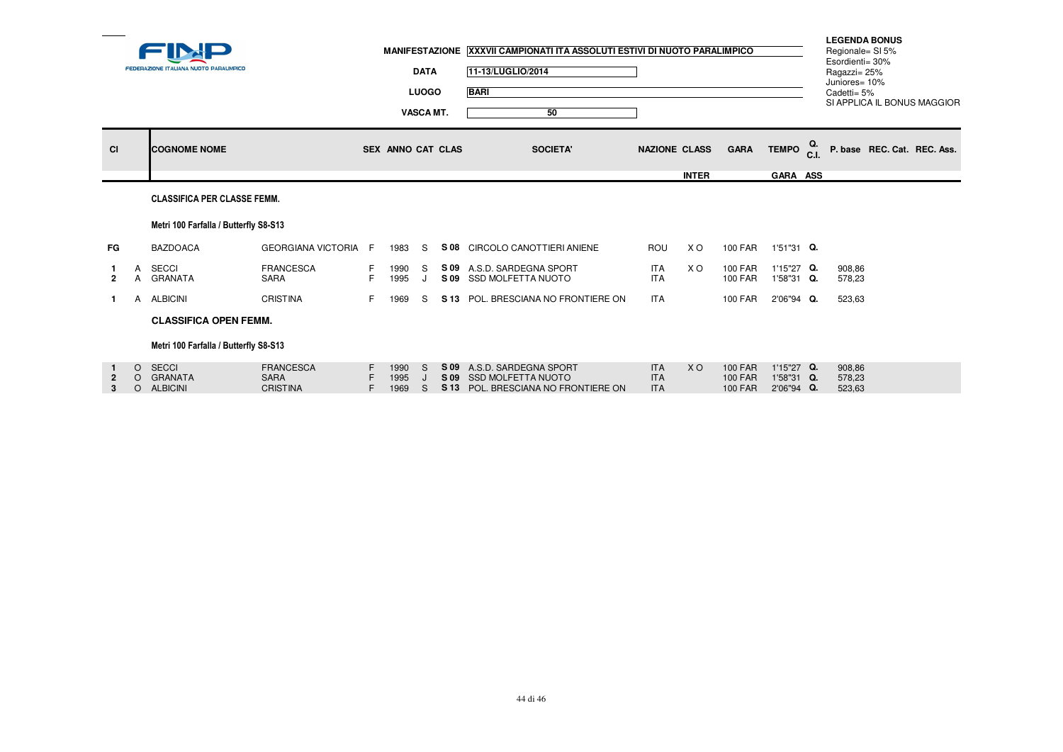|                     |                     | <b>FEDERAZIONE ITALIANA NUOTO PARALIMPICO</b> |                                                    |    |                      | <b>DATA</b><br><b>LUOGO</b><br><b>VASCA MT.</b> | MANIFESTAZIONE XXXVII CAMPIONATI ITA ASSOLUTI ESTIVI DI NUOTO PARALIMPICO<br>11-13/LUGLIO/2014<br><b>BARI</b><br>50 |                                        |              |                                                    |                                        | <b>LEGENDA BONUS</b><br>Regionale= SI 5%<br>Esordienti= 30%<br>Ragazzi= 25%<br>Juniores= 10%<br>Cadetti= 5%<br>SI APPLICA IL BONUS MAGGIOR |
|---------------------|---------------------|-----------------------------------------------|----------------------------------------------------|----|----------------------|-------------------------------------------------|---------------------------------------------------------------------------------------------------------------------|----------------------------------------|--------------|----------------------------------------------------|----------------------------------------|--------------------------------------------------------------------------------------------------------------------------------------------|
| <b>CI</b>           |                     | <b>COGNOME NOME</b>                           |                                                    |    | SEX ANNO CAT CLAS    |                                                 | <b>SOCIETA'</b>                                                                                                     | <b>NAZIONE CLASS</b>                   |              | <b>GARA</b>                                        | TEMPO <sub>C.I.</sub>                  | P. base REC. Cat. REC. Ass.                                                                                                                |
|                     |                     |                                               |                                                    |    |                      |                                                 |                                                                                                                     |                                        | <b>INTER</b> |                                                    | GARA ASS                               |                                                                                                                                            |
|                     |                     | <b>CLASSIFICA PER CLASSE FEMM.</b>            |                                                    |    |                      |                                                 |                                                                                                                     |                                        |              |                                                    |                                        |                                                                                                                                            |
|                     |                     | Metri 100 Farfalla / Butterfly S8-S13         |                                                    |    |                      |                                                 |                                                                                                                     |                                        |              |                                                    |                                        |                                                                                                                                            |
| FG                  |                     | <b>BAZDOACA</b>                               | GEORGIANA VICTORIA F                               |    | 1983                 | S.                                              | S 08 CIRCOLO CANOTTIERI ANIENE                                                                                      | ROU                                    | X O          | 100 FAR                                            | 1'51"31 Q.                             |                                                                                                                                            |
| $\overline{2}$      | A                   | SECCI<br>A GRANATA                            | <b>FRANCESCA</b><br>SARA                           | F. | 1990<br>1995         | S                                               | S 09 A.S.D. SARDEGNA SPORT<br>S 09 SSD MOLFETTA NUOTO                                                               | <b>ITA</b><br><b>ITA</b>               | X O          | <b>100 FAR</b><br><b>100 FAR</b>                   | 1'15"27 Q.<br>1'58"31 Q.               | 908.86<br>578,23                                                                                                                           |
| $\mathbf{1}$        |                     | A ALBICINI                                    | <b>CRISTINA</b>                                    | F. | 1969                 | S.                                              | S 13 POL. BRESCIANA NO FRONTIERE ON                                                                                 | <b>ITA</b>                             |              | <b>100 FAR</b>                                     | 2'06"94 Q.                             | 523,63                                                                                                                                     |
|                     |                     | <b>CLASSIFICA OPEN FEMM.</b>                  |                                                    |    |                      |                                                 |                                                                                                                     |                                        |              |                                                    |                                        |                                                                                                                                            |
|                     |                     | Metri 100 Farfalla / Butterfly S8-S13         |                                                    |    |                      |                                                 |                                                                                                                     |                                        |              |                                                    |                                        |                                                                                                                                            |
| $\overline{2}$<br>3 | $\circ$<br>$\Omega$ | <b>SECCI</b><br>O GRANATA<br><b>ALBICINI</b>  | <b>FRANCESCA</b><br><b>SARA</b><br><b>CRISTINA</b> | F. | 1990<br>1995<br>1969 | S.<br><sub>S</sub>                              | S 09 A.S.D. SARDEGNA SPORT<br>S 09 SSD MOLFETTA NUOTO<br>S 13 POL. BRESCIANA NO FRONTIERE ON                        | <b>ITA</b><br><b>ITA</b><br><b>ITA</b> | <b>XO</b>    | <b>100 FAR</b><br><b>100 FAR</b><br><b>100 FAR</b> | 1'15"27 Q.<br>1'58"31 Q.<br>2'06"94 Q. | 908.86<br>578,23<br>523,63                                                                                                                 |
|                     |                     |                                               |                                                    |    |                      |                                                 |                                                                                                                     |                                        |              |                                                    |                                        |                                                                                                                                            |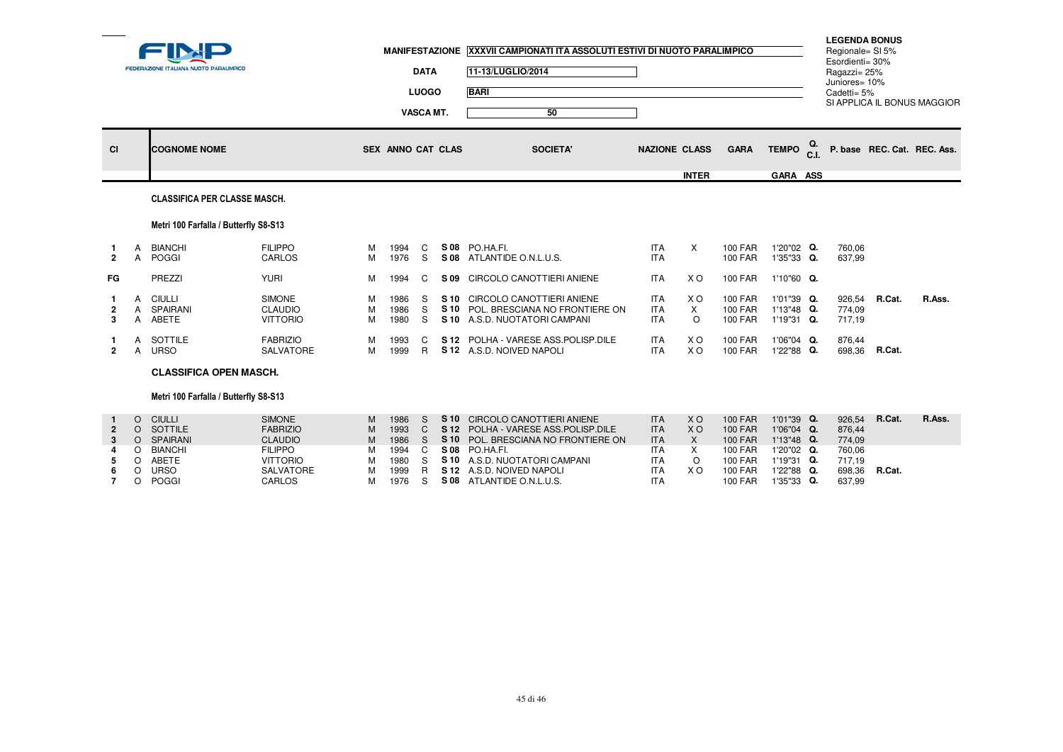|                          |                               | FEDERAZIONE ITALIANA NUOTO PARALIMPICO                     |                                                               |                  |                              | <b>DATA</b><br><b>LUOGO</b><br><b>VASCA MT.</b> | MANIFESTAZIONE XXXVII CAMPIONATI ITA ASSOLUTI ESTIVI DI NUOTO PARALIMPICO<br>11-13/LUGLIO/2014<br><b>BARI</b><br>50              |                                                      |                                                     |                                                                      |                                                      |    | <b>LEGENDA BONUS</b><br>Regionale= SI 5%<br>Esordienti= 30%<br>Ragazzi= 25%<br>Juniores= 10%<br>Cadetti= 5% |        | SI APPLICA IL BONUS MAGGIOR |
|--------------------------|-------------------------------|------------------------------------------------------------|---------------------------------------------------------------|------------------|------------------------------|-------------------------------------------------|----------------------------------------------------------------------------------------------------------------------------------|------------------------------------------------------|-----------------------------------------------------|----------------------------------------------------------------------|------------------------------------------------------|----|-------------------------------------------------------------------------------------------------------------|--------|-----------------------------|
| <b>CI</b>                |                               | <b>COGNOME NOME</b>                                        |                                                               |                  | <b>SEX ANNO CAT CLAS</b>     |                                                 | <b>SOCIETA'</b>                                                                                                                  | <b>NAZIONE CLASS</b>                                 |                                                     | <b>GARA</b>                                                          | <b>TEMPO</b>                                         | Q. |                                                                                                             |        | P. base REC. Cat. REC. Ass. |
|                          |                               | <b>CLASSIFICA PER CLASSE MASCH.</b>                        |                                                               |                  |                              |                                                 |                                                                                                                                  |                                                      | <b>INTER</b>                                        |                                                                      | GARA ASS                                             |    |                                                                                                             |        |                             |
|                          |                               | Metri 100 Farfalla / Butterfly S8-S13                      |                                                               |                  |                              |                                                 |                                                                                                                                  |                                                      |                                                     |                                                                      |                                                      |    |                                                                                                             |        |                             |
| 1.<br>$\overline{2}$     | A<br>A                        | <b>BIANCHI</b><br>POGGI                                    | <b>FILIPPO</b><br>CARLOS                                      | м<br>M           | 1994<br>1976                 | C<br>S                                          | S 08 PO.HA.FI.<br>S 08 ATLANTIDE O.N.L.U.S.                                                                                      | <b>ITA</b><br><b>ITA</b>                             | $\times$                                            | <b>100 FAR</b><br><b>100 FAR</b>                                     | 1'20"02 Q.<br>1'35"33 Q.                             |    | 760,06<br>637,99                                                                                            |        |                             |
| FG.                      |                               | PREZZI                                                     | <b>YURI</b>                                                   | м                | 1994                         | C                                               | S 09 CIRCOLO CANOTTIERI ANIENE                                                                                                   | <b>ITA</b>                                           | X O                                                 | <b>100 FAR</b>                                                       | 1'10"60 Q.                                           |    |                                                                                                             |        |                             |
| 3                        | $\mathsf{A}$                  | A CIULLI<br>A SPAIRANI<br>ABETE                            | SIMONE<br><b>CLAUDIO</b><br><b>VITTORIO</b>                   | M<br>м<br>M      | 1986<br>1986<br>1980         | S<br>S<br>S                                     | S 10 CIRCOLO CANOTTIERI ANIENE<br>S 10 POL. BRESCIANA NO FRONTIERE ON<br>S 10 A.S.D. NUOTATORI CAMPANI                           | <b>ITA</b><br><b>ITA</b><br><b>ITA</b>               | X O<br>$\times$<br>$\circ$                          | <b>100 FAR</b><br><b>100 FAR</b><br><b>100 FAR</b>                   | 1'01"39 Q.<br>1'13"48 Q.<br>1'19"31 Q.               |    | 926,54<br>774,09<br>717,19                                                                                  | R.Cat. | R.Ass.                      |
| $\overline{2}$           | А                             | SOTTILE<br>A URSO                                          | <b>FABRIZIO</b><br><b>SALVATORE</b>                           | м<br>M           | 1993<br>1999                 | C<br>$\mathsf{R}$                               | S 12 POLHA - VARESE ASS. POLISP. DILE<br>S 12 A.S.D. NOIVED NAPOLI                                                               | <b>ITA</b><br><b>ITA</b>                             | <b>XO</b><br>X <sub>O</sub>                         | <b>100 FAR</b><br><b>100 FAR</b>                                     | 1'06"04 Q.<br>1'22"88 Q.                             |    | 876,44<br>698,36                                                                                            | R.Cat. |                             |
|                          |                               | <b>CLASSIFICA OPEN MASCH.</b>                              |                                                               |                  |                              |                                                 |                                                                                                                                  |                                                      |                                                     |                                                                      |                                                      |    |                                                                                                             |        |                             |
|                          |                               | Metri 100 Farfalla / Butterfly S8-S13                      |                                                               |                  |                              |                                                 |                                                                                                                                  |                                                      |                                                     |                                                                      |                                                      |    |                                                                                                             |        |                             |
| $\overline{2}$<br>3<br>4 | $\Omega$<br>$\circ$           | <b>CIULLI</b><br>O SOTTILE<br>O SPAIRANI<br><b>BIANCHI</b> | SIMONE<br><b>FABRIZIO</b><br><b>CLAUDIO</b><br><b>FILIPPO</b> | M<br>M<br>M<br>м | 1986<br>1993<br>1986<br>1994 | S.<br>$\mathsf{C}$<br><sub>S</sub><br>C         | S 10 CIRCOLO CANOTTIERI ANIENE<br>S 12 POLHA - VARESE ASS. POLISP. DILE<br>S 10 POL. BRESCIANA NO FRONTIERE ON<br>S 08 PO.HA.FI. | <b>ITA</b><br><b>ITA</b><br><b>ITA</b><br><b>ITA</b> | <b>XO</b><br>X <sub>O</sub><br>$\times$<br>$\times$ | <b>100 FAR</b><br><b>100 FAR</b><br><b>100 FAR</b><br><b>100 FAR</b> | 1'01"39 Q.<br>1'06"04 Q.<br>1'13"48 Q.<br>1'20"02 Q. |    | 926,54<br>876,44<br>774,09<br>760,06                                                                        | R.Cat. | R.Ass.                      |
| 5<br>6<br>$\overline{7}$ | $\circ$<br>$\circ$<br>$\circ$ | ABETE<br><b>URSO</b><br><b>POGGI</b>                       | <b>VITTORIO</b><br><b>SALVATORE</b><br>CARLOS                 | м<br>м<br>M      | 1980<br>1999<br>1976         | S<br>R.<br>S.                                   | S 10 A.S.D. NUOTATORI CAMPANI<br>S 12 A.S.D. NOIVED NAPOLI<br>S 08 ATLANTIDE O.N.L.U.S.                                          | <b>ITA</b><br><b>ITA</b><br><b>ITA</b>               | $\circ$<br><b>XO</b>                                | <b>100 FAR</b><br><b>100 FAR</b><br><b>100 FAR</b>                   | 1'19"31 Q.<br>1'22"88 Q.<br>1'35"33 Q.               |    | 717,19<br>698,36<br>637,99                                                                                  | R.Cat. |                             |